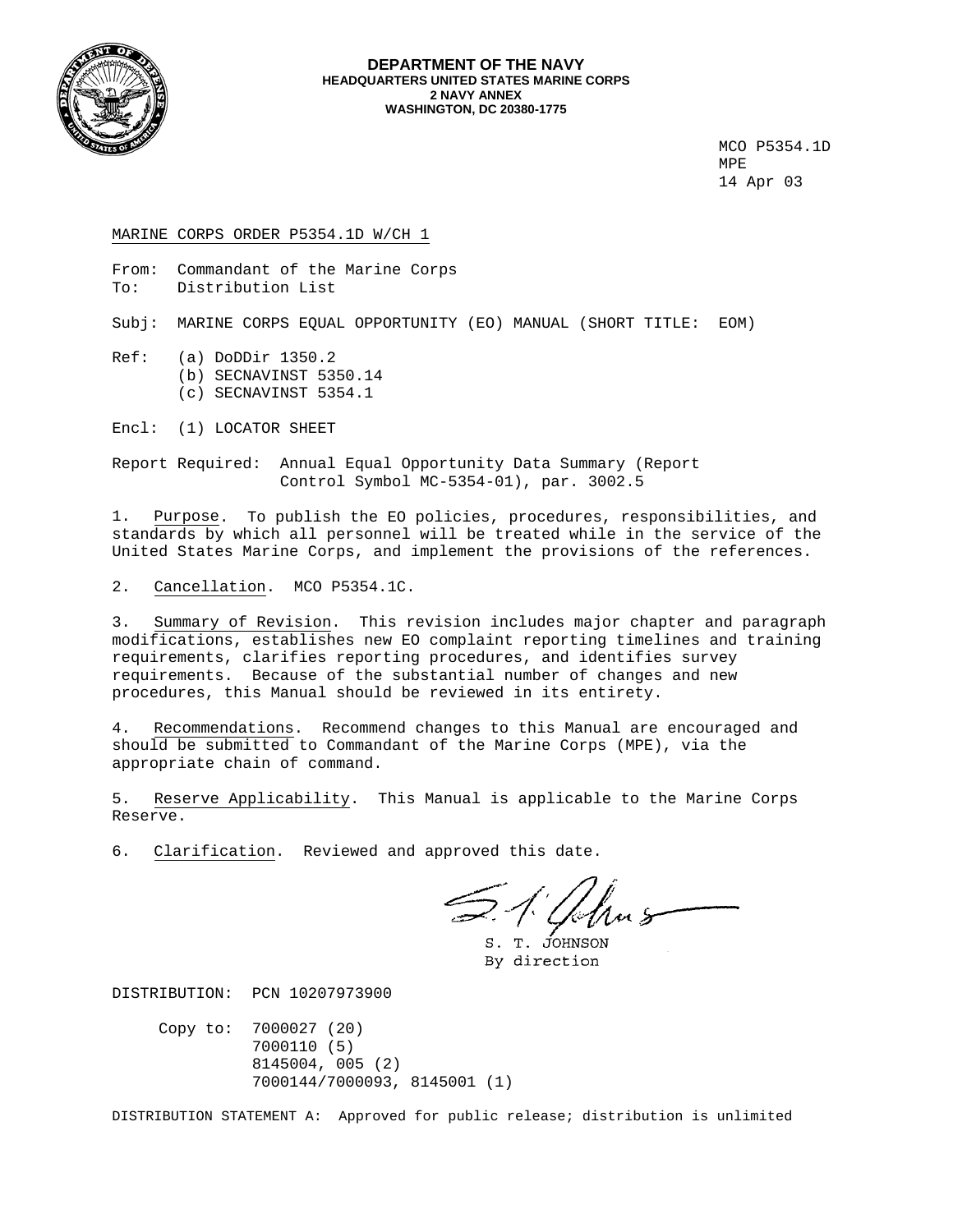

#### **DEPARTMENT OF THE NAVY HEADQUARTERS UNITED STATES MARINE CORPS 2 NAVY ANNEX WASHINGTON, DC 20380-1775**

 MCO P5354.1D MPE 14 Apr 03

MARINE CORPS ORDER P5354.1D W/CH 1

From: Commandant of the Marine Corps To: Distribution List

Subj: MARINE CORPS EQUAL OPPORTUNITY (EO) MANUAL (SHORT TITLE: EOM)

Ref: (a) DoDDir 1350.2 (b) SECNAVINST 5350.14 (c) SECNAVINST 5354.1

Encl: (1) LOCATOR SHEET

Report Required: Annual Equal Opportunity Data Summary (Report Control Symbol MC-5354-01), par. 3002.5

1. Purpose. To publish the EO policies, procedures, responsibilities, and standards by which all personnel will be treated while in the service of the United States Marine Corps, and implement the provisions of the references.

2. Cancellation. MCO P5354.1C.

3. Summary of Revision. This revision includes major chapter and paragraph modifications, establishes new EO complaint reporting timelines and training requirements, clarifies reporting procedures, and identifies survey requirements. Because of the substantial number of changes and new procedures, this Manual should be reviewed in its entirety.

4. Recommendations. Recommend changes to this Manual are encouraged and should be submitted to Commandant of the Marine Corps (MPE), via the appropriate chain of command.

5. Reserve Applicability. This Manual is applicable to the Marine Corps Reserve.

6. Clarification. Reviewed and approved this date.

A. Ahns

S. T. JOHNSON By direction

DISTRIBUTION: PCN 10207973900

 Copy to: 7000027 (20) 7000110 (5) 8145004, 005 (2) 7000144/7000093, 8145001 (1)

DISTRIBUTION STATEMENT A: Approved for public release; distribution is unlimited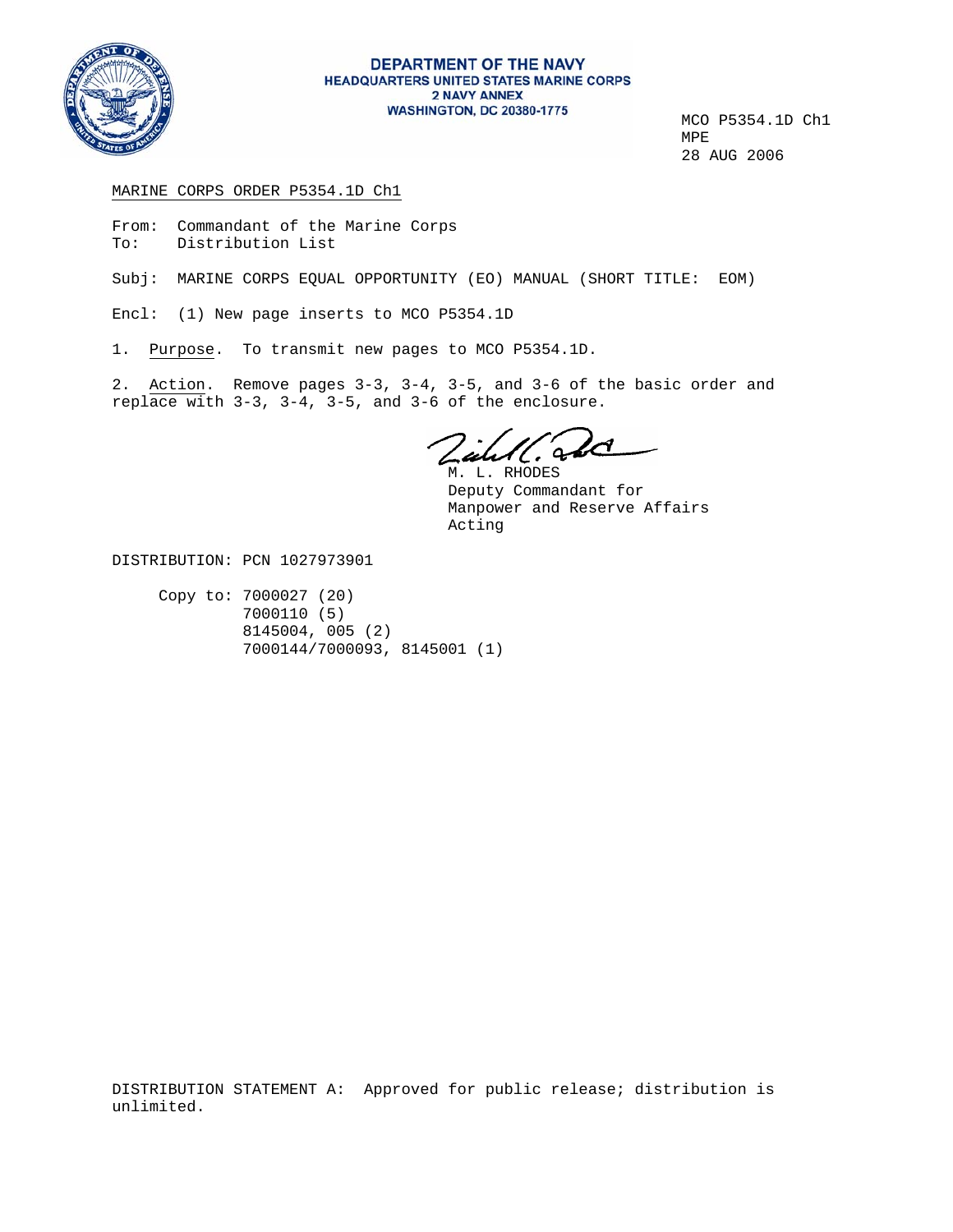

# DEPARTMENT OF THE NAVY **HEADQUARTERS UNITED STATES MARINE CORPS 2 NAVY ANNEX**

**WASHINGTON, DC 20380-1775**<br>MCO P5354.1D Ch1<br>MPE 28 AUG 2006

### MARINE CORPS ORDER P5354.1D Ch1

From: Commandant of the Marine Corps To: Distribution List

Subj: MARINE CORPS EQUAL OPPORTUNITY (EO) MANUAL (SHORT TITLE: EOM)

Encl: (1) New page inserts to MCO P5354.1D

1. Purpose. To transmit new pages to MCO P5354.1D.

2. Action. Remove pages 3-3, 3-4, 3-5, and 3-6 of the basic order and replace with 3-3, 3-4, 3-5, and 3-6 of the enclosure.

W. Sod

 M. L. RHODES Deputy Commandant for Manpower and Reserve Affairs Acting

DISTRIBUTION: PCN 1027973901

 Copy to: 7000027 (20) 7000110 (5) 8145004, 005 (2) 7000144/7000093, 8145001 (1)

DISTRIBUTION STATEMENT A: Approved for public release; distribution is unlimited.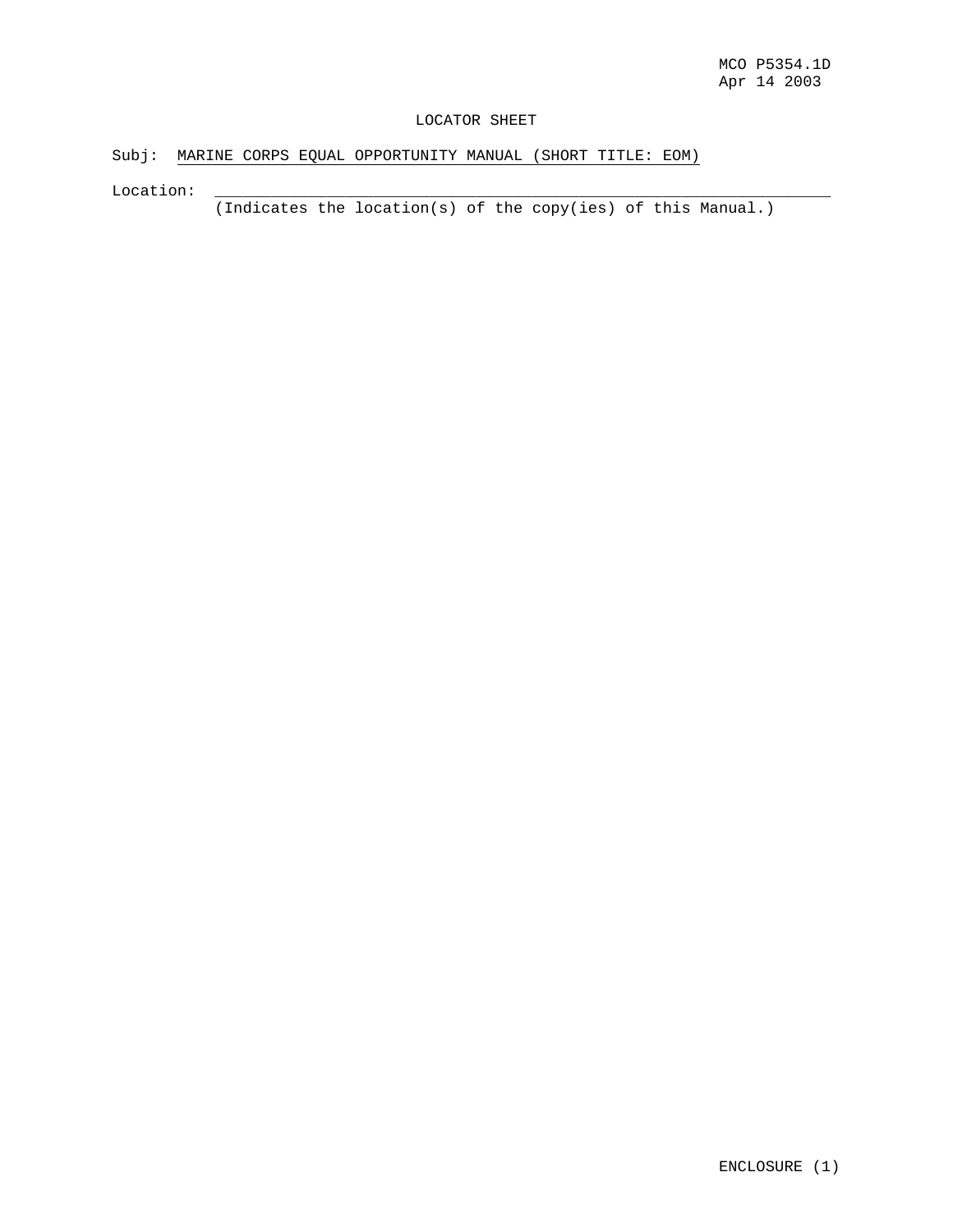### LOCATOR SHEET

Subj: MARINE CORPS EQUAL OPPORTUNITY MANUAL (SHORT TITLE: EOM)

Location:

(Indicates the location(s) of the copy(ies) of this Manual.)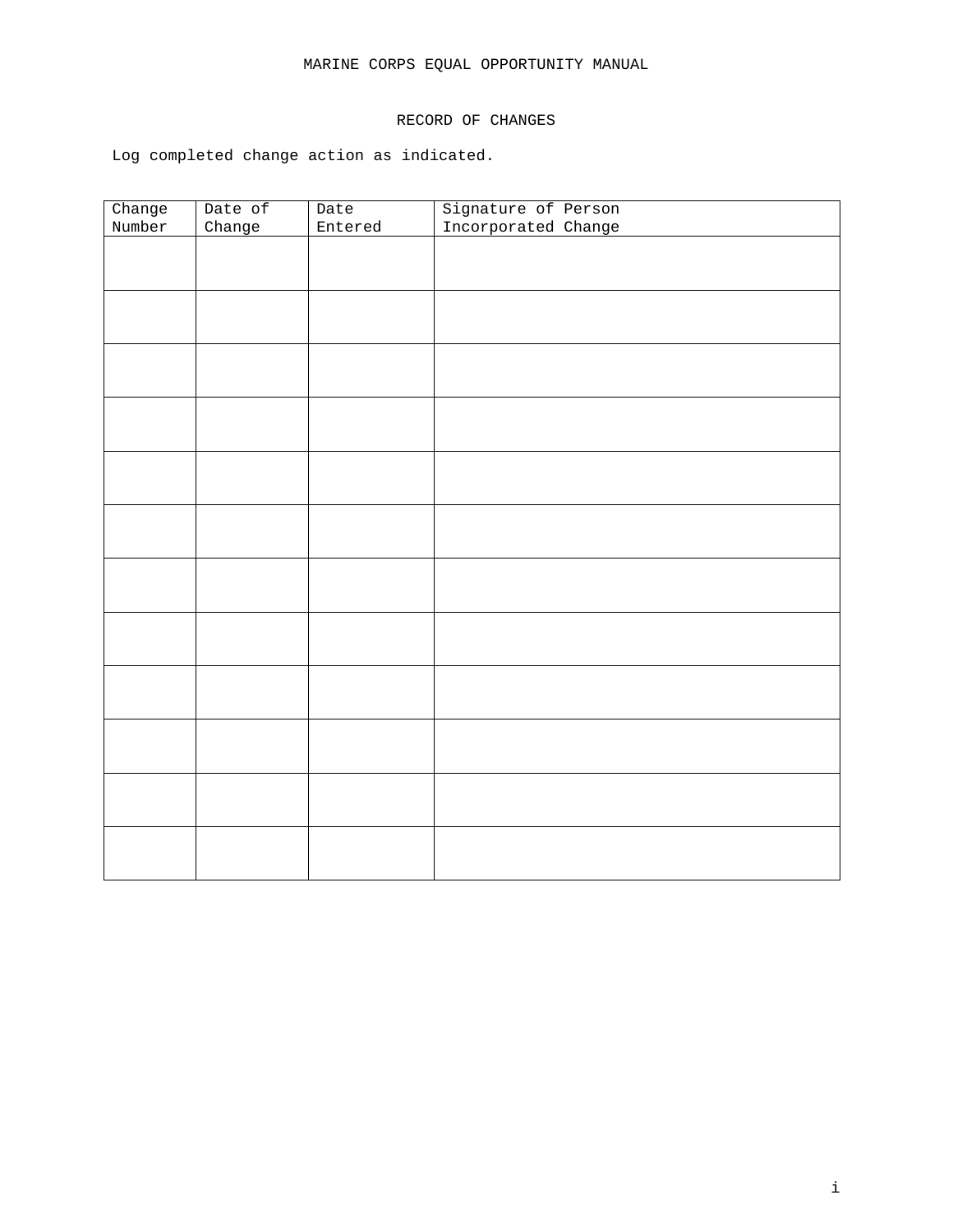# MARINE CORPS EQUAL OPPORTUNITY MANUAL

# RECORD OF CHANGES

Log completed change action as indicated.

| Change | Date of | Date    | Signature of Person |
|--------|---------|---------|---------------------|
| Number | Change  | Entered | Incorporated Change |
|        |         |         |                     |
|        |         |         |                     |
|        |         |         |                     |
|        |         |         |                     |
|        |         |         |                     |
|        |         |         |                     |
|        |         |         |                     |
|        |         |         |                     |
|        |         |         |                     |
|        |         |         |                     |
|        |         |         |                     |
|        |         |         |                     |
|        |         |         |                     |
|        |         |         |                     |
|        |         |         |                     |
|        |         |         |                     |
|        |         |         |                     |
|        |         |         |                     |
|        |         |         |                     |
|        |         |         |                     |
|        |         |         |                     |
|        |         |         |                     |
|        |         |         |                     |
|        |         |         |                     |
|        |         |         |                     |
|        |         |         |                     |
|        |         |         |                     |
|        |         |         |                     |
|        |         |         |                     |
|        |         |         |                     |
|        |         |         |                     |
|        |         |         |                     |
|        |         |         |                     |
|        |         |         |                     |
|        |         |         |                     |
|        |         |         |                     |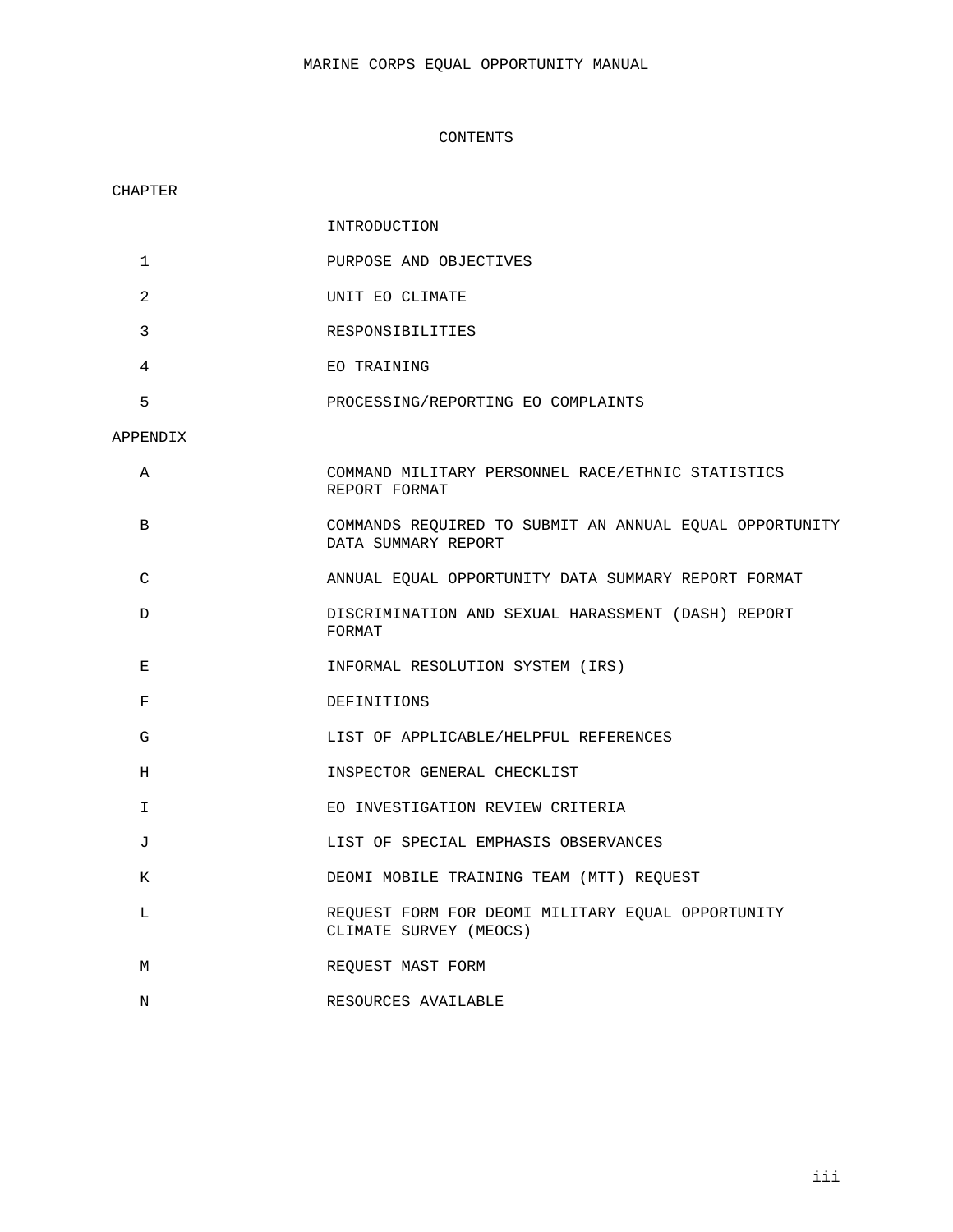### CONTENTS

### CHAPTER

|                | INTRODUCTION                                                                   |
|----------------|--------------------------------------------------------------------------------|
| $\mathbf{1}$   | PURPOSE AND OBJECTIVES                                                         |
| $\overline{2}$ | UNIT EO CLIMATE                                                                |
| 3              | RESPONSIBILITIES                                                               |
| 4              | EO TRAINING                                                                    |
| 5              | PROCESSING/REPORTING EO COMPLAINTS                                             |
| APPENDIX       |                                                                                |
| A              | COMMAND MILITARY PERSONNEL RACE/ETHNIC STATISTICS<br>REPORT FORMAT             |
| В              | COMMANDS REQUIRED TO SUBMIT AN ANNUAL EQUAL OPPORTUNITY<br>DATA SUMMARY REPORT |
| C              | ANNUAL EQUAL OPPORTUNITY DATA SUMMARY REPORT FORMAT                            |
| D              | DISCRIMINATION AND SEXUAL HARASSMENT (DASH) REPORT<br>FORMAT                   |
| Е              | INFORMAL RESOLUTION SYSTEM (IRS)                                               |
| F              | DEFINITIONS                                                                    |
| G              | LIST OF APPLICABLE/HELPFUL REFERENCES                                          |
| Н              | INSPECTOR GENERAL CHECKLIST                                                    |
| I.             | EO INVESTIGATION REVIEW CRITERIA                                               |
| J              | LIST OF SPECIAL EMPHASIS OBSERVANCES                                           |
| K              | DEOMI MOBILE TRAINING TEAM (MTT) REQUEST                                       |
| L              | REQUEST FORM FOR DEOMI MILITARY EQUAL OPPORTUNITY<br>CLIMATE SURVEY (MEOCS)    |
| M              | REQUEST MAST FORM                                                              |

N RESOURCES AVAILABLE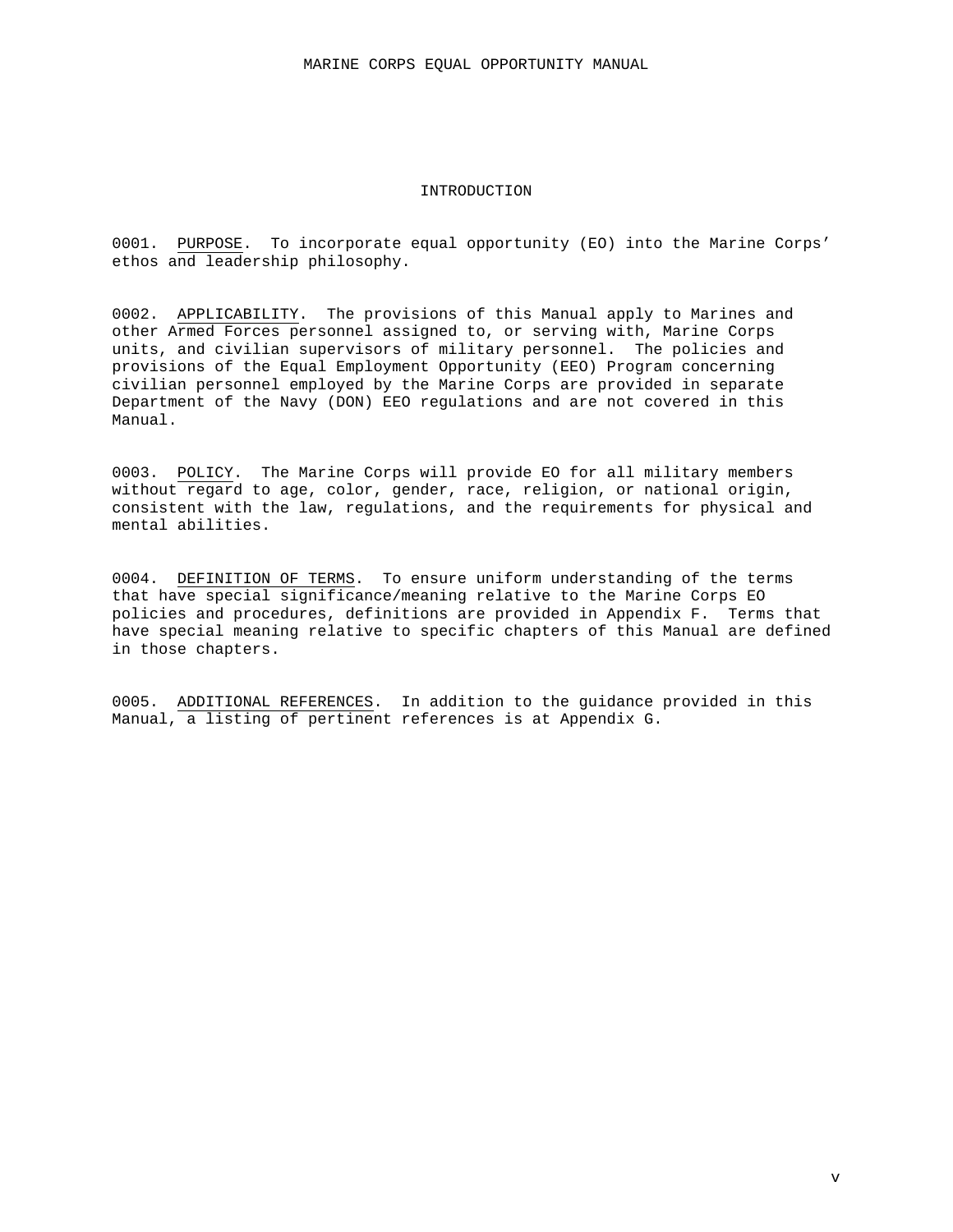### INTRODUCTION

0001. PURPOSE. To incorporate equal opportunity (EO) into the Marine Corps' ethos and leadership philosophy.

0002. APPLICABILITY. The provisions of this Manual apply to Marines and other Armed Forces personnel assigned to, or serving with, Marine Corps units, and civilian supervisors of military personnel. The policies and provisions of the Equal Employment Opportunity (EEO) Program concerning civilian personnel employed by the Marine Corps are provided in separate Department of the Navy (DON) EEO regulations and are not covered in this Manual.

0003. POLICY. The Marine Corps will provide EO for all military members without regard to age, color, gender, race, religion, or national origin, consistent with the law, regulations, and the requirements for physical and mental abilities.

0004. DEFINITION OF TERMS. To ensure uniform understanding of the terms that have special significance/meaning relative to the Marine Corps EO policies and procedures, definitions are provided in Appendix F. Terms that have special meaning relative to specific chapters of this Manual are defined in those chapters.

0005. ADDITIONAL REFERENCES. In addition to the guidance provided in this Manual, a listing of pertinent references is at Appendix G.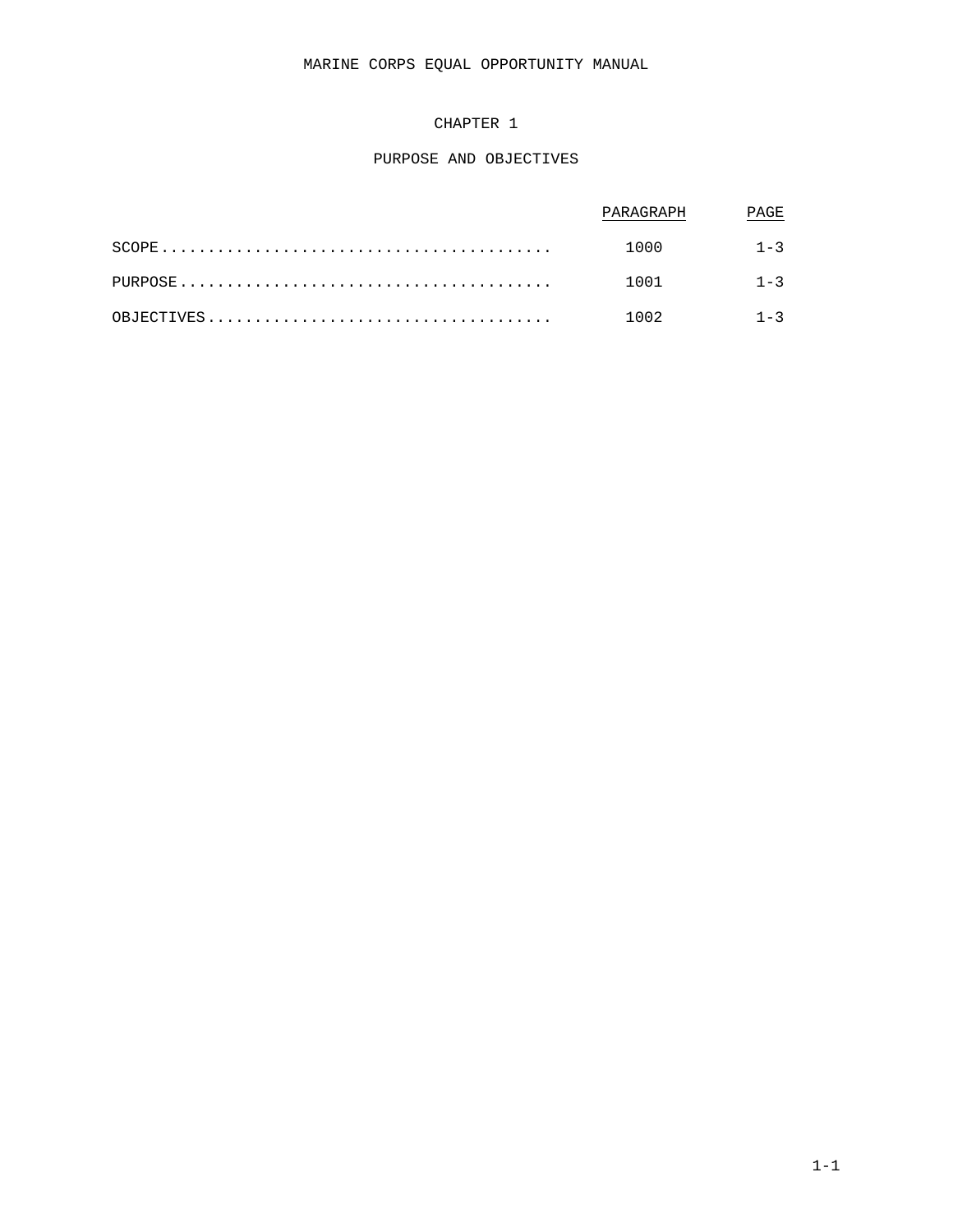# MARINE CORPS EQUAL OPPORTUNITY MANUAL

# CHAPTER 1

### PURPOSE AND OBJECTIVES

| PARAGRAPH    | PAGE |
|--------------|------|
| $1000$ $1-3$ |      |
| $1001$ $1-3$ |      |
| $1002$ $1-3$ |      |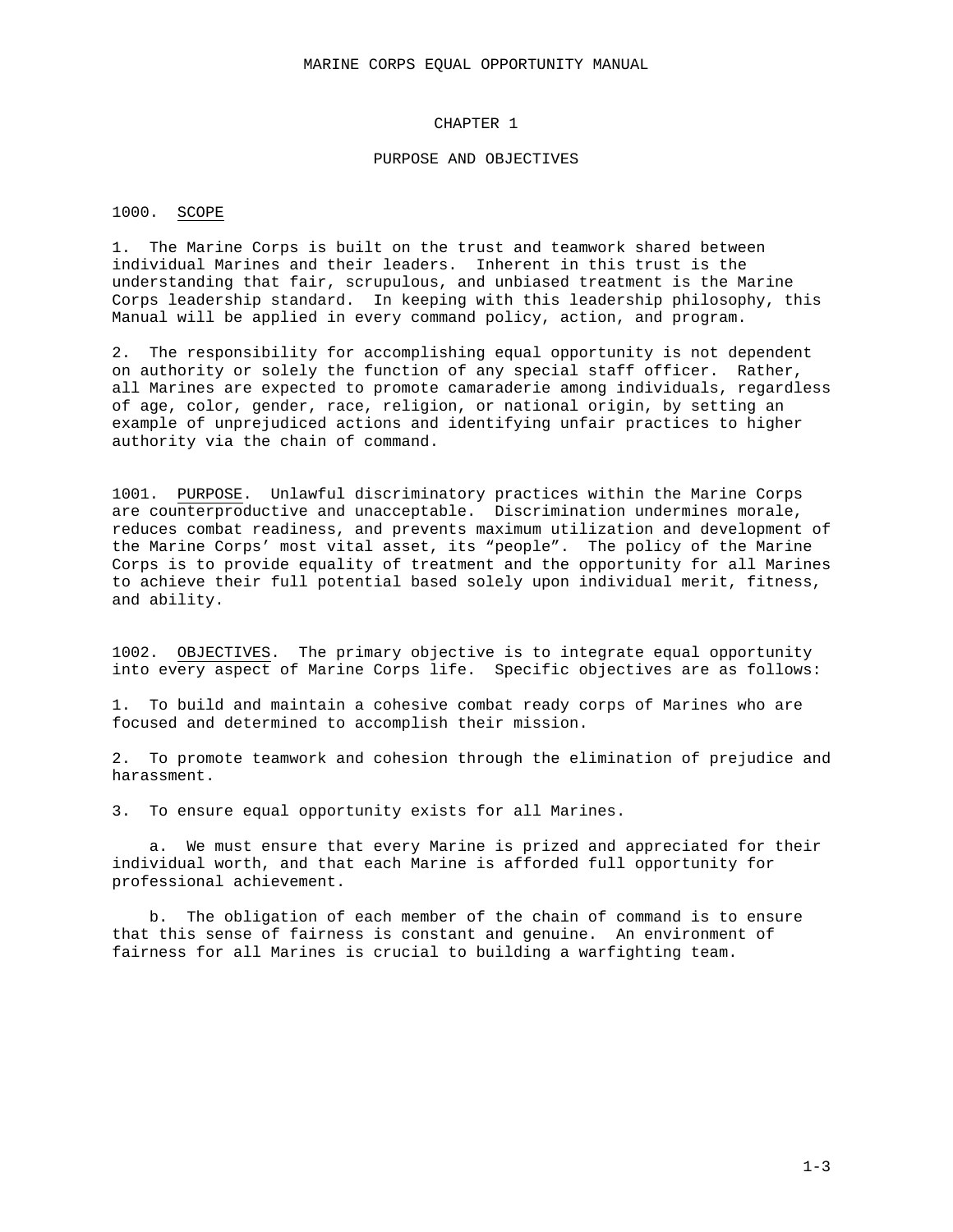#### CHAPTER 1

#### PURPOSE AND OBJECTIVES

#### 1000. SCOPE

1. The Marine Corps is built on the trust and teamwork shared between individual Marines and their leaders. Inherent in this trust is the understanding that fair, scrupulous, and unbiased treatment is the Marine Corps leadership standard. In keeping with this leadership philosophy, this Manual will be applied in every command policy, action, and program.

2. The responsibility for accomplishing equal opportunity is not dependent on authority or solely the function of any special staff officer. Rather, all Marines are expected to promote camaraderie among individuals, regardless of age, color, gender, race, religion, or national origin, by setting an example of unprejudiced actions and identifying unfair practices to higher authority via the chain of command.

1001. PURPOSE. Unlawful discriminatory practices within the Marine Corps are counterproductive and unacceptable. Discrimination undermines morale, reduces combat readiness, and prevents maximum utilization and development of the Marine Corps' most vital asset, its "people". The policy of the Marine Corps is to provide equality of treatment and the opportunity for all Marines to achieve their full potential based solely upon individual merit, fitness, and ability.

1002. OBJECTIVES. The primary objective is to integrate equal opportunity into every aspect of Marine Corps life. Specific objectives are as follows:

1. To build and maintain a cohesive combat ready corps of Marines who are focused and determined to accomplish their mission.

2. To promote teamwork and cohesion through the elimination of prejudice and harassment.

3. To ensure equal opportunity exists for all Marines.

a. We must ensure that every Marine is prized and appreciated for their individual worth, and that each Marine is afforded full opportunity for professional achievement.

b. The obligation of each member of the chain of command is to ensure that this sense of fairness is constant and genuine. An environment of fairness for all Marines is crucial to building a warfighting team.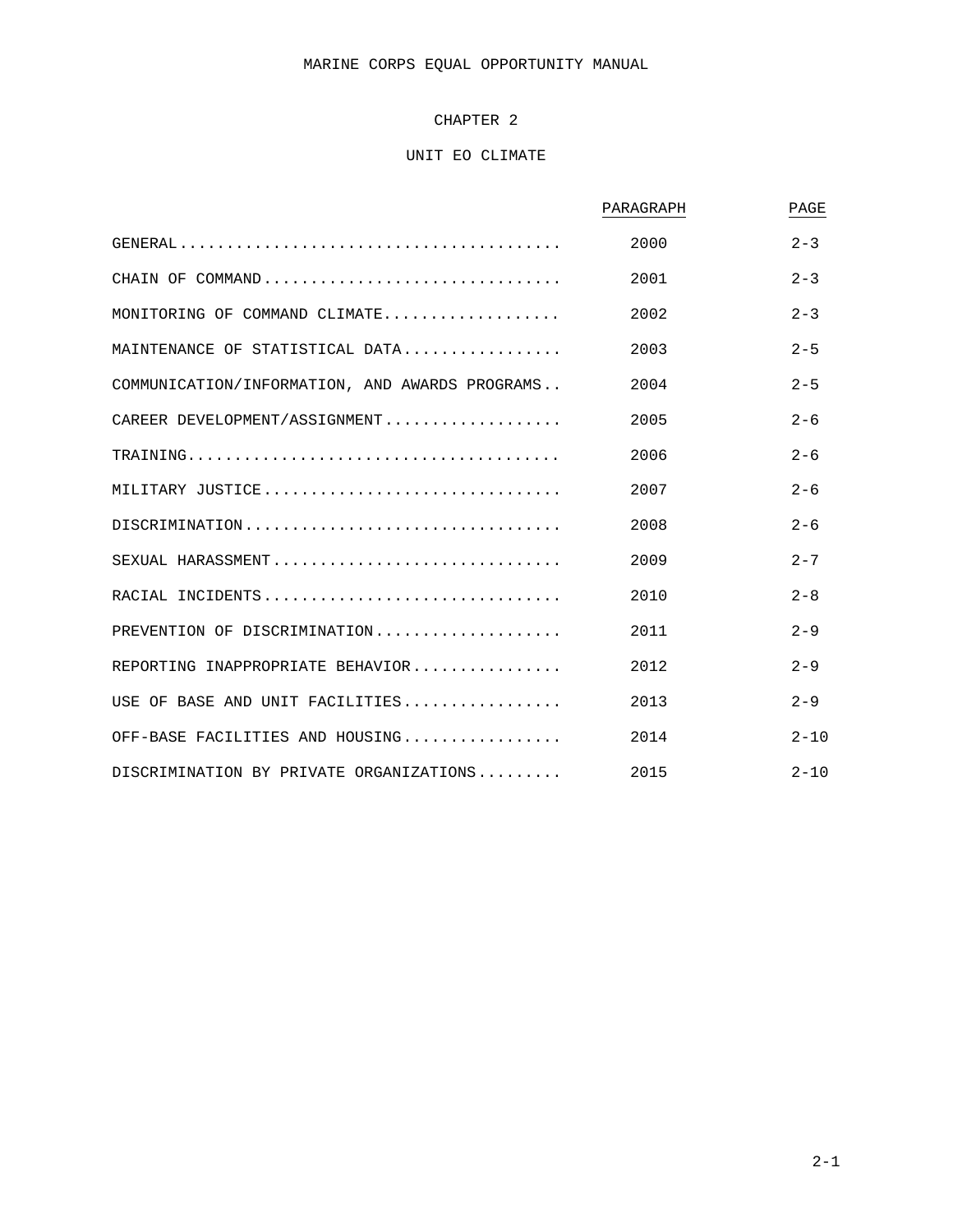# MARINE CORPS EQUAL OPPORTUNITY MANUAL

# CHAPTER 2

# UNIT EO CLIMATE

|                                                | PARAGRAPH | PAGE     |
|------------------------------------------------|-----------|----------|
|                                                | 2000      | $2 - 3$  |
| CHAIN OF COMMAND                               | 2001      | $2 - 3$  |
| MONITORING OF COMMAND CLIMATE                  | 2002      | $2 - 3$  |
| MAINTENANCE OF STATISTICAL DATA                | 2003      | $2 - 5$  |
| COMMUNICATION/INFORMATION, AND AWARDS PROGRAMS | 2004      | $2 - 5$  |
| CAREER DEVELOPMENT/ASSIGNMENT                  | 2005      | $2 - 6$  |
|                                                | 2006      | $2 - 6$  |
| MILITARY JUSTICE                               | 2007      | $2 - 6$  |
|                                                | 2008      | $2 - 6$  |
| SEXUAL HARASSMENT                              | 2009      | $2 - 7$  |
| RACIAL INCIDENTS                               | 2010      | $2 - 8$  |
| PREVENTION OF DISCRIMINATION                   | 2011      | $2 - 9$  |
| REPORTING INAPPROPRIATE BEHAVIOR               | 2012      | $2 - 9$  |
| USE OF BASE AND UNIT FACILITIES                | 2013      | $2 - 9$  |
| OFF-BASE FACILITIES AND HOUSING                | 2014      | $2 - 10$ |
| DISCRIMINATION BY PRIVATE ORGANIZATIONS        | 2015      | $2 - 10$ |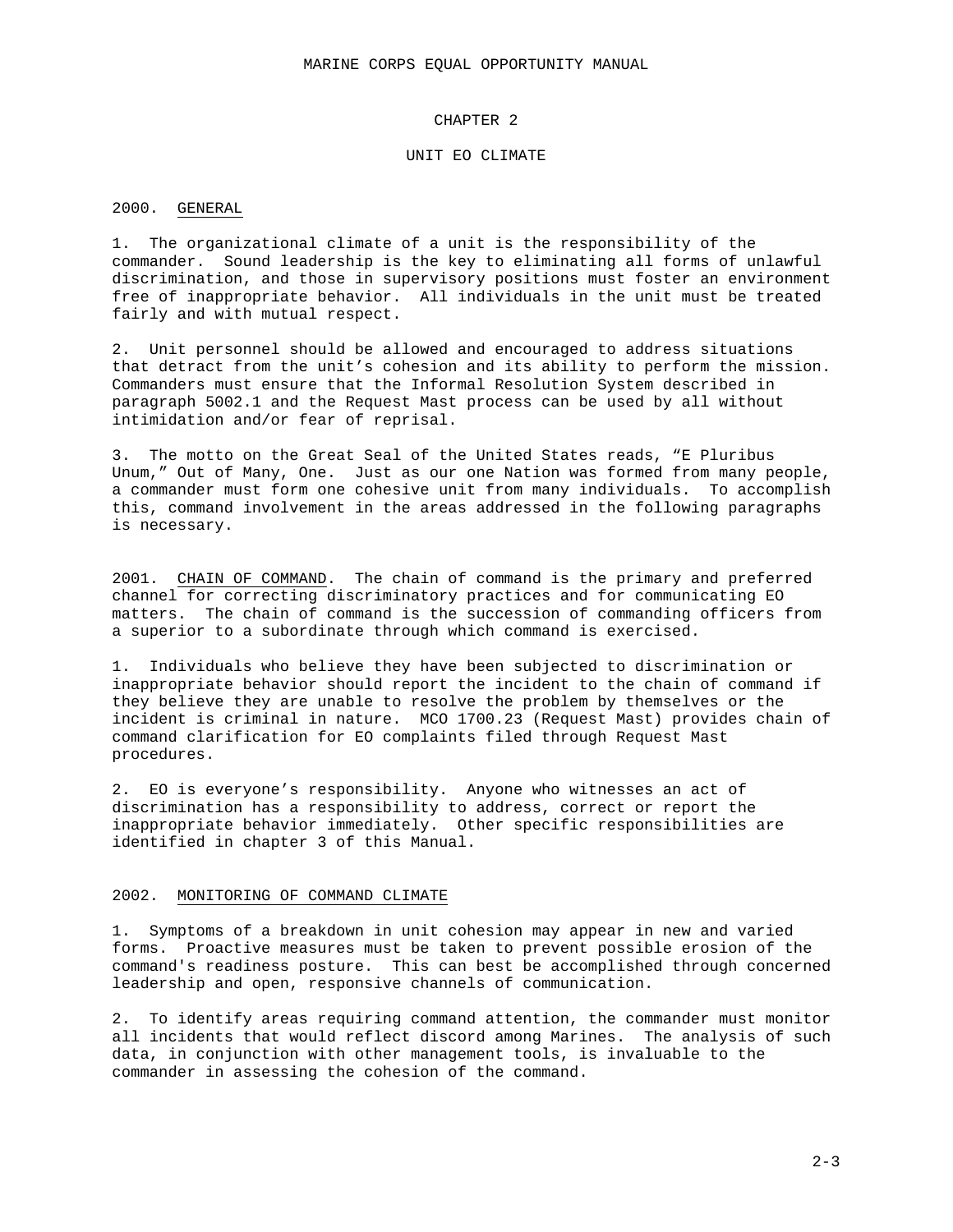### CHAPTER 2

#### UNIT EO CLIMATE

#### 2000. GENERAL

1. The organizational climate of a unit is the responsibility of the commander. Sound leadership is the key to eliminating all forms of unlawful discrimination, and those in supervisory positions must foster an environment free of inappropriate behavior. All individuals in the unit must be treated fairly and with mutual respect.

2. Unit personnel should be allowed and encouraged to address situations that detract from the unit's cohesion and its ability to perform the mission. Commanders must ensure that the Informal Resolution System described in paragraph 5002.1 and the Request Mast process can be used by all without intimidation and/or fear of reprisal.

3. The motto on the Great Seal of the United States reads, "E Pluribus Unum," Out of Many, One. Just as our one Nation was formed from many people, a commander must form one cohesive unit from many individuals. To accomplish this, command involvement in the areas addressed in the following paragraphs is necessary.

2001. CHAIN OF COMMAND. The chain of command is the primary and preferred channel for correcting discriminatory practices and for communicating EO matters. The chain of command is the succession of commanding officers from a superior to a subordinate through which command is exercised.

1. Individuals who believe they have been subjected to discrimination or inappropriate behavior should report the incident to the chain of command if they believe they are unable to resolve the problem by themselves or the incident is criminal in nature. MCO 1700.23 (Request Mast) provides chain of command clarification for EO complaints filed through Request Mast procedures.

2. EO is everyone's responsibility. Anyone who witnesses an act of discrimination has a responsibility to address, correct or report the inappropriate behavior immediately. Other specific responsibilities are identified in chapter 3 of this Manual.

### 2002. MONITORING OF COMMAND CLIMATE

1. Symptoms of a breakdown in unit cohesion may appear in new and varied forms. Proactive measures must be taken to prevent possible erosion of the command's readiness posture. This can best be accomplished through concerned leadership and open, responsive channels of communication.

2. To identify areas requiring command attention, the commander must monitor all incidents that would reflect discord among Marines. The analysis of such data, in conjunction with other management tools, is invaluable to the commander in assessing the cohesion of the command.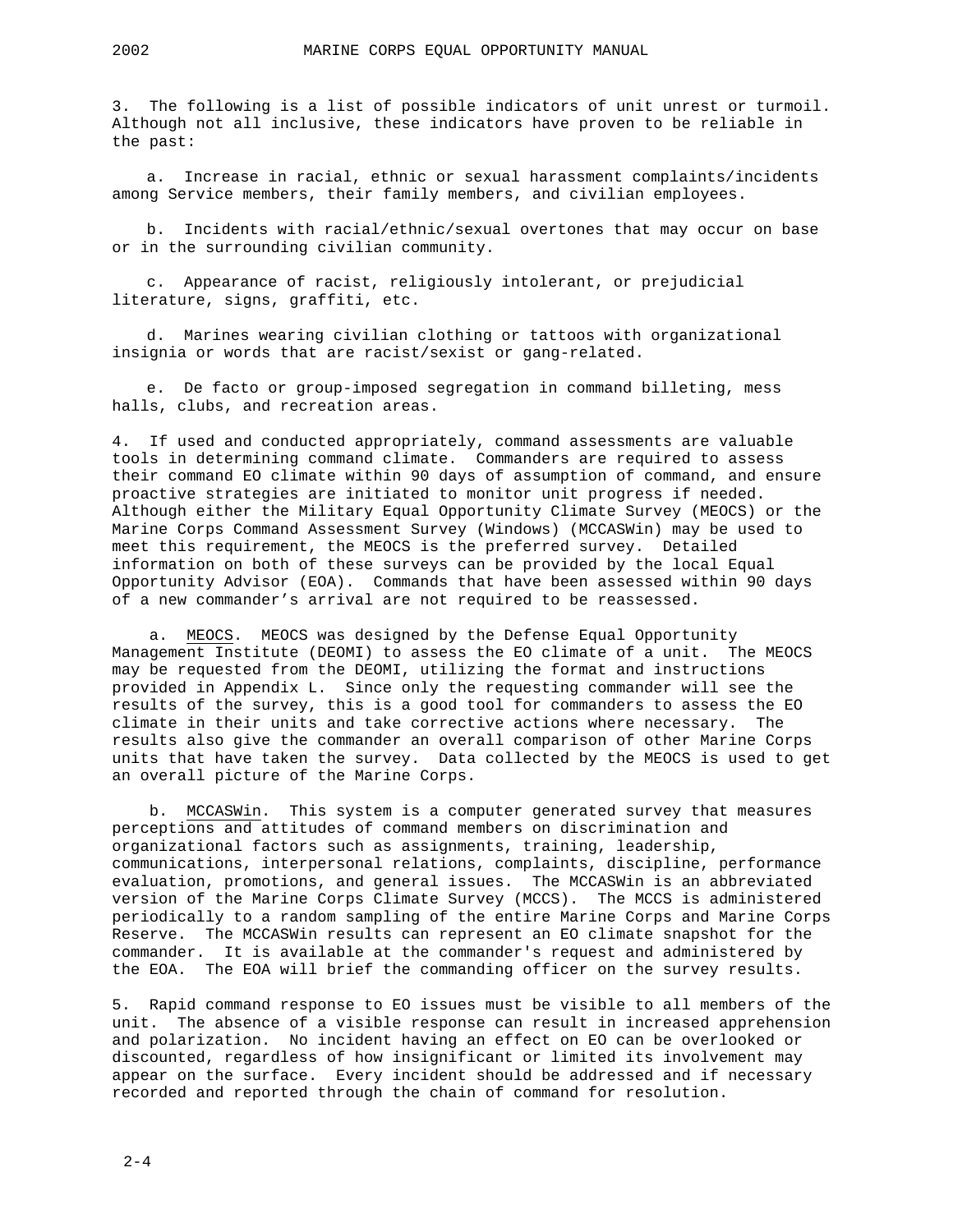3. The following is a list of possible indicators of unit unrest or turmoil. Although not all inclusive, these indicators have proven to be reliable in the past:

a. Increase in racial, ethnic or sexual harassment complaints/incidents among Service members, their family members, and civilian employees.

b. Incidents with racial/ethnic/sexual overtones that may occur on base or in the surrounding civilian community.

c. Appearance of racist, religiously intolerant, or prejudicial literature, signs, graffiti, etc.

d. Marines wearing civilian clothing or tattoos with organizational insignia or words that are racist/sexist or gang-related.

e. De facto or group-imposed segregation in command billeting, mess halls, clubs, and recreation areas.

4. If used and conducted appropriately, command assessments are valuable tools in determining command climate. Commanders are required to assess their command EO climate within 90 days of assumption of command, and ensure proactive strategies are initiated to monitor unit progress if needed. Although either the Military Equal Opportunity Climate Survey (MEOCS) or the Marine Corps Command Assessment Survey (Windows) (MCCASWin) may be used to meet this requirement, the MEOCS is the preferred survey. Detailed information on both of these surveys can be provided by the local Equal Opportunity Advisor (EOA). Commands that have been assessed within 90 days of a new commander's arrival are not required to be reassessed.

a. MEOCS. MEOCS was designed by the Defense Equal Opportunity Management Institute (DEOMI) to assess the EO climate of a unit. The MEOCS may be requested from the DEOMI, utilizing the format and instructions provided in Appendix L. Since only the requesting commander will see the results of the survey, this is a good tool for commanders to assess the EO climate in their units and take corrective actions where necessary. The results also give the commander an overall comparison of other Marine Corps units that have taken the survey. Data collected by the MEOCS is used to get an overall picture of the Marine Corps.

b. MCCASWin. This system is a computer generated survey that measures perceptions and attitudes of command members on discrimination and organizational factors such as assignments, training, leadership, communications, interpersonal relations, complaints, discipline, performance evaluation, promotions, and general issues. The MCCASWin is an abbreviated version of the Marine Corps Climate Survey (MCCS). The MCCS is administered periodically to a random sampling of the entire Marine Corps and Marine Corps Reserve. The MCCASWin results can represent an EO climate snapshot for the commander. It is available at the commander's request and administered by the EOA. The EOA will brief the commanding officer on the survey results.

5. Rapid command response to EO issues must be visible to all members of the unit. The absence of a visible response can result in increased apprehension and polarization. No incident having an effect on EO can be overlooked or discounted, regardless of how insignificant or limited its involvement may appear on the surface. Every incident should be addressed and if necessary recorded and reported through the chain of command for resolution.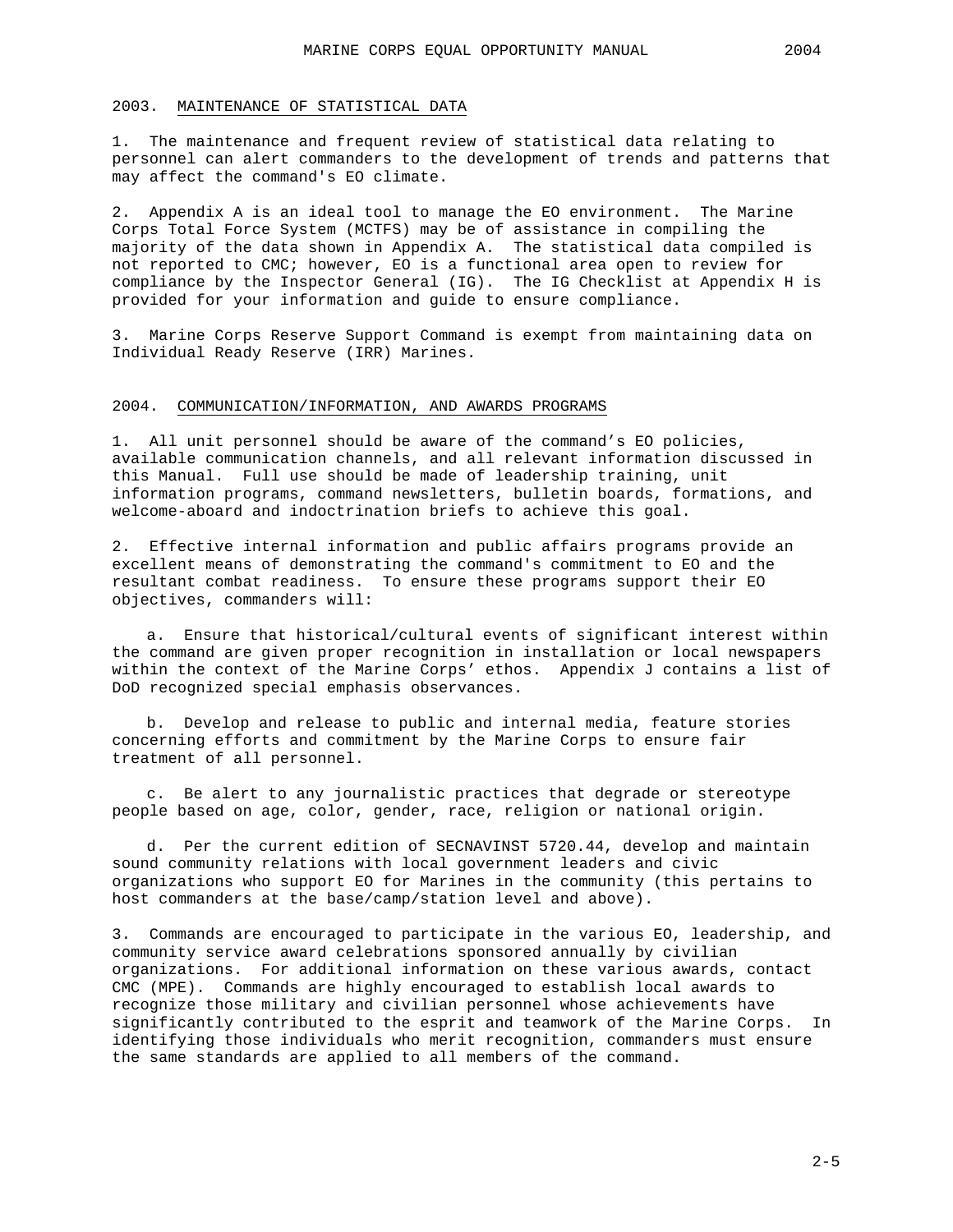#### 2003. MAINTENANCE OF STATISTICAL DATA

1. The maintenance and frequent review of statistical data relating to personnel can alert commanders to the development of trends and patterns that may affect the command's EO climate.

2. Appendix A is an ideal tool to manage the EO environment. The Marine Corps Total Force System (MCTFS) may be of assistance in compiling the majority of the data shown in Appendix A. The statistical data compiled is not reported to CMC; however, EO is a functional area open to review for compliance by the Inspector General (IG). The IG Checklist at Appendix H is provided for your information and guide to ensure compliance.

3. Marine Corps Reserve Support Command is exempt from maintaining data on Individual Ready Reserve (IRR) Marines.

#### 2004. COMMUNICATION/INFORMATION, AND AWARDS PROGRAMS

1. All unit personnel should be aware of the command's EO policies, available communication channels, and all relevant information discussed in this Manual. Full use should be made of leadership training, unit information programs, command newsletters, bulletin boards, formations, and welcome-aboard and indoctrination briefs to achieve this goal.

2. Effective internal information and public affairs programs provide an excellent means of demonstrating the command's commitment to EO and the resultant combat readiness. To ensure these programs support their EO objectives, commanders will:

a. Ensure that historical/cultural events of significant interest within the command are given proper recognition in installation or local newspapers within the context of the Marine Corps' ethos. Appendix J contains a list of DoD recognized special emphasis observances.

b. Develop and release to public and internal media, feature stories concerning efforts and commitment by the Marine Corps to ensure fair treatment of all personnel.

c. Be alert to any journalistic practices that degrade or stereotype people based on age, color, gender, race, religion or national origin.

d. Per the current edition of SECNAVINST 5720.44, develop and maintain sound community relations with local government leaders and civic organizations who support EO for Marines in the community (this pertains to host commanders at the base/camp/station level and above).

3. Commands are encouraged to participate in the various EO, leadership, and community service award celebrations sponsored annually by civilian organizations. For additional information on these various awards, contact CMC (MPE). Commands are highly encouraged to establish local awards to recognize those military and civilian personnel whose achievements have significantly contributed to the esprit and teamwork of the Marine Corps. In identifying those individuals who merit recognition, commanders must ensure the same standards are applied to all members of the command.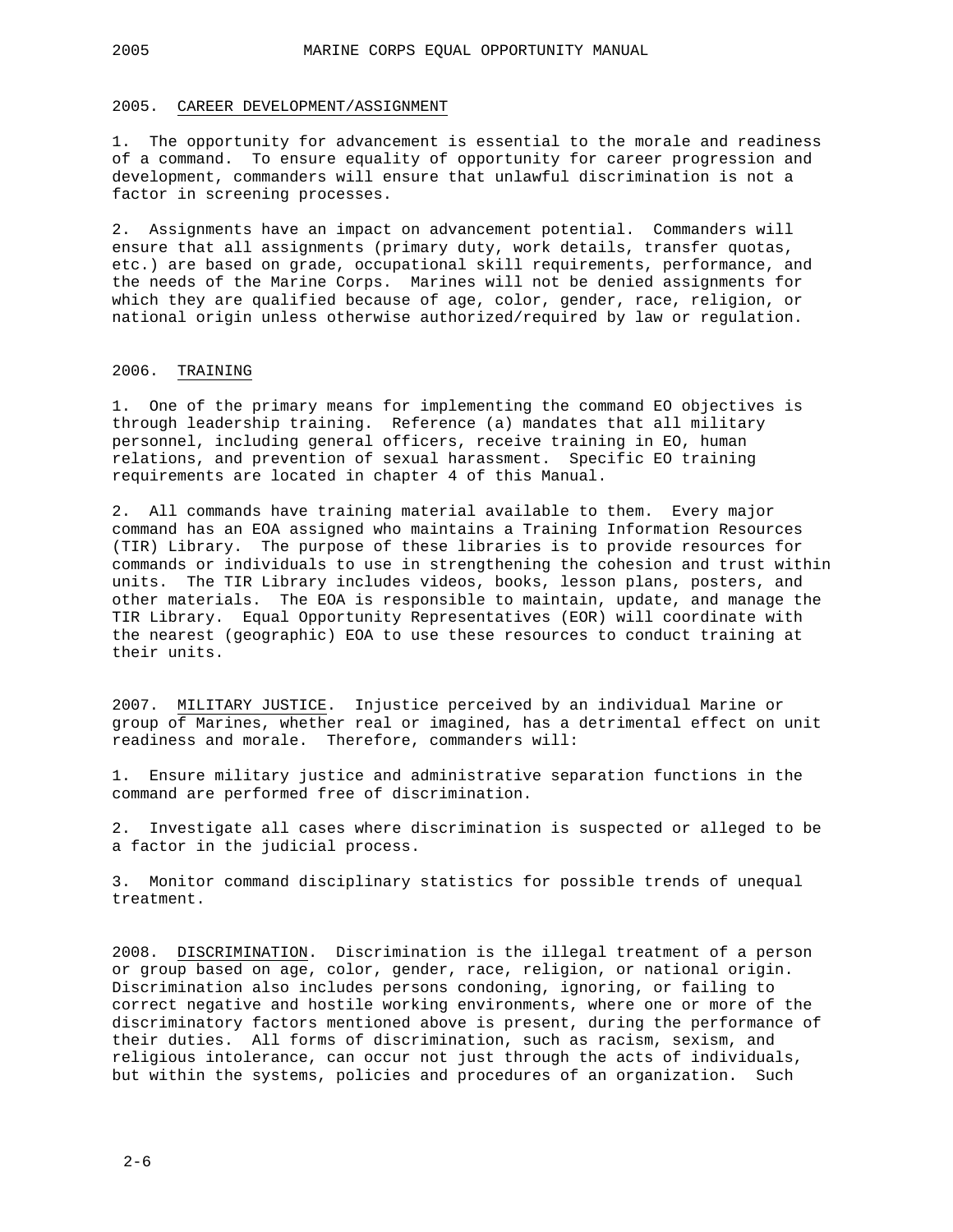#### 2005. CAREER DEVELOPMENT/ASSIGNMENT

1. The opportunity for advancement is essential to the morale and readiness of a command. To ensure equality of opportunity for career progression and development, commanders will ensure that unlawful discrimination is not a factor in screening processes.

2. Assignments have an impact on advancement potential. Commanders will ensure that all assignments (primary duty, work details, transfer quotas, etc.) are based on grade, occupational skill requirements, performance, and the needs of the Marine Corps. Marines will not be denied assignments for which they are qualified because of age, color, gender, race, religion, or national origin unless otherwise authorized/required by law or regulation.

#### 2006. TRAINING

1. One of the primary means for implementing the command EO objectives is through leadership training. Reference (a) mandates that all military personnel, including general officers, receive training in EO, human relations, and prevention of sexual harassment. Specific EO training requirements are located in chapter 4 of this Manual.

2. All commands have training material available to them. Every major command has an EOA assigned who maintains a Training Information Resources (TIR) Library. The purpose of these libraries is to provide resources for commands or individuals to use in strengthening the cohesion and trust within units. The TIR Library includes videos, books, lesson plans, posters, and other materials. The EOA is responsible to maintain, update, and manage the TIR Library. Equal Opportunity Representatives (EOR) will coordinate with the nearest (geographic) EOA to use these resources to conduct training at their units.

2007. MILITARY JUSTICE. Injustice perceived by an individual Marine or group of Marines, whether real or imagined, has a detrimental effect on unit readiness and morale. Therefore, commanders will:

1. Ensure military justice and administrative separation functions in the command are performed free of discrimination.

2. Investigate all cases where discrimination is suspected or alleged to be a factor in the judicial process.

3. Monitor command disciplinary statistics for possible trends of unequal treatment.

2008. DISCRIMINATION. Discrimination is the illegal treatment of a person or group based on age, color, gender, race, religion, or national origin. Discrimination also includes persons condoning, ignoring, or failing to correct negative and hostile working environments, where one or more of the discriminatory factors mentioned above is present, during the performance of their duties. All forms of discrimination, such as racism, sexism, and religious intolerance, can occur not just through the acts of individuals, but within the systems, policies and procedures of an organization. Such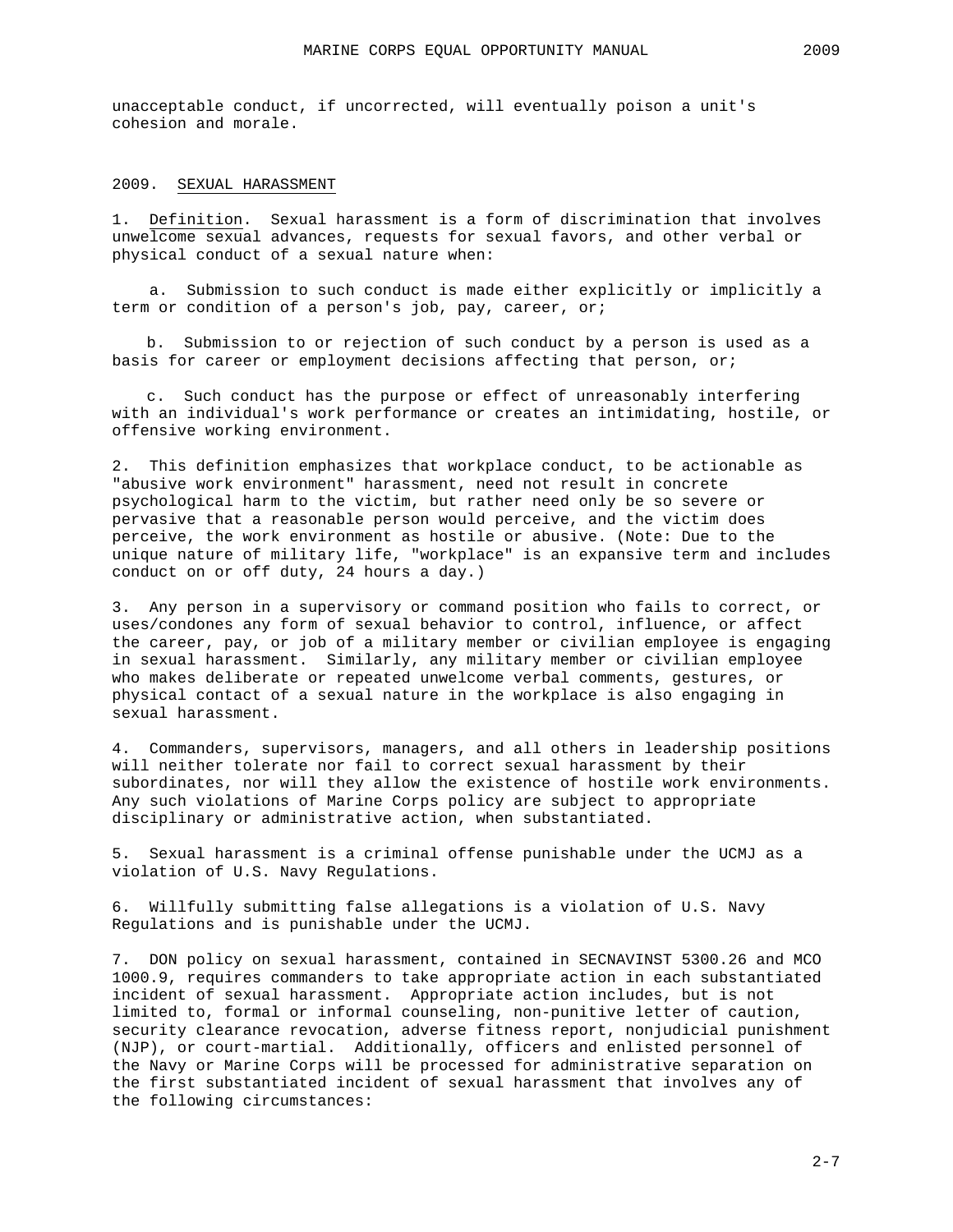unacceptable conduct, if uncorrected, will eventually poison a unit's cohesion and morale.

#### 2009. SEXUAL HARASSMENT

1. Definition. Sexual harassment is a form of discrimination that involves unwelcome sexual advances, requests for sexual favors, and other verbal or physical conduct of a sexual nature when:

a. Submission to such conduct is made either explicitly or implicitly a term or condition of a person's job, pay, career, or;

b. Submission to or rejection of such conduct by a person is used as a basis for career or employment decisions affecting that person, or;

c. Such conduct has the purpose or effect of unreasonably interfering with an individual's work performance or creates an intimidating, hostile, or offensive working environment.

2. This definition emphasizes that workplace conduct, to be actionable as "abusive work environment" harassment, need not result in concrete psychological harm to the victim, but rather need only be so severe or pervasive that a reasonable person would perceive, and the victim does perceive, the work environment as hostile or abusive. (Note: Due to the unique nature of military life, "workplace" is an expansive term and includes conduct on or off duty, 24 hours a day.)

3. Any person in a supervisory or command position who fails to correct, or uses/condones any form of sexual behavior to control, influence, or affect the career, pay, or job of a military member or civilian employee is engaging in sexual harassment. Similarly, any military member or civilian employee who makes deliberate or repeated unwelcome verbal comments, gestures, or physical contact of a sexual nature in the workplace is also engaging in sexual harassment.

4. Commanders, supervisors, managers, and all others in leadership positions will neither tolerate nor fail to correct sexual harassment by their subordinates, nor will they allow the existence of hostile work environments. Any such violations of Marine Corps policy are subject to appropriate disciplinary or administrative action, when substantiated.

5. Sexual harassment is a criminal offense punishable under the UCMJ as a violation of U.S. Navy Regulations.

6. Willfully submitting false allegations is a violation of U.S. Navy Regulations and is punishable under the UCMJ.

7. DON policy on sexual harassment, contained in SECNAVINST 5300.26 and MCO 1000.9, requires commanders to take appropriate action in each substantiated incident of sexual harassment. Appropriate action includes, but is not limited to, formal or informal counseling, non-punitive letter of caution, security clearance revocation, adverse fitness report, nonjudicial punishment (NJP), or court-martial. Additionally, officers and enlisted personnel of the Navy or Marine Corps will be processed for administrative separation on the first substantiated incident of sexual harassment that involves any of the following circumstances: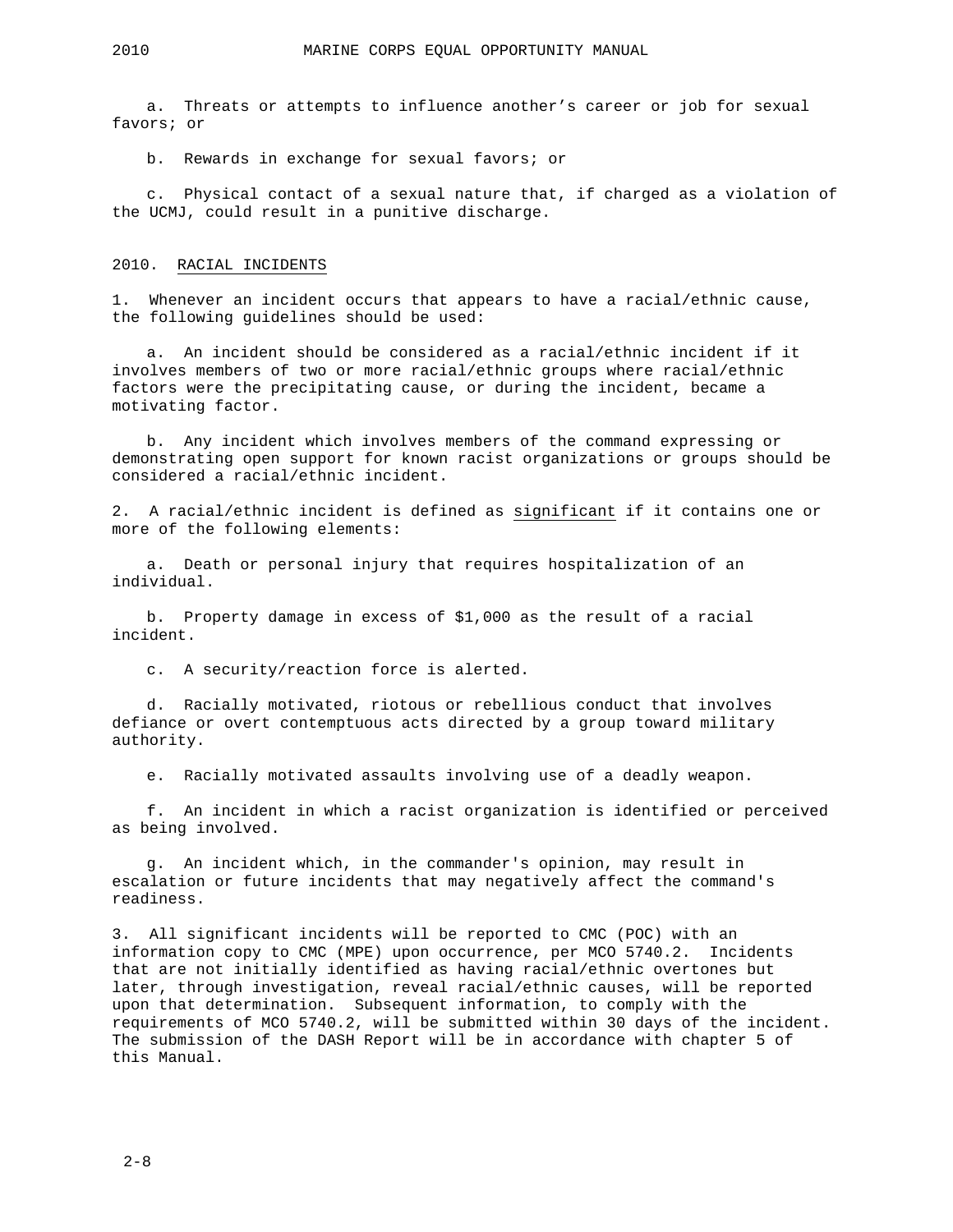a. Threats or attempts to influence another's career or job for sexual favors; or

b. Rewards in exchange for sexual favors; or

c. Physical contact of a sexual nature that, if charged as a violation of the UCMJ, could result in a punitive discharge.

#### 2010. RACIAL INCIDENTS

1. Whenever an incident occurs that appears to have a racial/ethnic cause, the following guidelines should be used:

a. An incident should be considered as a racial/ethnic incident if it involves members of two or more racial/ethnic groups where racial/ethnic factors were the precipitating cause, or during the incident, became a motivating factor.

b. Any incident which involves members of the command expressing or demonstrating open support for known racist organizations or groups should be considered a racial/ethnic incident.

2. A racial/ethnic incident is defined as significant if it contains one or more of the following elements:

a. Death or personal injury that requires hospitalization of an individual.

b. Property damage in excess of \$1,000 as the result of a racial incident.

c. A security/reaction force is alerted.

d. Racially motivated, riotous or rebellious conduct that involves defiance or overt contemptuous acts directed by a group toward military authority.

e. Racially motivated assaults involving use of a deadly weapon.

f. An incident in which a racist organization is identified or perceived as being involved.

g. An incident which, in the commander's opinion, may result in escalation or future incidents that may negatively affect the command's readiness.

3. All significant incidents will be reported to CMC (POC) with an information copy to CMC (MPE) upon occurrence, per MCO 5740.2. Incidents that are not initially identified as having racial/ethnic overtones but later, through investigation, reveal racial/ethnic causes, will be reported upon that determination. Subsequent information, to comply with the requirements of MCO 5740.2, will be submitted within 30 days of the incident. The submission of the DASH Report will be in accordance with chapter 5 of this Manual.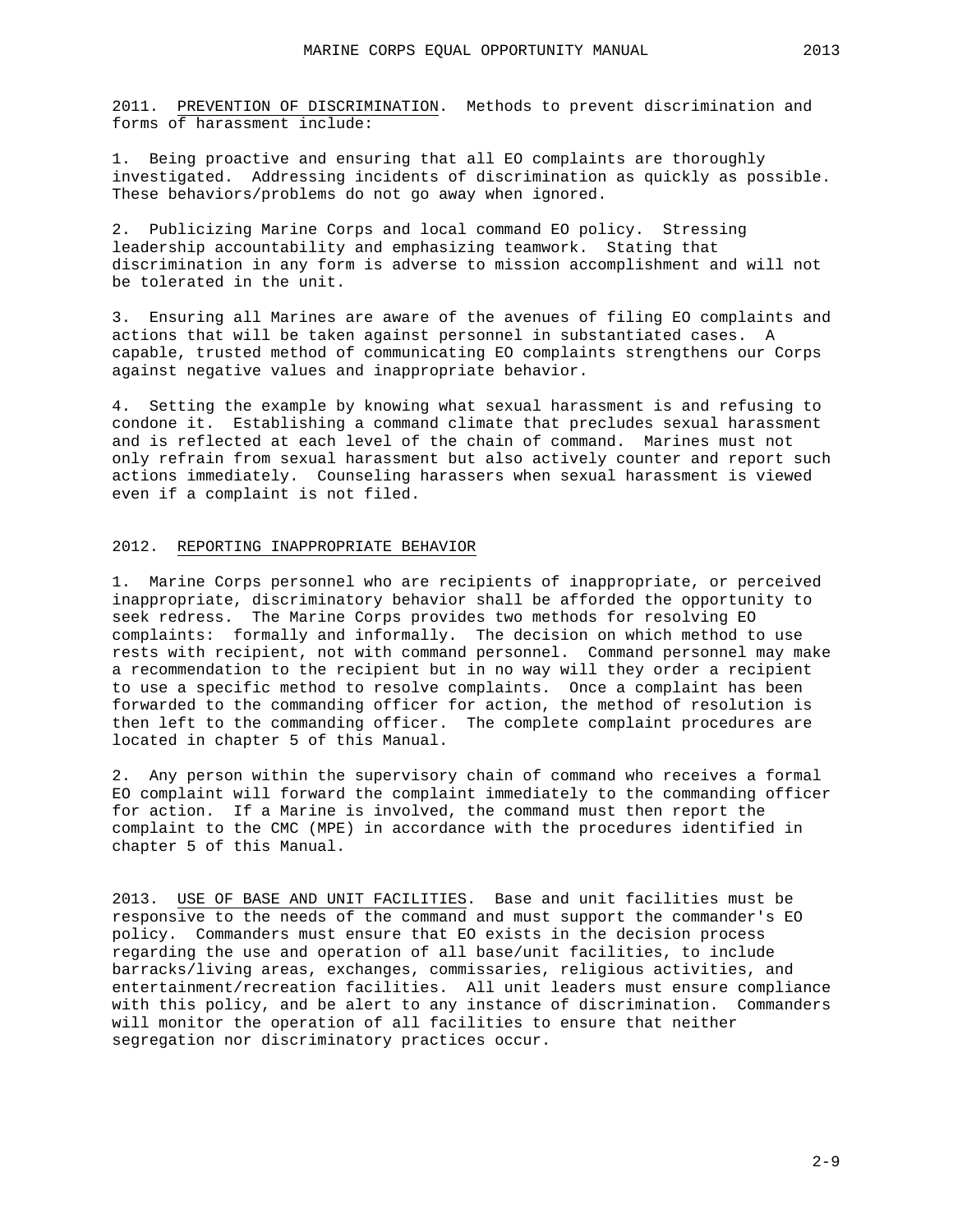2011. PREVENTION OF DISCRIMINATION. Methods to prevent discrimination and forms of harassment include:

1. Being proactive and ensuring that all EO complaints are thoroughly investigated. Addressing incidents of discrimination as quickly as possible. These behaviors/problems do not go away when ignored.

2. Publicizing Marine Corps and local command EO policy. Stressing leadership accountability and emphasizing teamwork. Stating that discrimination in any form is adverse to mission accomplishment and will not be tolerated in the unit.

3. Ensuring all Marines are aware of the avenues of filing EO complaints and actions that will be taken against personnel in substantiated cases. A capable, trusted method of communicating EO complaints strengthens our Corps against negative values and inappropriate behavior.

4. Setting the example by knowing what sexual harassment is and refusing to condone it. Establishing a command climate that precludes sexual harassment and is reflected at each level of the chain of command. Marines must not only refrain from sexual harassment but also actively counter and report such actions immediately. Counseling harassers when sexual harassment is viewed even if a complaint is not filed.

#### 2012. REPORTING INAPPROPRIATE BEHAVIOR

1. Marine Corps personnel who are recipients of inappropriate, or perceived inappropriate, discriminatory behavior shall be afforded the opportunity to seek redress. The Marine Corps provides two methods for resolving EO complaints: formally and informally. The decision on which method to use rests with recipient, not with command personnel. Command personnel may make a recommendation to the recipient but in no way will they order a recipient to use a specific method to resolve complaints. Once a complaint has been forwarded to the commanding officer for action, the method of resolution is then left to the commanding officer. The complete complaint procedures are located in chapter 5 of this Manual.

2. Any person within the supervisory chain of command who receives a formal EO complaint will forward the complaint immediately to the commanding officer for action. If a Marine is involved, the command must then report the complaint to the CMC (MPE) in accordance with the procedures identified in chapter 5 of this Manual.

2013. USE OF BASE AND UNIT FACILITIES. Base and unit facilities must be responsive to the needs of the command and must support the commander's EO policy. Commanders must ensure that EO exists in the decision process regarding the use and operation of all base/unit facilities, to include barracks/living areas, exchanges, commissaries, religious activities, and entertainment/recreation facilities. All unit leaders must ensure compliance with this policy, and be alert to any instance of discrimination. Commanders will monitor the operation of all facilities to ensure that neither segregation nor discriminatory practices occur.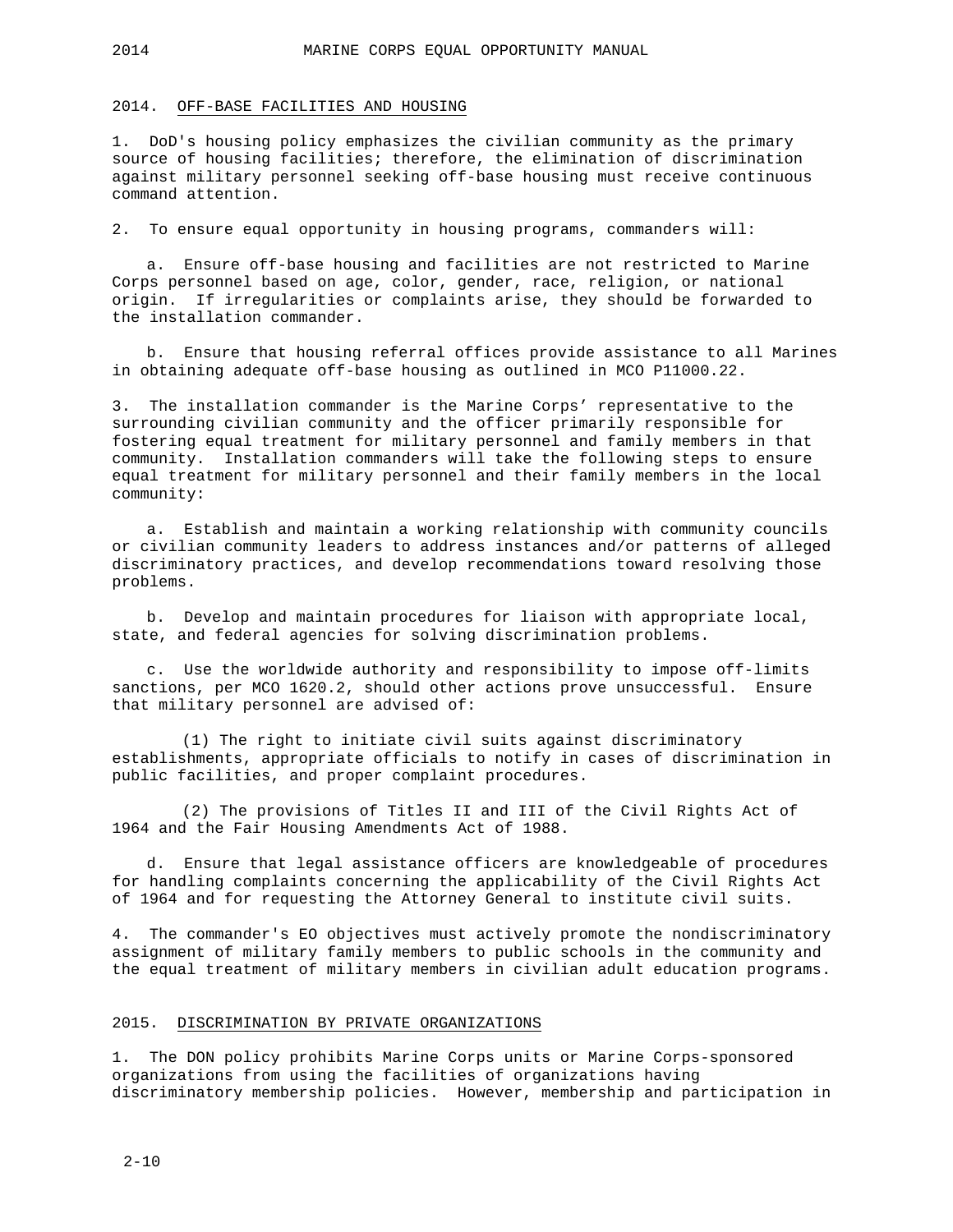#### 2014. OFF-BASE FACILITIES AND HOUSING

1. DoD's housing policy emphasizes the civilian community as the primary source of housing facilities; therefore, the elimination of discrimination against military personnel seeking off-base housing must receive continuous command attention.

2. To ensure equal opportunity in housing programs, commanders will:

a. Ensure off-base housing and facilities are not restricted to Marine Corps personnel based on age, color, gender, race, religion, or national origin. If irregularities or complaints arise, they should be forwarded to the installation commander.

b. Ensure that housing referral offices provide assistance to all Marines in obtaining adequate off-base housing as outlined in MCO P11000.22.

3. The installation commander is the Marine Corps' representative to the surrounding civilian community and the officer primarily responsible for fostering equal treatment for military personnel and family members in that community. Installation commanders will take the following steps to ensure equal treatment for military personnel and their family members in the local community:

a. Establish and maintain a working relationship with community councils or civilian community leaders to address instances and/or patterns of alleged discriminatory practices, and develop recommendations toward resolving those problems.

b. Develop and maintain procedures for liaison with appropriate local, state, and federal agencies for solving discrimination problems.

c. Use the worldwide authority and responsibility to impose off-limits sanctions, per MCO 1620.2, should other actions prove unsuccessful. Ensure that military personnel are advised of:

(1) The right to initiate civil suits against discriminatory establishments, appropriate officials to notify in cases of discrimination in public facilities, and proper complaint procedures.

(2) The provisions of Titles II and III of the Civil Rights Act of 1964 and the Fair Housing Amendments Act of 1988.

d. Ensure that legal assistance officers are knowledgeable of procedures for handling complaints concerning the applicability of the Civil Rights Act of 1964 and for requesting the Attorney General to institute civil suits.

4. The commander's EO objectives must actively promote the nondiscriminatory assignment of military family members to public schools in the community and the equal treatment of military members in civilian adult education programs.

#### 2015. DISCRIMINATION BY PRIVATE ORGANIZATIONS

1. The DON policy prohibits Marine Corps units or Marine Corps-sponsored organizations from using the facilities of organizations having discriminatory membership policies. However, membership and participation in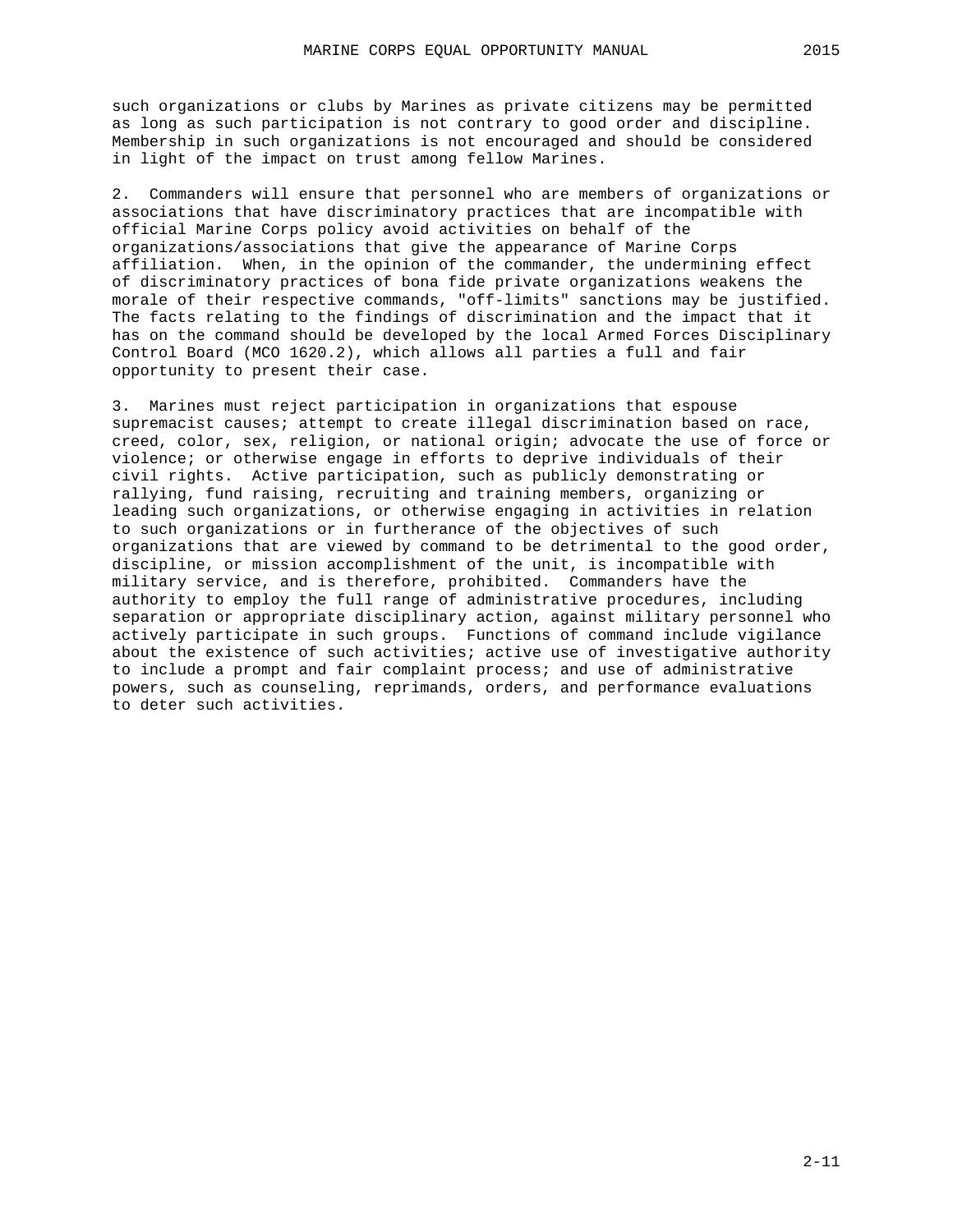such organizations or clubs by Marines as private citizens may be permitted as long as such participation is not contrary to good order and discipline. Membership in such organizations is not encouraged and should be considered in light of the impact on trust among fellow Marines.

2. Commanders will ensure that personnel who are members of organizations or associations that have discriminatory practices that are incompatible with official Marine Corps policy avoid activities on behalf of the organizations/associations that give the appearance of Marine Corps affiliation. When, in the opinion of the commander, the undermining effect of discriminatory practices of bona fide private organizations weakens the morale of their respective commands, "off-limits" sanctions may be justified. The facts relating to the findings of discrimination and the impact that it has on the command should be developed by the local Armed Forces Disciplinary Control Board (MCO 1620.2), which allows all parties a full and fair opportunity to present their case.

3. Marines must reject participation in organizations that espouse supremacist causes; attempt to create illegal discrimination based on race, creed, color, sex, religion, or national origin; advocate the use of force or violence; or otherwise engage in efforts to deprive individuals of their civil rights. Active participation, such as publicly demonstrating or rallying, fund raising, recruiting and training members, organizing or leading such organizations, or otherwise engaging in activities in relation to such organizations or in furtherance of the objectives of such organizations that are viewed by command to be detrimental to the good order, discipline, or mission accomplishment of the unit, is incompatible with military service, and is therefore, prohibited. Commanders have the authority to employ the full range of administrative procedures, including separation or appropriate disciplinary action, against military personnel who actively participate in such groups. Functions of command include vigilance about the existence of such activities; active use of investigative authority to include a prompt and fair complaint process; and use of administrative powers, such as counseling, reprimands, orders, and performance evaluations to deter such activities.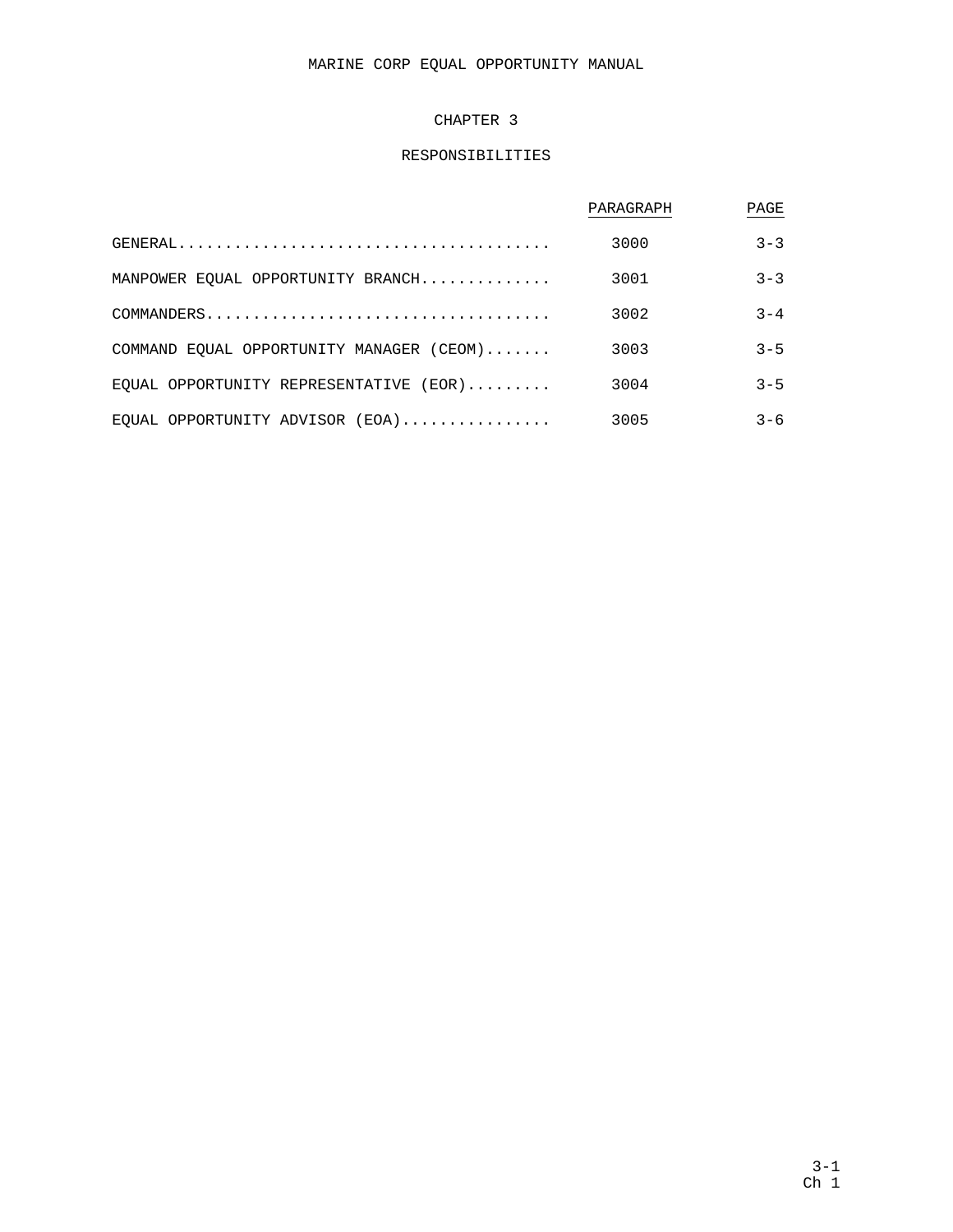# MARINE CORP EQUAL OPPORTUNITY MANUAL

### CHAPTER 3

# RESPONSIBILITIES

|                                          | PARAGRAPH | PAGE    |
|------------------------------------------|-----------|---------|
|                                          | 3000      | $3 - 3$ |
| MANPOWER EQUAL OPPORTUNITY BRANCH        | 3001      | $3 - 3$ |
|                                          | 3002      | $3 - 4$ |
| COMMAND EQUAL OPPORTUNITY MANAGER (CEOM) | 3003      | $3 - 5$ |
| EOUAL OPPORTUNITY REPRESENTATIVE $(EOR)$ | 3004      | $3 - 5$ |
| EQUAL OPPORTUNITY ADVISOR $(EOA)$        | 3005      | $3 - 6$ |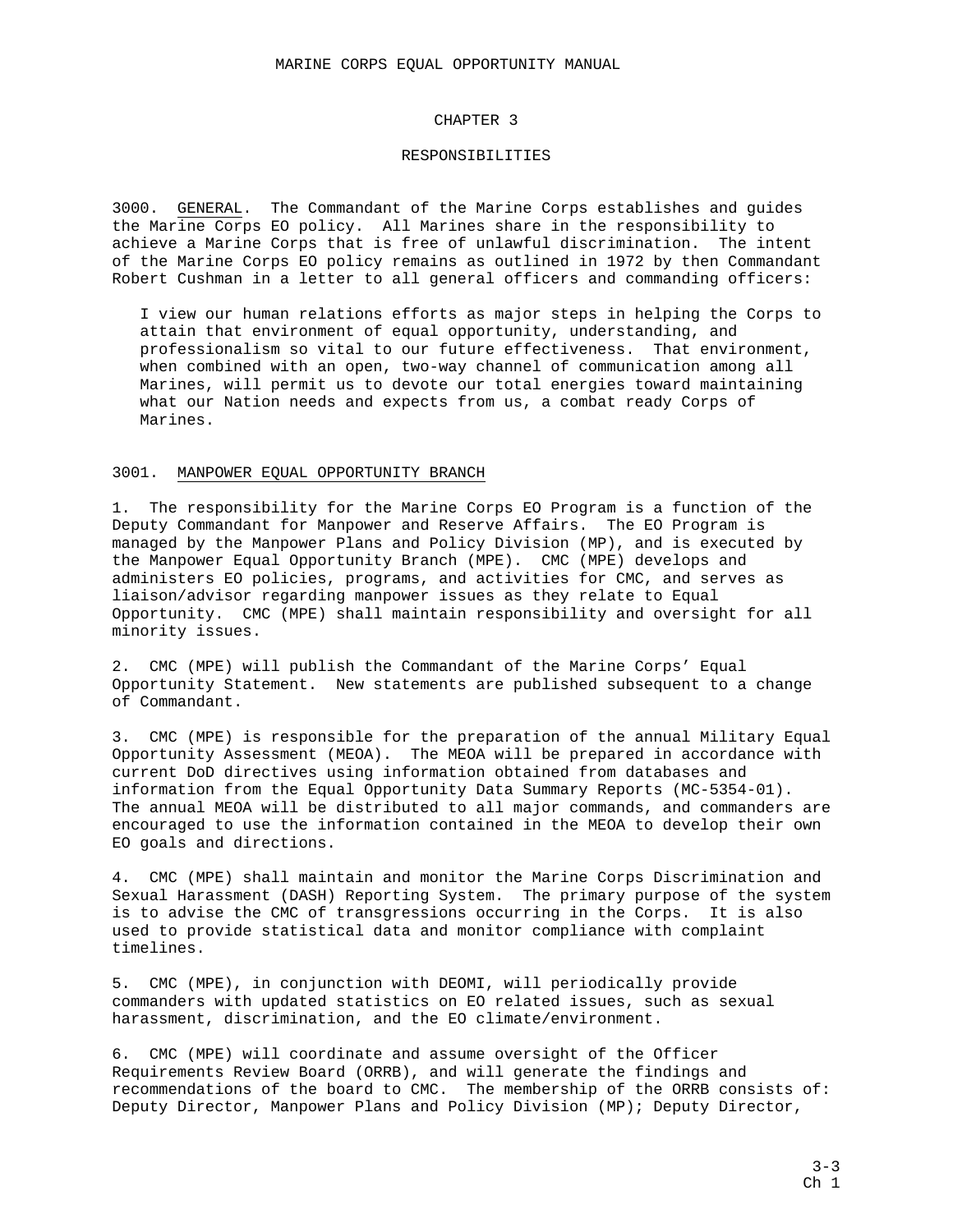#### CHAPTER 3

#### RESPONSIBILITIES

3000. GENERAL. The Commandant of the Marine Corps establishes and guides the Marine Corps EO policy. All Marines share in the responsibility to achieve a Marine Corps that is free of unlawful discrimination. The intent of the Marine Corps EO policy remains as outlined in 1972 by then Commandant Robert Cushman in a letter to all general officers and commanding officers:

 I view our human relations efforts as major steps in helping the Corps to attain that environment of equal opportunity, understanding, and professionalism so vital to our future effectiveness. That environment, when combined with an open, two-way channel of communication among all Marines, will permit us to devote our total energies toward maintaining what our Nation needs and expects from us, a combat ready Corps of Marines.

#### 3001. MANPOWER EQUAL OPPORTUNITY BRANCH

1. The responsibility for the Marine Corps EO Program is a function of the Deputy Commandant for Manpower and Reserve Affairs. The EO Program is managed by the Manpower Plans and Policy Division (MP), and is executed by the Manpower Equal Opportunity Branch (MPE). CMC (MPE) develops and administers EO policies, programs, and activities for CMC, and serves as liaison/advisor regarding manpower issues as they relate to Equal Opportunity. CMC (MPE) shall maintain responsibility and oversight for all minority issues.

2. CMC (MPE) will publish the Commandant of the Marine Corps' Equal Opportunity Statement. New statements are published subsequent to a change of Commandant.

3. CMC (MPE) is responsible for the preparation of the annual Military Equal Opportunity Assessment (MEOA). The MEOA will be prepared in accordance with current DoD directives using information obtained from databases and information from the Equal Opportunity Data Summary Reports (MC-5354-01). The annual MEOA will be distributed to all major commands, and commanders are encouraged to use the information contained in the MEOA to develop their own EO goals and directions.

4. CMC (MPE) shall maintain and monitor the Marine Corps Discrimination and Sexual Harassment (DASH) Reporting System. The primary purpose of the system is to advise the CMC of transgressions occurring in the Corps. It is also used to provide statistical data and monitor compliance with complaint timelines.

5. CMC (MPE), in conjunction with DEOMI, will periodically provide commanders with updated statistics on EO related issues, such as sexual harassment, discrimination, and the EO climate/environment.

6. CMC (MPE) will coordinate and assume oversight of the Officer Requirements Review Board (ORRB), and will generate the findings and recommendations of the board to CMC. The membership of the ORRB consists of: Deputy Director, Manpower Plans and Policy Division (MP); Deputy Director,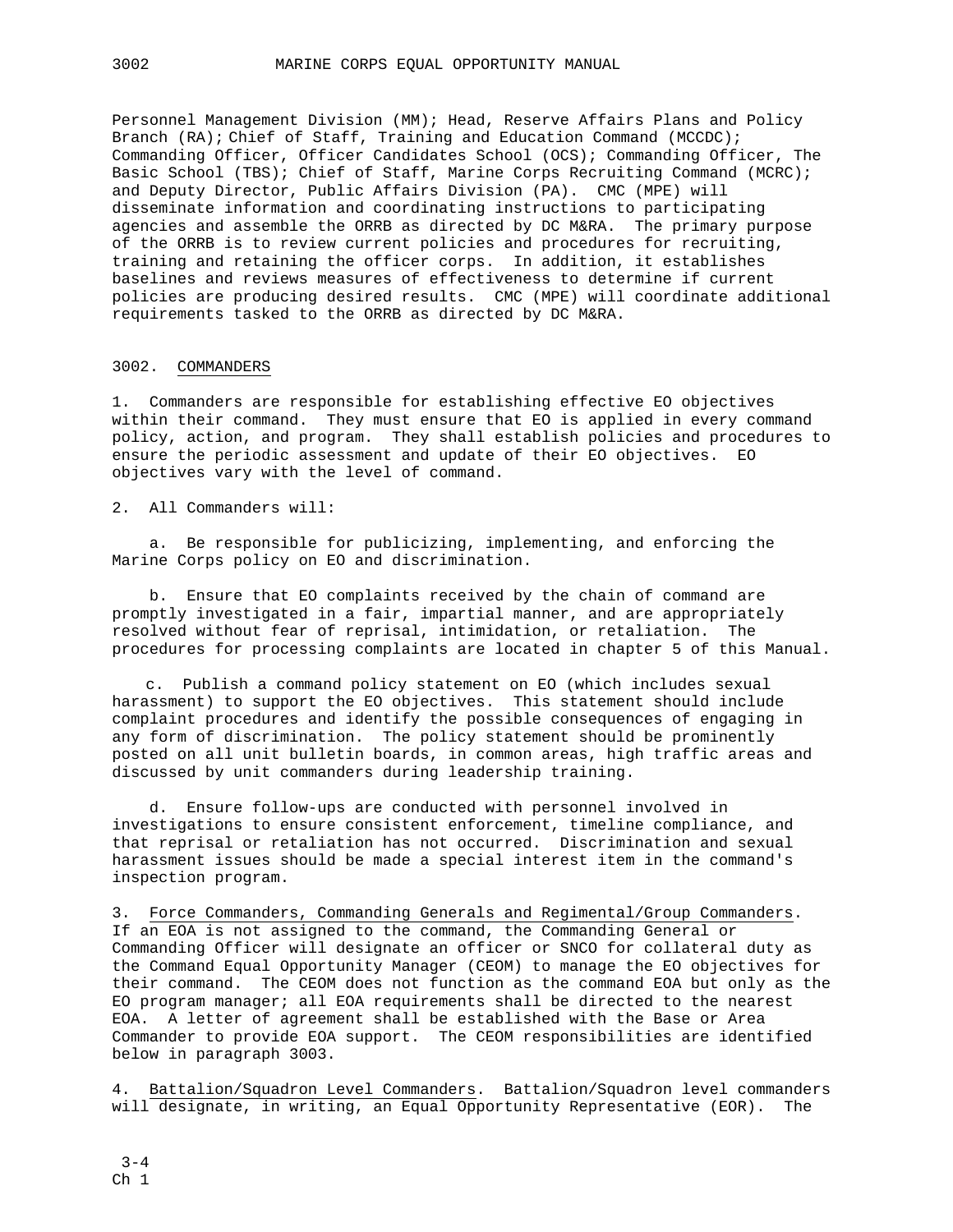Personnel Management Division (MM); Head, Reserve Affairs Plans and Policy Branch (RA); Chief of Staff, Training and Education Command (MCCDC); Commanding Officer, Officer Candidates School (OCS); Commanding Officer, The Basic School (TBS); Chief of Staff, Marine Corps Recruiting Command (MCRC); and Deputy Director, Public Affairs Division (PA). CMC (MPE) will disseminate information and coordinating instructions to participating agencies and assemble the ORRB as directed by DC M&RA. The primary purpose of the ORRB is to review current policies and procedures for recruiting, training and retaining the officer corps. In addition, it establishes baselines and reviews measures of effectiveness to determine if current policies are producing desired results. CMC (MPE) will coordinate additional requirements tasked to the ORRB as directed by DC M&RA.

### 3002. COMMANDERS

1. Commanders are responsible for establishing effective EO objectives within their command. They must ensure that EO is applied in every command policy, action, and program. They shall establish policies and procedures to ensure the periodic assessment and update of their EO objectives. EO objectives vary with the level of command.

2. All Commanders will:

 a. Be responsible for publicizing, implementing, and enforcing the Marine Corps policy on EO and discrimination.

 b. Ensure that EO complaints received by the chain of command are promptly investigated in a fair, impartial manner, and are appropriately resolved without fear of reprisal, intimidation, or retaliation. The procedures for processing complaints are located in chapter 5 of this Manual.

c. Publish a command policy statement on EO (which includes sexual harassment) to support the EO objectives. This statement should include complaint procedures and identify the possible consequences of engaging in any form of discrimination. The policy statement should be prominently posted on all unit bulletin boards, in common areas, high traffic areas and discussed by unit commanders during leadership training.

 d. Ensure follow-ups are conducted with personnel involved in investigations to ensure consistent enforcement, timeline compliance, and that reprisal or retaliation has not occurred. Discrimination and sexual harassment issues should be made a special interest item in the command's inspection program.

3. Force Commanders, Commanding Generals and Regimental/Group Commanders. If an EOA is not assigned to the command, the Commanding General or Commanding Officer will designate an officer or SNCO for collateral duty as the Command Equal Opportunity Manager (CEOM) to manage the EO objectives for their command. The CEOM does not function as the command EOA but only as the EO program manager; all EOA requirements shall be directed to the nearest EOA. A letter of agreement shall be established with the Base or Area Commander to provide EOA support. The CEOM responsibilities are identified below in paragraph 3003.

4. Battalion/Squadron Level Commanders. Battalion/Squadron level commanders will designate, in writing, an Equal Opportunity Representative (EOR). The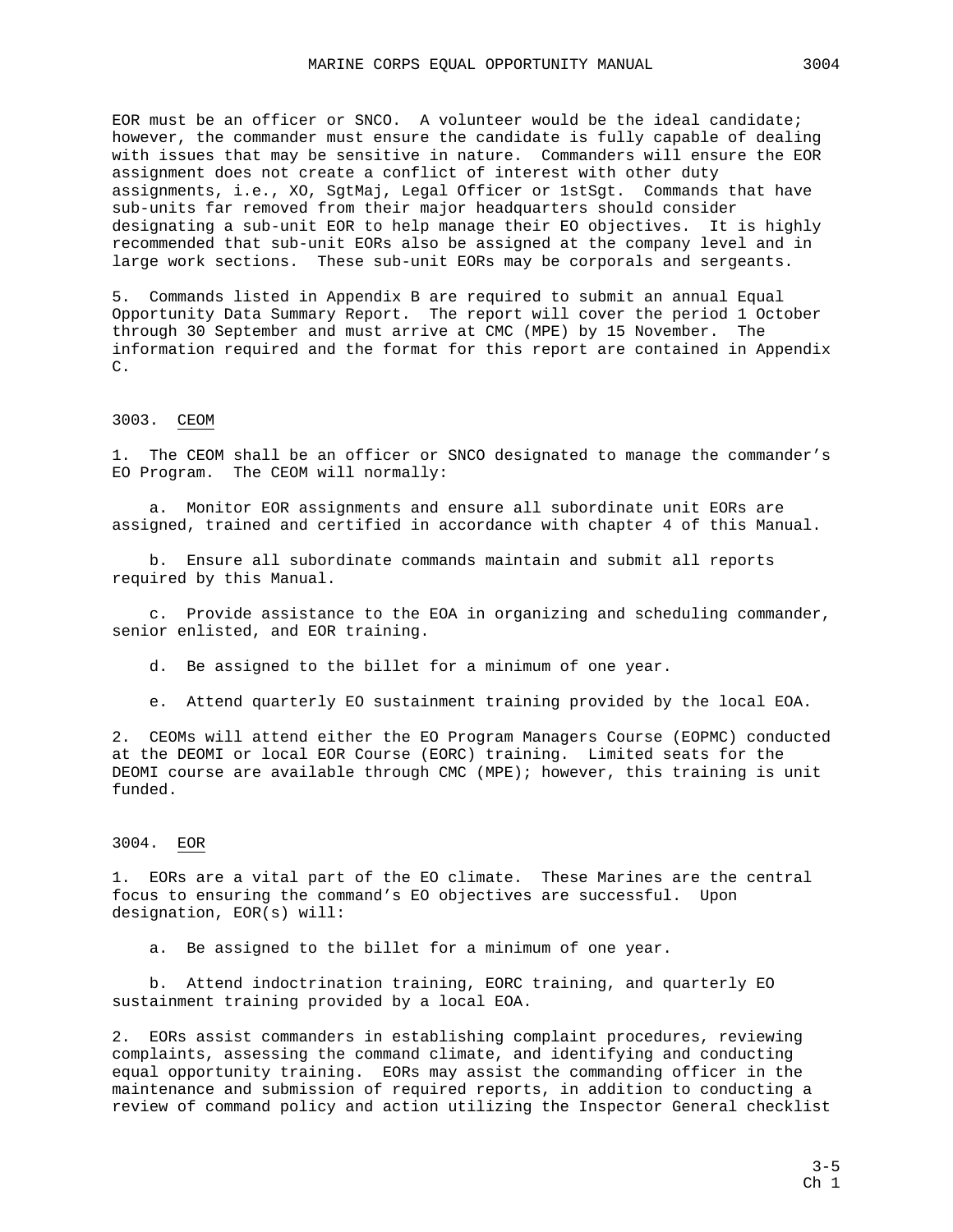EOR must be an officer or SNCO. A volunteer would be the ideal candidate; however, the commander must ensure the candidate is fully capable of dealing with issues that may be sensitive in nature. Commanders will ensure the EOR assignment does not create a conflict of interest with other duty assignments, i.e., XO, SgtMaj, Legal Officer or 1stSgt. Commands that have sub-units far removed from their major headquarters should consider designating a sub-unit EOR to help manage their EO objectives. It is highly recommended that sub-unit EORs also be assigned at the company level and in large work sections. These sub-unit EORs may be corporals and sergeants.

5. Commands listed in Appendix B are required to submit an annual Equal Opportunity Data Summary Report. The report will cover the period 1 October through 30 September and must arrive at CMC (MPE) by 15 November. The information required and the format for this report are contained in Appendix C.

### 3003. CEOM

1. The CEOM shall be an officer or SNCO designated to manage the commander's EO Program. The CEOM will normally:

 a. Monitor EOR assignments and ensure all subordinate unit EORs are assigned, trained and certified in accordance with chapter 4 of this Manual.

 b. Ensure all subordinate commands maintain and submit all reports required by this Manual.

 c. Provide assistance to the EOA in organizing and scheduling commander, senior enlisted, and EOR training.

d. Be assigned to the billet for a minimum of one year.

e. Attend quarterly EO sustainment training provided by the local EOA.

2. CEOMs will attend either the EO Program Managers Course (EOPMC) conducted at the DEOMI or local EOR Course (EORC) training. Limited seats for the DEOMI course are available through CMC (MPE); however, this training is unit funded.

### 3004. EOR

1. EORs are a vital part of the EO climate. These Marines are the central focus to ensuring the command's EO objectives are successful. Upon designation, EOR(s) will:

a. Be assigned to the billet for a minimum of one year.

 b. Attend indoctrination training, EORC training, and quarterly EO sustainment training provided by a local EOA.

2. EORs assist commanders in establishing complaint procedures, reviewing complaints, assessing the command climate, and identifying and conducting equal opportunity training. EORs may assist the commanding officer in the maintenance and submission of required reports, in addition to conducting a review of command policy and action utilizing the Inspector General checklist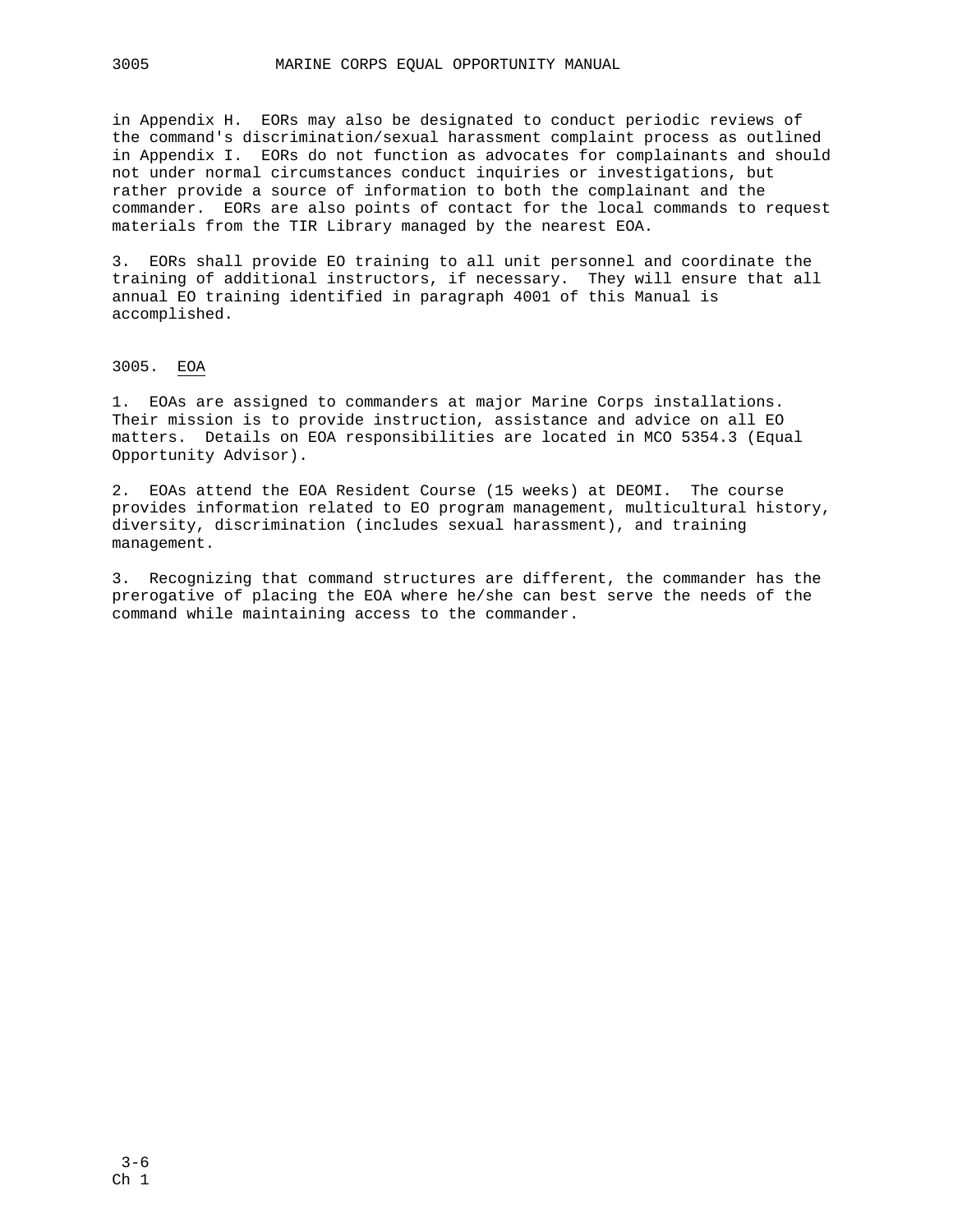in Appendix H. EORs may also be designated to conduct periodic reviews of the command's discrimination/sexual harassment complaint process as outlined in Appendix I. EORs do not function as advocates for complainants and should not under normal circumstances conduct inquiries or investigations, but rather provide a source of information to both the complainant and the commander. EORs are also points of contact for the local commands to request materials from the TIR Library managed by the nearest EOA.

3. EORs shall provide EO training to all unit personnel and coordinate the training of additional instructors, if necessary. They will ensure that all annual EO training identified in paragraph 4001 of this Manual is accomplished.

### 3005. EOA

1. EOAs are assigned to commanders at major Marine Corps installations. Their mission is to provide instruction, assistance and advice on all EO matters. Details on EOA responsibilities are located in MCO 5354.3 (Equal Opportunity Advisor).

2. EOAs attend the EOA Resident Course (15 weeks) at DEOMI. The course provides information related to EO program management, multicultural history, diversity, discrimination (includes sexual harassment), and training management.

3. Recognizing that command structures are different, the commander has the prerogative of placing the EOA where he/she can best serve the needs of the command while maintaining access to the commander.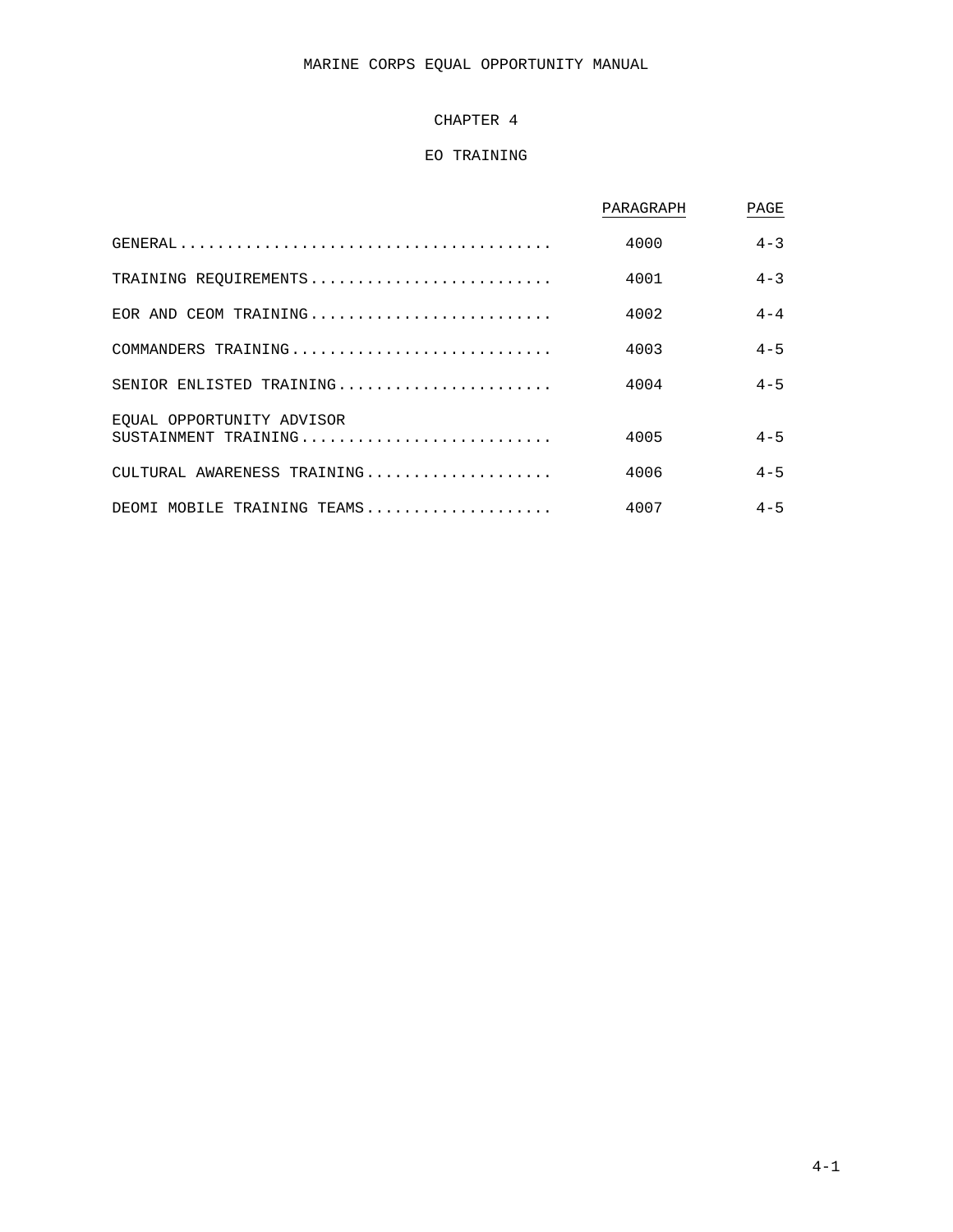# MARINE CORPS EQUAL OPPORTUNITY MANUAL

# CHAPTER 4

# EO TRAINING

|                             | PARAGRAPH | PAGE    |
|-----------------------------|-----------|---------|
|                             | 4000      | $4 - 3$ |
| TRAINING REQUIREMENTS       | 4001      | $4 - 3$ |
| EOR AND CEOM TRAINING       | 4002      | $4 - 4$ |
| COMMANDERS TRAINING         | 4003      | $4 - 5$ |
| SENIOR ENLISTED TRAINING    | 4004      | $4 - 5$ |
| EOUAL OPPORTUNITY ADVISOR   |           |         |
| SUSTAINMENT TRAINING        | 4005      | $4 - 5$ |
| CULTURAL AWARENESS TRAINING | 4006      | $4 - 5$ |
| DEOMI MOBILE TRAINING TEAMS | 4007      | $4 - 5$ |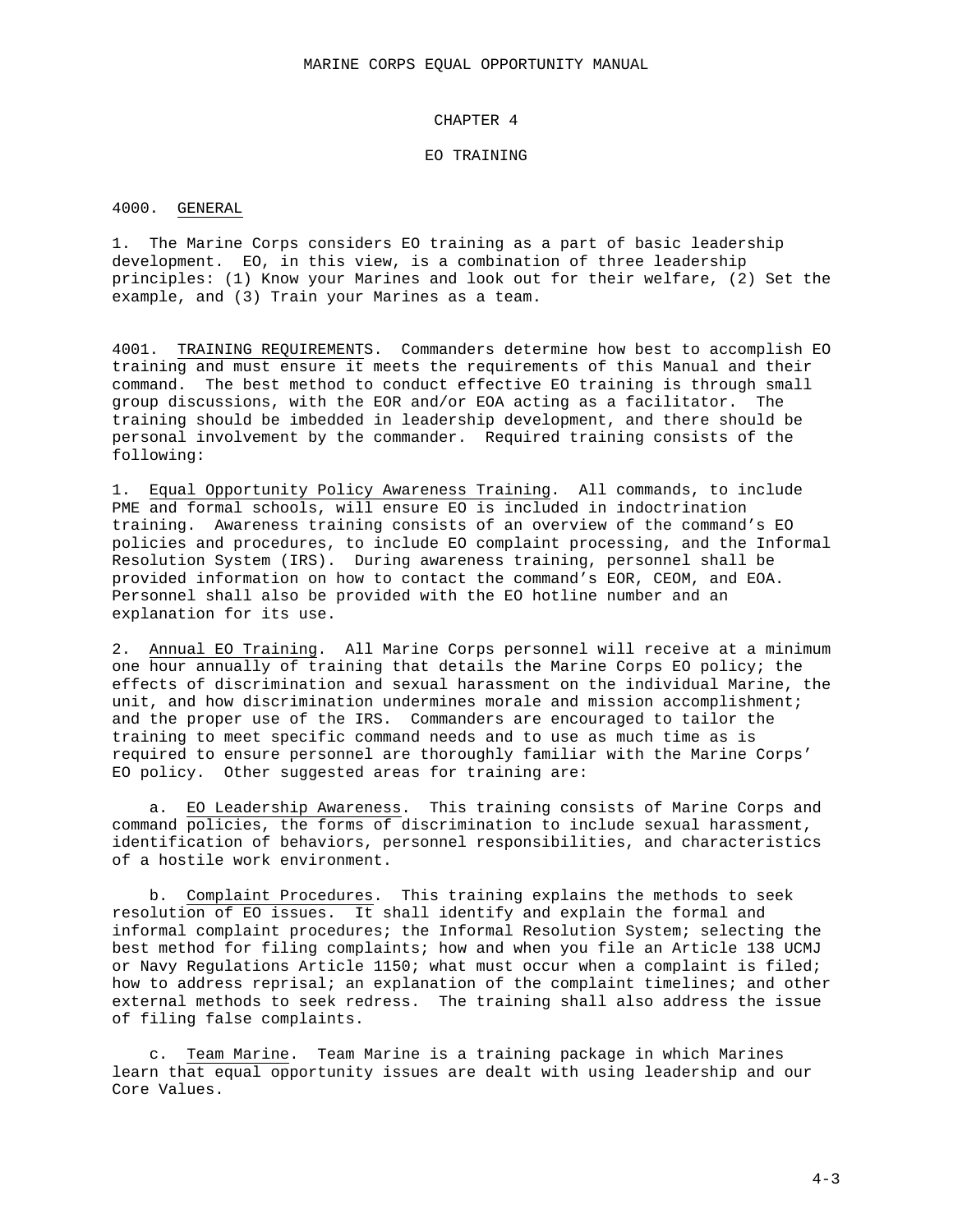### CHAPTER 4

#### EO TRAINING

#### 4000. GENERAL

1. The Marine Corps considers EO training as a part of basic leadership development. EO, in this view, is a combination of three leadership principles: (1) Know your Marines and look out for their welfare, (2) Set the example, and (3) Train your Marines as a team.

4001. TRAINING REQUIREMENTS. Commanders determine how best to accomplish EO training and must ensure it meets the requirements of this Manual and their command. The best method to conduct effective EO training is through small group discussions, with the EOR and/or EOA acting as a facilitator. The training should be imbedded in leadership development, and there should be personal involvement by the commander. Required training consists of the following:

1. Equal Opportunity Policy Awareness Training. All commands, to include PME and formal schools, will ensure EO is included in indoctrination training. Awareness training consists of an overview of the command's EO policies and procedures, to include EO complaint processing, and the Informal Resolution System (IRS). During awareness training, personnel shall be provided information on how to contact the command's EOR, CEOM, and EOA. Personnel shall also be provided with the EO hotline number and an explanation for its use.

2. Annual EO Training. All Marine Corps personnel will receive at a minimum one hour annually of training that details the Marine Corps EO policy; the effects of discrimination and sexual harassment on the individual Marine, the unit, and how discrimination undermines morale and mission accomplishment; and the proper use of the IRS. Commanders are encouraged to tailor the training to meet specific command needs and to use as much time as is required to ensure personnel are thoroughly familiar with the Marine Corps' EO policy. Other suggested areas for training are:

a. EO Leadership Awareness. This training consists of Marine Corps and command policies, the forms of discrimination to include sexual harassment, identification of behaviors, personnel responsibilities, and characteristics of a hostile work environment.

b. Complaint Procedures. This training explains the methods to seek resolution of EO issues. It shall identify and explain the formal and informal complaint procedures; the Informal Resolution System; selecting the best method for filing complaints; how and when you file an Article 138 UCMJ or Navy Regulations Article 1150; what must occur when a complaint is filed; how to address reprisal; an explanation of the complaint timelines; and other external methods to seek redress. The training shall also address the issue of filing false complaints.

c. Team Marine. Team Marine is a training package in which Marines learn that equal opportunity issues are dealt with using leadership and our Core Values.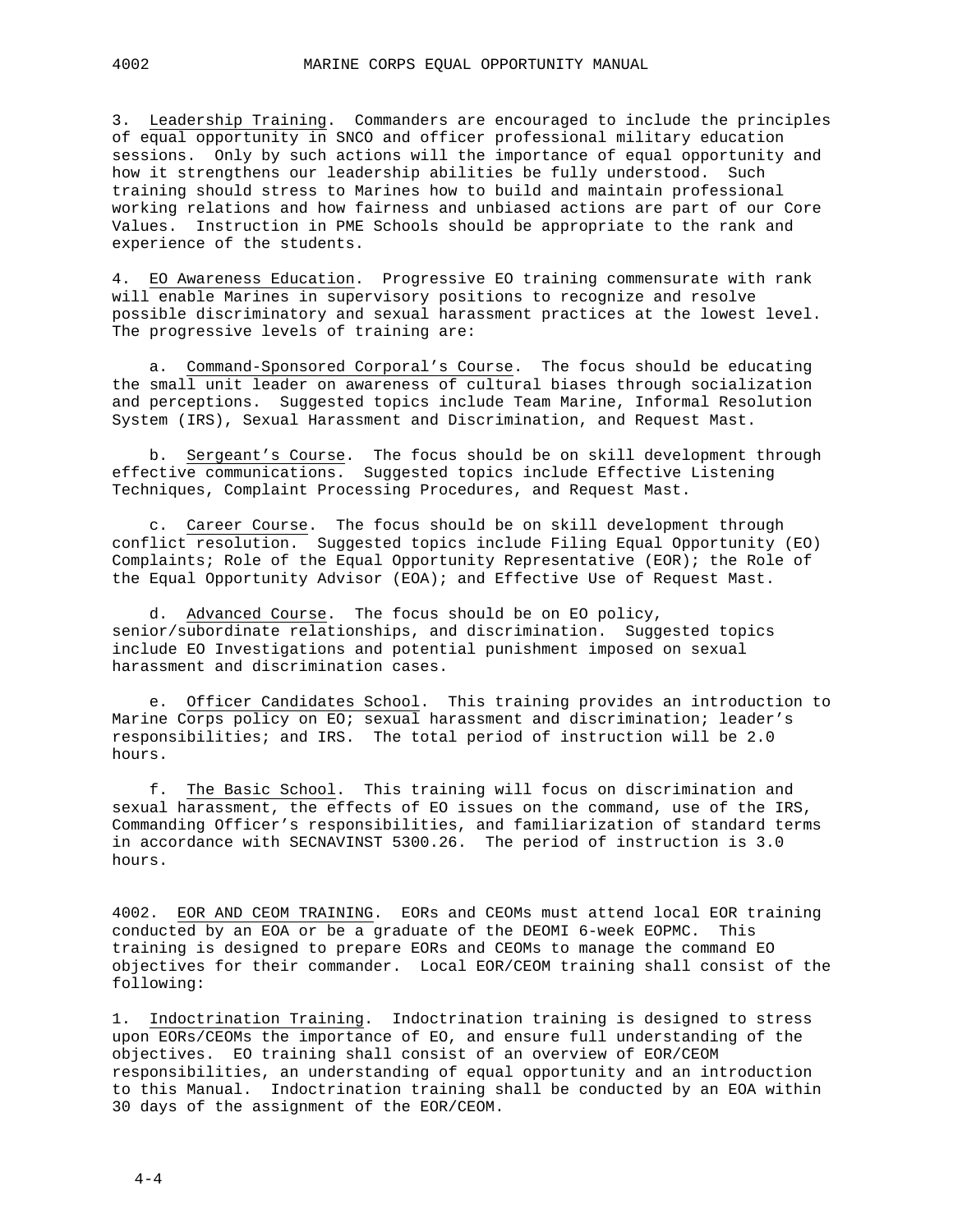3. Leadership Training. Commanders are encouraged to include the principles of equal opportunity in SNCO and officer professional military education sessions. Only by such actions will the importance of equal opportunity and how it strengthens our leadership abilities be fully understood. Such training should stress to Marines how to build and maintain professional working relations and how fairness and unbiased actions are part of our Core Values. Instruction in PME Schools should be appropriate to the rank and experience of the students.

4. EO Awareness Education. Progressive EO training commensurate with rank will enable Marines in supervisory positions to recognize and resolve possible discriminatory and sexual harassment practices at the lowest level. The progressive levels of training are:

a. Command-Sponsored Corporal's Course. The focus should be educating the small unit leader on awareness of cultural biases through socialization and perceptions. Suggested topics include Team Marine, Informal Resolution System (IRS), Sexual Harassment and Discrimination, and Request Mast.

b. Sergeant's Course. The focus should be on skill development through effective communications. Suggested topics include Effective Listening Techniques, Complaint Processing Procedures, and Request Mast.

c. Career Course. The focus should be on skill development through conflict resolution. Suggested topics include Filing Equal Opportunity (EO) Complaints; Role of the Equal Opportunity Representative (EOR); the Role of the Equal Opportunity Advisor (EOA); and Effective Use of Request Mast.

d. Advanced Course. The focus should be on EO policy, senior/subordinate relationships, and discrimination. Suggested topics include EO Investigations and potential punishment imposed on sexual harassment and discrimination cases.

e. Officer Candidates School. This training provides an introduction to Marine Corps policy on EO; sexual harassment and discrimination; leader's responsibilities; and IRS. The total period of instruction will be 2.0 hours.

f. The Basic School. This training will focus on discrimination and sexual harassment, the effects of EO issues on the command, use of the IRS, Commanding Officer's responsibilities, and familiarization of standard terms in accordance with SECNAVINST 5300.26. The period of instruction is 3.0 hours.

4002. EOR AND CEOM TRAINING. EORs and CEOMs must attend local EOR training conducted by an EOA or be a graduate of the DEOMI 6-week EOPMC. This training is designed to prepare EORs and CEOMs to manage the command EO objectives for their commander. Local EOR/CEOM training shall consist of the following:

1. Indoctrination Training. Indoctrination training is designed to stress upon EORs/CEOMs the importance of EO, and ensure full understanding of the objectives. EO training shall consist of an overview of EOR/CEOM responsibilities, an understanding of equal opportunity and an introduction to this Manual. Indoctrination training shall be conducted by an EOA within 30 days of the assignment of the EOR/CEOM.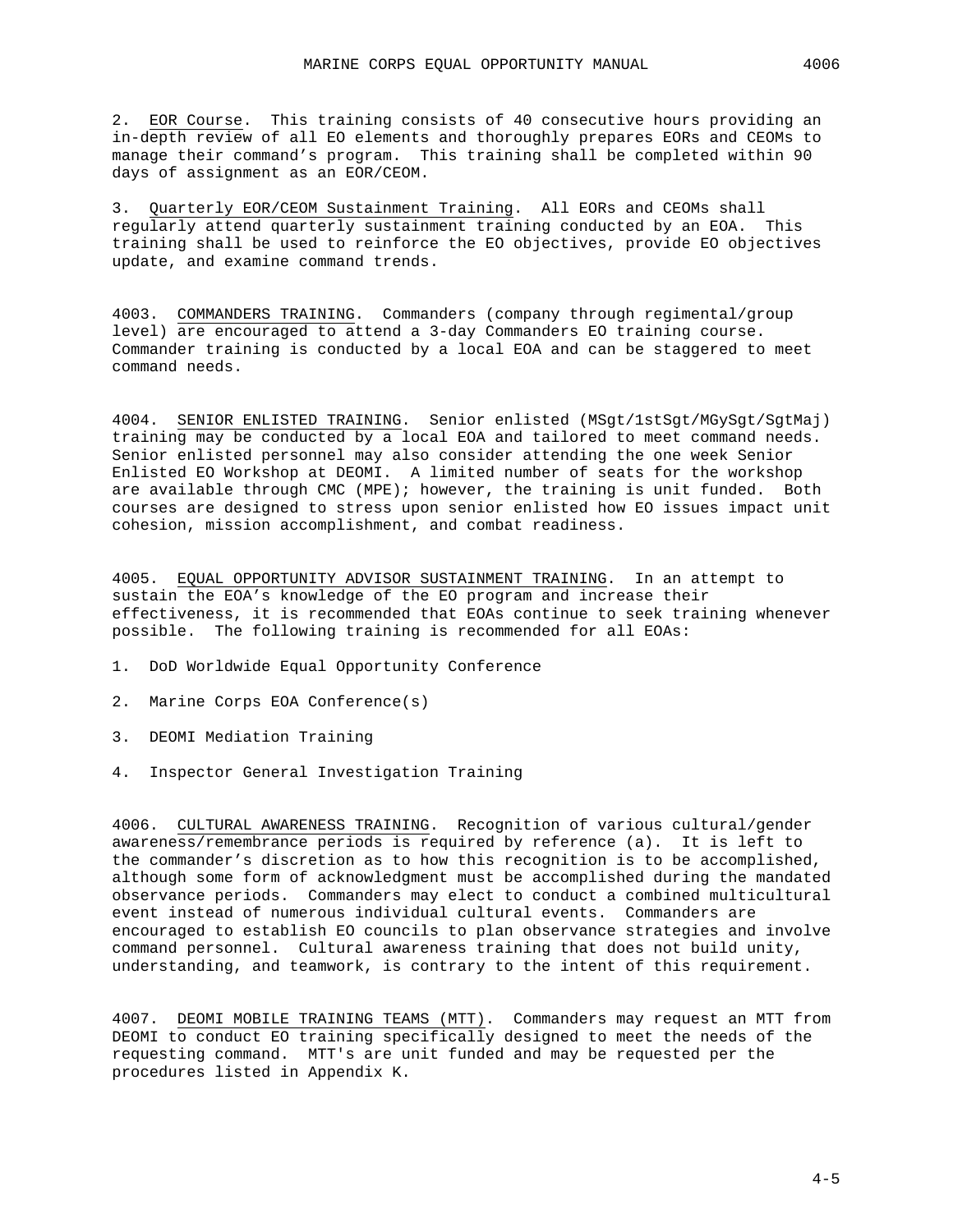2. EOR Course. This training consists of 40 consecutive hours providing an in-depth review of all EO elements and thoroughly prepares EORs and CEOMs to manage their command's program. This training shall be completed within 90 days of assignment as an EOR/CEOM.

3. Quarterly EOR/CEOM Sustainment Training. All EORs and CEOMs shall regularly attend quarterly sustainment training conducted by an EOA. This training shall be used to reinforce the EO objectives, provide EO objectives update, and examine command trends.

4003. COMMANDERS TRAINING. Commanders (company through regimental/group level) are encouraged to attend a 3-day Commanders EO training course. Commander training is conducted by a local EOA and can be staggered to meet command needs.

4004. SENIOR ENLISTED TRAINING. Senior enlisted (MSgt/1stSgt/MGySgt/SgtMaj) training may be conducted by a local EOA and tailored to meet command needs. Senior enlisted personnel may also consider attending the one week Senior Enlisted EO Workshop at DEOMI. A limited number of seats for the workshop are available through CMC (MPE); however, the training is unit funded. Both courses are designed to stress upon senior enlisted how EO issues impact unit cohesion, mission accomplishment, and combat readiness.

4005. EQUAL OPPORTUNITY ADVISOR SUSTAINMENT TRAINING. In an attempt to sustain the EOA's knowledge of the EO program and increase their effectiveness, it is recommended that EOAs continue to seek training whenever possible. The following training is recommended for all EOAs:

- 1. DoD Worldwide Equal Opportunity Conference
- 2. Marine Corps EOA Conference(s)
- 3. DEOMI Mediation Training
- 4. Inspector General Investigation Training

4006. CULTURAL AWARENESS TRAINING. Recognition of various cultural/gender awareness/remembrance periods is required by reference (a). It is left to the commander's discretion as to how this recognition is to be accomplished, although some form of acknowledgment must be accomplished during the mandated observance periods. Commanders may elect to conduct a combined multicultural event instead of numerous individual cultural events. Commanders are encouraged to establish EO councils to plan observance strategies and involve command personnel. Cultural awareness training that does not build unity, understanding, and teamwork, is contrary to the intent of this requirement.

4007. DEOMI MOBILE TRAINING TEAMS (MTT). Commanders may request an MTT from DEOMI to conduct EO training specifically designed to meet the needs of the requesting command. MTT's are unit funded and may be requested per the procedures listed in Appendix K.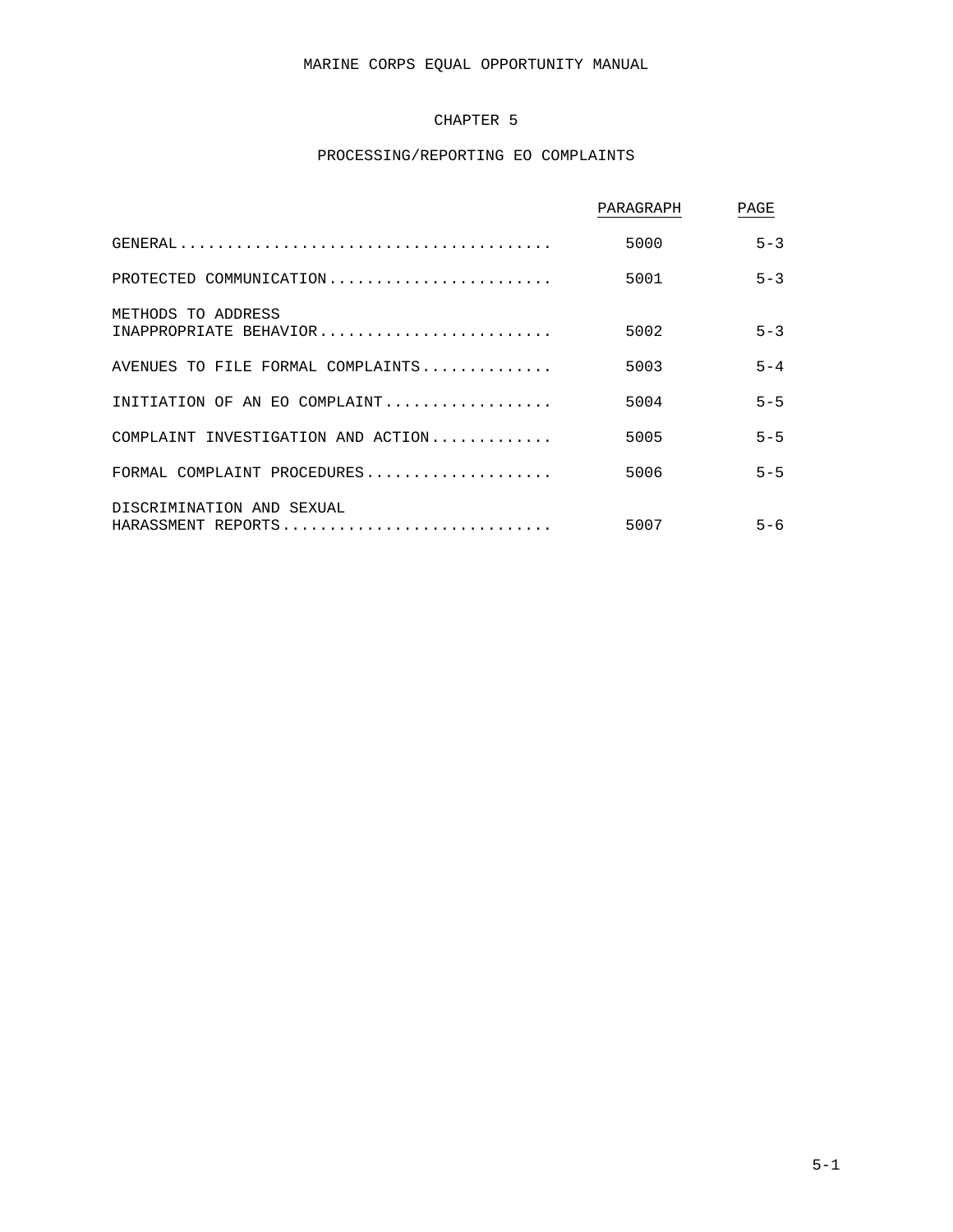# MARINE CORPS EQUAL OPPORTUNITY MANUAL

# CHAPTER 5

# PROCESSING/REPORTING EO COMPLAINTS

|                                                 | PARAGRAPH | PAGE    |
|-------------------------------------------------|-----------|---------|
|                                                 | 5000      | $5 - 3$ |
| PROTECTED COMMUNICATION                         | 5001      | $5 - 3$ |
| METHODS TO ADDRESS<br>INAPPROPRIATE BEHAVIOR    | 5002      | $5 - 3$ |
| AVENUES TO FILE FORMAL COMPLAINTS               | 5003      | $5 - 4$ |
| INITIATION OF AN EO COMPLAINT                   | 5004      | $5 - 5$ |
| COMPLAINT INVESTIGATION AND $ACTION$            | 5005      | $5 - 5$ |
| FORMAL COMPLAINT PROCEDURES                     | 5006      | $5 - 5$ |
| DISCRIMINATION AND SEXUAL<br>HARASSMENT REPORTS | 5007      | $5 - 6$ |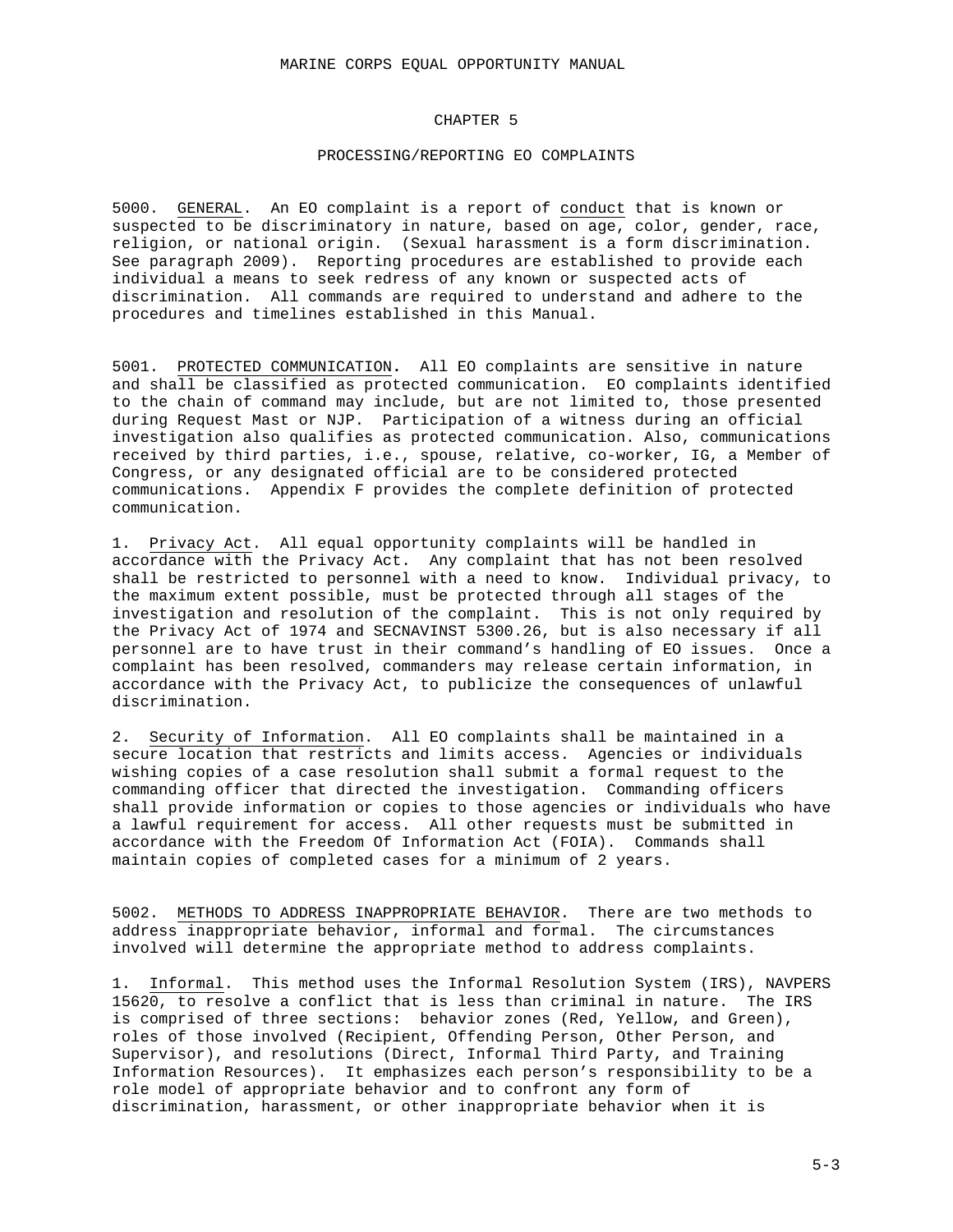### CHAPTER 5

### PROCESSING/REPORTING EO COMPLAINTS

5000. GENERAL. An EO complaint is a report of conduct that is known or suspected to be discriminatory in nature, based on age, color, gender, race, religion, or national origin. (Sexual harassment is a form discrimination. See paragraph 2009). Reporting procedures are established to provide each individual a means to seek redress of any known or suspected acts of discrimination. All commands are required to understand and adhere to the procedures and timelines established in this Manual.

5001. PROTECTED COMMUNICATION**.** All EO complaints are sensitive in nature and shall be classified as protected communication. EO complaints identified to the chain of command may include, but are not limited to, those presented during Request Mast or NJP. Participation of a witness during an official investigation also qualifies as protected communication. Also, communications received by third parties, i.e., spouse, relative, co-worker, IG, a Member of Congress, or any designated official are to be considered protected communications. Appendix F provides the complete definition of protected communication.

1. Privacy Act. All equal opportunity complaints will be handled in accordance with the Privacy Act. Any complaint that has not been resolved shall be restricted to personnel with a need to know. Individual privacy, to the maximum extent possible, must be protected through all stages of the investigation and resolution of the complaint. This is not only required by the Privacy Act of 1974 and SECNAVINST 5300.26, but is also necessary if all personnel are to have trust in their command's handling of EO issues. Once a complaint has been resolved, commanders may release certain information, in accordance with the Privacy Act, to publicize the consequences of unlawful discrimination.

2. Security of Information. All EO complaints shall be maintained in a secure location that restricts and limits access. Agencies or individuals wishing copies of a case resolution shall submit a formal request to the commanding officer that directed the investigation. Commanding officers shall provide information or copies to those agencies or individuals who have a lawful requirement for access. All other requests must be submitted in accordance with the Freedom Of Information Act (FOIA). Commands shall maintain copies of completed cases for a minimum of 2 years.

5002. METHODS TO ADDRESS INAPPROPRIATE BEHAVIOR. There are two methods to address inappropriate behavior, informal and formal. The circumstances involved will determine the appropriate method to address complaints.

1. Informal. This method uses the Informal Resolution System (IRS), NAVPERS 15620, to resolve a conflict that is less than criminal in nature. The IRS is comprised of three sections: behavior zones (Red, Yellow, and Green), roles of those involved (Recipient, Offending Person, Other Person, and Supervisor), and resolutions (Direct, Informal Third Party, and Training Information Resources). It emphasizes each person's responsibility to be a role model of appropriate behavior and to confront any form of discrimination, harassment, or other inappropriate behavior when it is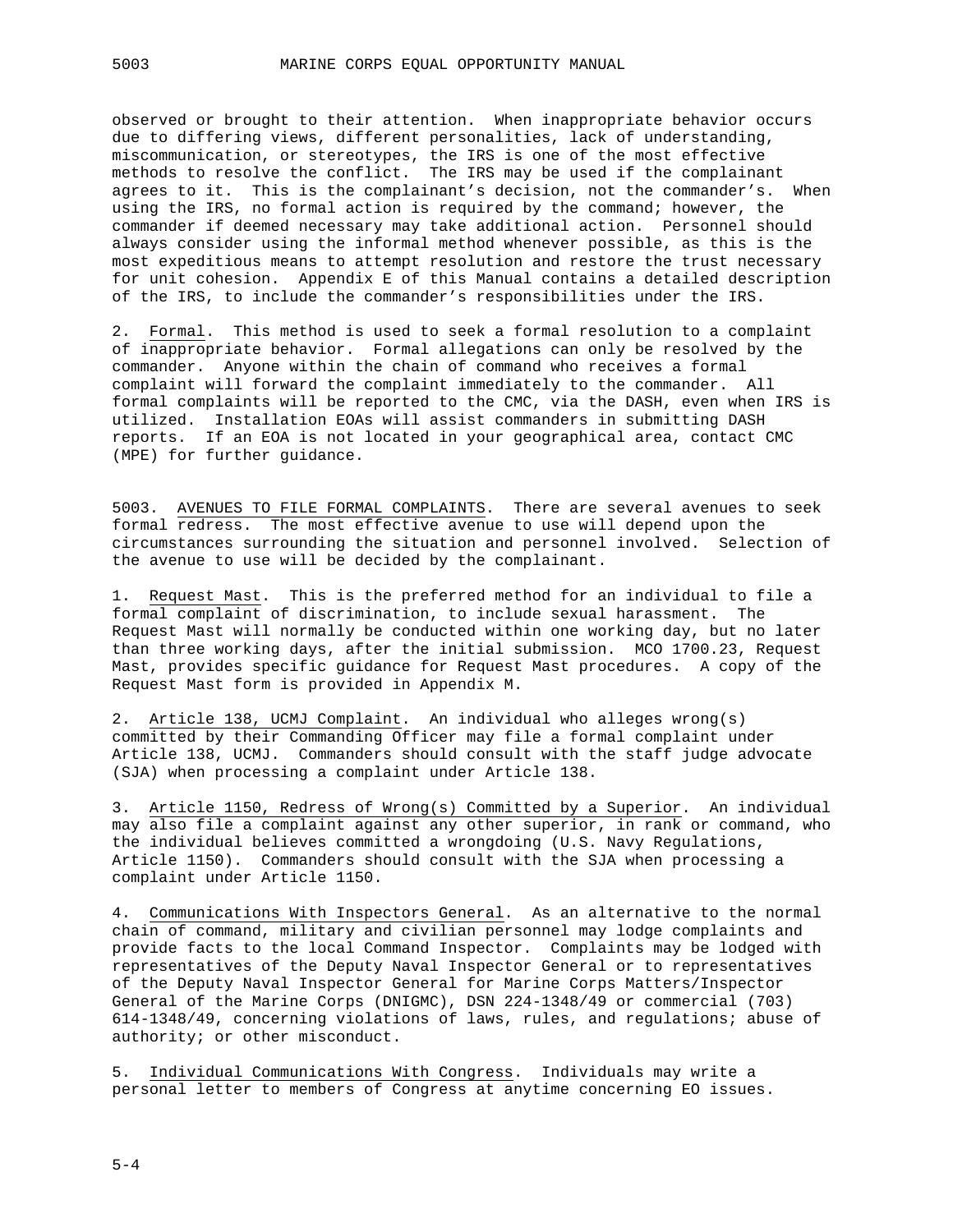observed or brought to their attention. When inappropriate behavior occurs due to differing views, different personalities, lack of understanding, miscommunication, or stereotypes, the IRS is one of the most effective methods to resolve the conflict. The IRS may be used if the complainant agrees to it. This is the complainant's decision, not the commander's. When using the IRS, no formal action is required by the command; however, the commander if deemed necessary may take additional action. Personnel should always consider using the informal method whenever possible, as this is the most expeditious means to attempt resolution and restore the trust necessary for unit cohesion. Appendix E of this Manual contains a detailed description of the IRS, to include the commander's responsibilities under the IRS.

2. Formal. This method is used to seek a formal resolution to a complaint of inappropriate behavior. Formal allegations can only be resolved by the commander. Anyone within the chain of command who receives a formal complaint will forward the complaint immediately to the commander. All formal complaints will be reported to the CMC, via the DASH, even when IRS is utilized. Installation EOAs will assist commanders in submitting DASH reports. If an EOA is not located in your geographical area, contact CMC (MPE) for further guidance.

5003. AVENUES TO FILE FORMAL COMPLAINTS. There are several avenues to seek formal redress. The most effective avenue to use will depend upon the circumstances surrounding the situation and personnel involved. Selection of the avenue to use will be decided by the complainant.

1. Request Mast. This is the preferred method for an individual to file a formal complaint of discrimination, to include sexual harassment. The Request Mast will normally be conducted within one working day, but no later than three working days, after the initial submission. MCO 1700.23, Request Mast, provides specific guidance for Request Mast procedures. A copy of the Request Mast form is provided in Appendix M.

2. Article 138, UCMJ Complaint. An individual who alleges wrong(s) committed by their Commanding Officer may file a formal complaint under Article 138, UCMJ. Commanders should consult with the staff judge advocate (SJA) when processing a complaint under Article 138.

3. Article 1150, Redress of Wrong(s) Committed by a Superior. An individual may also file a complaint against any other superior, in rank or command, who the individual believes committed a wrongdoing (U.S. Navy Regulations, Article 1150). Commanders should consult with the SJA when processing a complaint under Article 1150.

4. Communications With Inspectors General. As an alternative to the normal chain of command, military and civilian personnel may lodge complaints and provide facts to the local Command Inspector. Complaints may be lodged with representatives of the Deputy Naval Inspector General or to representatives of the Deputy Naval Inspector General for Marine Corps Matters/Inspector General of the Marine Corps (DNIGMC), DSN 224-1348/49 or commercial (703) 614-1348/49, concerning violations of laws, rules, and regulations; abuse of authority; or other misconduct.

5. Individual Communications With Congress. Individuals may write a personal letter to members of Congress at anytime concerning EO issues.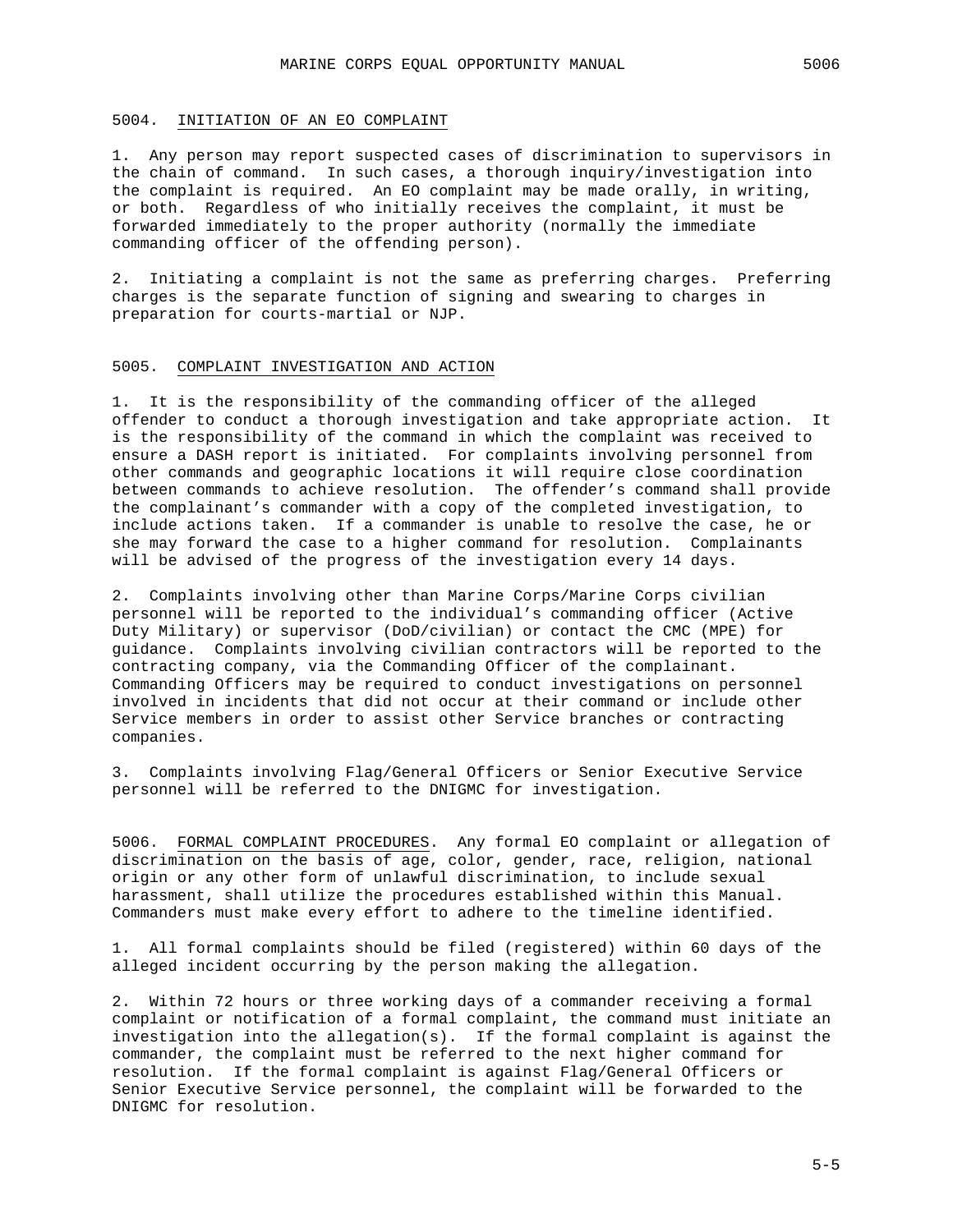### 5004. INITIATION OF AN EO COMPLAINT

1. Any person may report suspected cases of discrimination to supervisors in the chain of command. In such cases, a thorough inquiry/investigation into the complaint is required. An EO complaint may be made orally, in writing, or both. Regardless of who initially receives the complaint, it must be forwarded immediately to the proper authority (normally the immediate commanding officer of the offending person).

2. Initiating a complaint is not the same as preferring charges. Preferring charges is the separate function of signing and swearing to charges in preparation for courts-martial or NJP.

### 5005. COMPLAINT INVESTIGATION AND ACTION

1. It is the responsibility of the commanding officer of the alleged offender to conduct a thorough investigation and take appropriate action. It is the responsibility of the command in which the complaint was received to ensure a DASH report is initiated. For complaints involving personnel from other commands and geographic locations it will require close coordination between commands to achieve resolution. The offender's command shall provide the complainant's commander with a copy of the completed investigation, to include actions taken. If a commander is unable to resolve the case, he or she may forward the case to a higher command for resolution. Complainants will be advised of the progress of the investigation every 14 days.

2. Complaints involving other than Marine Corps/Marine Corps civilian personnel will be reported to the individual's commanding officer (Active Duty Military) or supervisor (DoD/civilian) or contact the CMC (MPE) for guidance. Complaints involving civilian contractors will be reported to the contracting company, via the Commanding Officer of the complainant. Commanding Officers may be required to conduct investigations on personnel involved in incidents that did not occur at their command or include other Service members in order to assist other Service branches or contracting companies.

3. Complaints involving Flag/General Officers or Senior Executive Service personnel will be referred to the DNIGMC for investigation.

5006. FORMAL COMPLAINT PROCEDURES. Any formal EO complaint or allegation of discrimination on the basis of age, color, gender, race, religion, national origin or any other form of unlawful discrimination, to include sexual harassment, shall utilize the procedures established within this Manual. Commanders must make every effort to adhere to the timeline identified.

1. All formal complaints should be filed (registered) within 60 days of the alleged incident occurring by the person making the allegation.

2. Within 72 hours or three working days of a commander receiving a formal complaint or notification of a formal complaint, the command must initiate an investigation into the allegation(s). If the formal complaint is against the commander, the complaint must be referred to the next higher command for resolution. If the formal complaint is against Flag/General Officers or Senior Executive Service personnel, the complaint will be forwarded to the DNIGMC for resolution.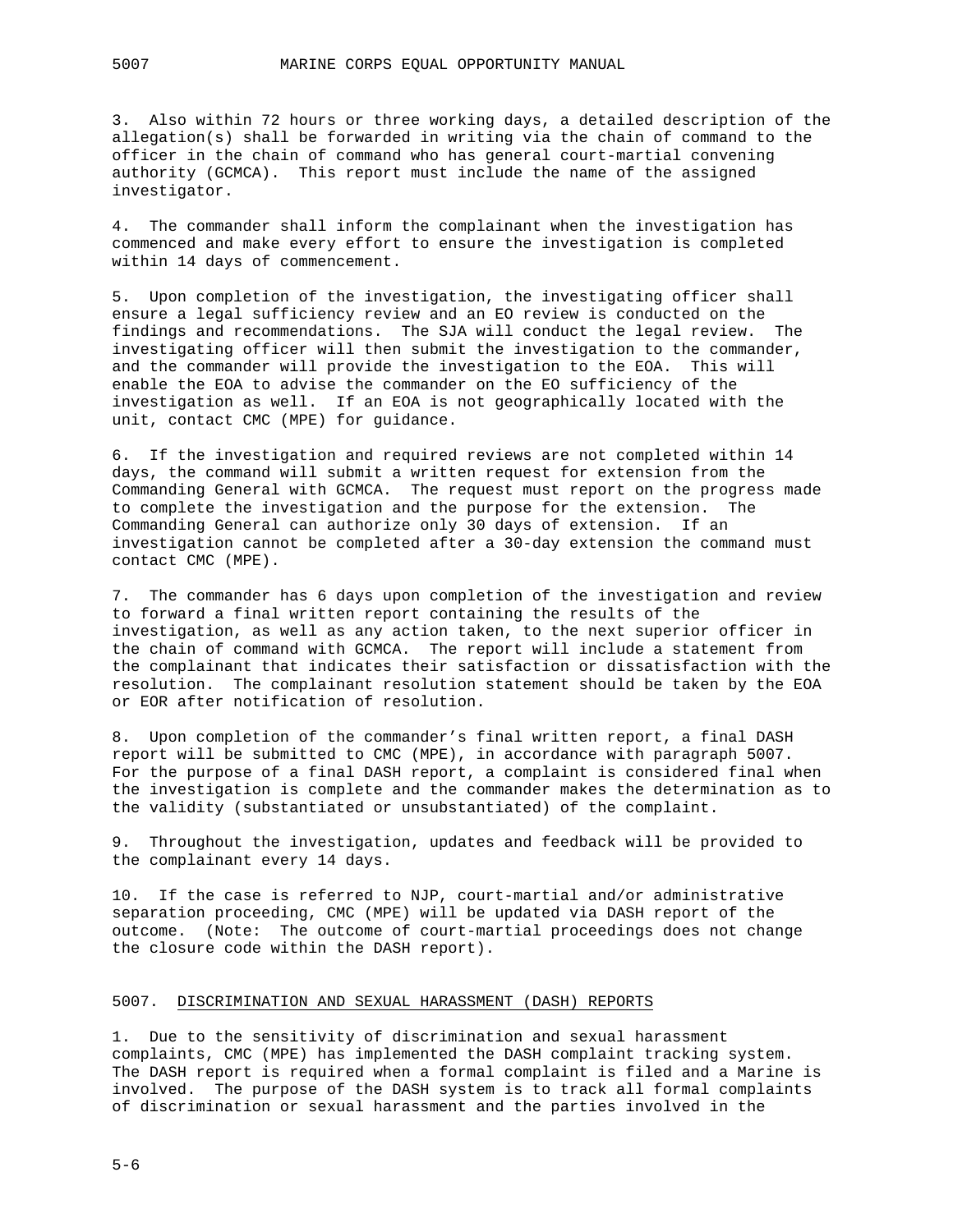3. Also within 72 hours or three working days, a detailed description of the allegation(s) shall be forwarded in writing via the chain of command to the officer in the chain of command who has general court-martial convening authority (GCMCA). This report must include the name of the assigned investigator.

4. The commander shall inform the complainant when the investigation has commenced and make every effort to ensure the investigation is completed within 14 days of commencement.

5. Upon completion of the investigation, the investigating officer shall ensure a legal sufficiency review and an EO review is conducted on the findings and recommendations. The SJA will conduct the legal review. The investigating officer will then submit the investigation to the commander, and the commander will provide the investigation to the EOA. This will enable the EOA to advise the commander on the EO sufficiency of the investigation as well. If an EOA is not geographically located with the unit, contact CMC (MPE) for guidance.

6. If the investigation and required reviews are not completed within 14 days, the command will submit a written request for extension from the Commanding General with GCMCA. The request must report on the progress made to complete the investigation and the purpose for the extension. The Commanding General can authorize only 30 days of extension. If an investigation cannot be completed after a 30-day extension the command must contact CMC (MPE).

7. The commander has 6 days upon completion of the investigation and review to forward a final written report containing the results of the investigation, as well as any action taken, to the next superior officer in the chain of command with GCMCA. The report will include a statement from the complainant that indicates their satisfaction or dissatisfaction with the resolution. The complainant resolution statement should be taken by the EOA or EOR after notification of resolution.

8. Upon completion of the commander's final written report, a final DASH report will be submitted to CMC (MPE), in accordance with paragraph 5007. For the purpose of a final DASH report, a complaint is considered final when the investigation is complete and the commander makes the determination as to the validity (substantiated or unsubstantiated) of the complaint.

9. Throughout the investigation, updates and feedback will be provided to the complainant every 14 days.

10. If the case is referred to NJP, court-martial and/or administrative separation proceeding, CMC (MPE) will be updated via DASH report of the outcome. (Note: The outcome of court-martial proceedings does not change the closure code within the DASH report).

### 5007. DISCRIMINATION AND SEXUAL HARASSMENT (DASH) REPORTS

1. Due to the sensitivity of discrimination and sexual harassment complaints, CMC (MPE) has implemented the DASH complaint tracking system. The DASH report is required when a formal complaint is filed and a Marine is involved. The purpose of the DASH system is to track all formal complaints of discrimination or sexual harassment and the parties involved in the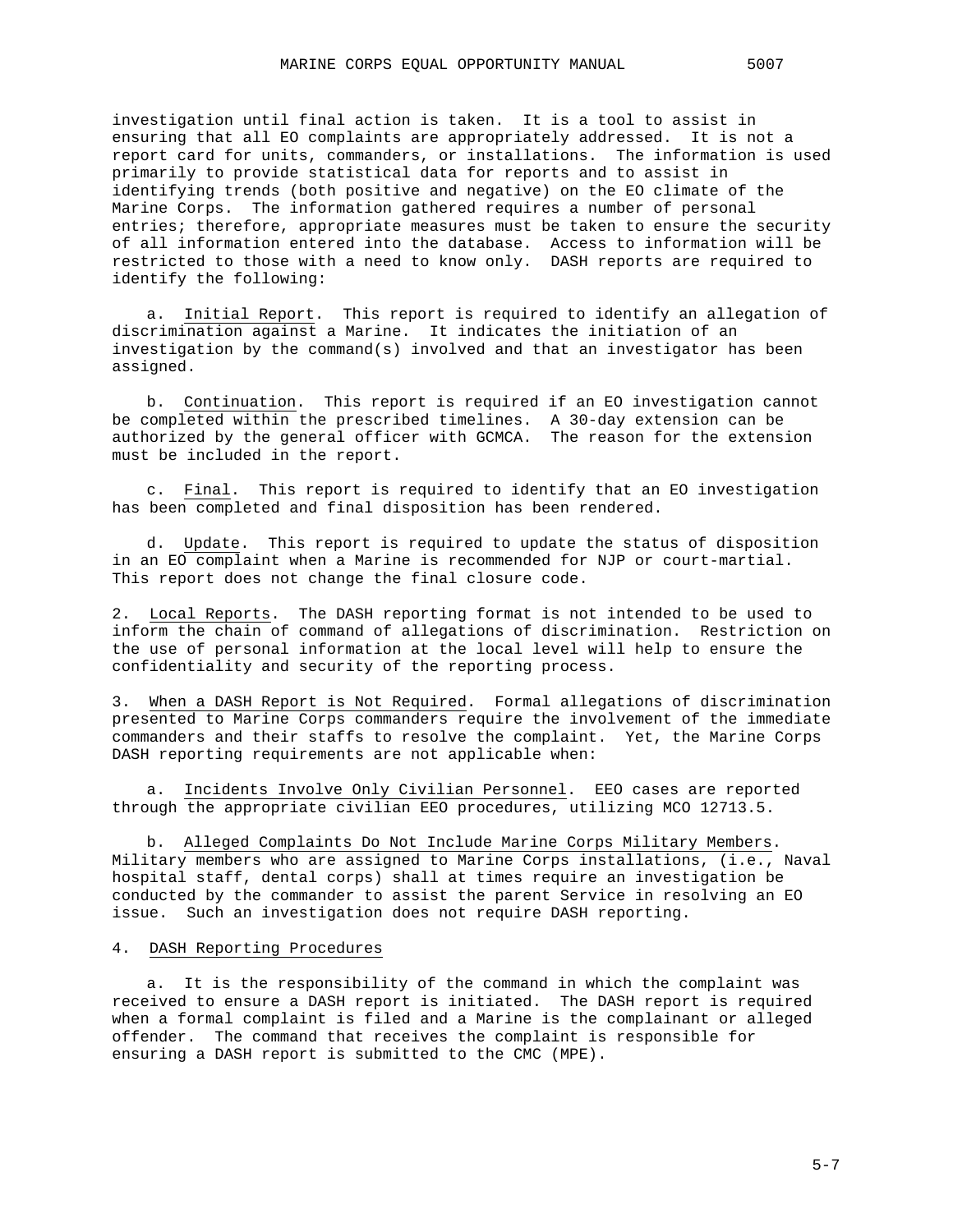investigation until final action is taken. It is a tool to assist in ensuring that all EO complaints are appropriately addressed. It is not a report card for units, commanders, or installations. The information is used primarily to provide statistical data for reports and to assist in identifying trends (both positive and negative) on the EO climate of the Marine Corps. The information gathered requires a number of personal entries; therefore, appropriate measures must be taken to ensure the security of all information entered into the database. Access to information will be restricted to those with a need to know only. DASH reports are required to identify the following:

a. Initial Report. This report is required to identify an allegation of discrimination against a Marine. It indicates the initiation of an investigation by the command(s) involved and that an investigator has been assigned.

b. Continuation. This report is required if an EO investigation cannot be completed within the prescribed timelines. A 30-day extension can be authorized by the general officer with GCMCA. The reason for the extension must be included in the report.

c. Final. This report is required to identify that an EO investigation has been completed and final disposition has been rendered.

d. Update. This report is required to update the status of disposition in an EO complaint when a Marine is recommended for NJP or court-martial. This report does not change the final closure code.

2. Local Reports. The DASH reporting format is not intended to be used to inform the chain of command of allegations of discrimination. Restriction on the use of personal information at the local level will help to ensure the confidentiality and security of the reporting process.

3. When a DASH Report is Not Required. Formal allegations of discrimination presented to Marine Corps commanders require the involvement of the immediate commanders and their staffs to resolve the complaint. Yet, the Marine Corps DASH reporting requirements are not applicable when:

a. Incidents Involve Only Civilian Personnel. EEO cases are reported through the appropriate civilian EEO procedures, utilizing MCO 12713.5.

b. Alleged Complaints Do Not Include Marine Corps Military Members. Military members who are assigned to Marine Corps installations, (i.e., Naval hospital staff, dental corps) shall at times require an investigation be conducted by the commander to assist the parent Service in resolving an EO issue. Such an investigation does not require DASH reporting.

### 4. DASH Reporting Procedures

a. It is the responsibility of the command in which the complaint was received to ensure a DASH report is initiated. The DASH report is required when a formal complaint is filed and a Marine is the complainant or alleged offender. The command that receives the complaint is responsible for ensuring a DASH report is submitted to the CMC (MPE).

 $5 - 7$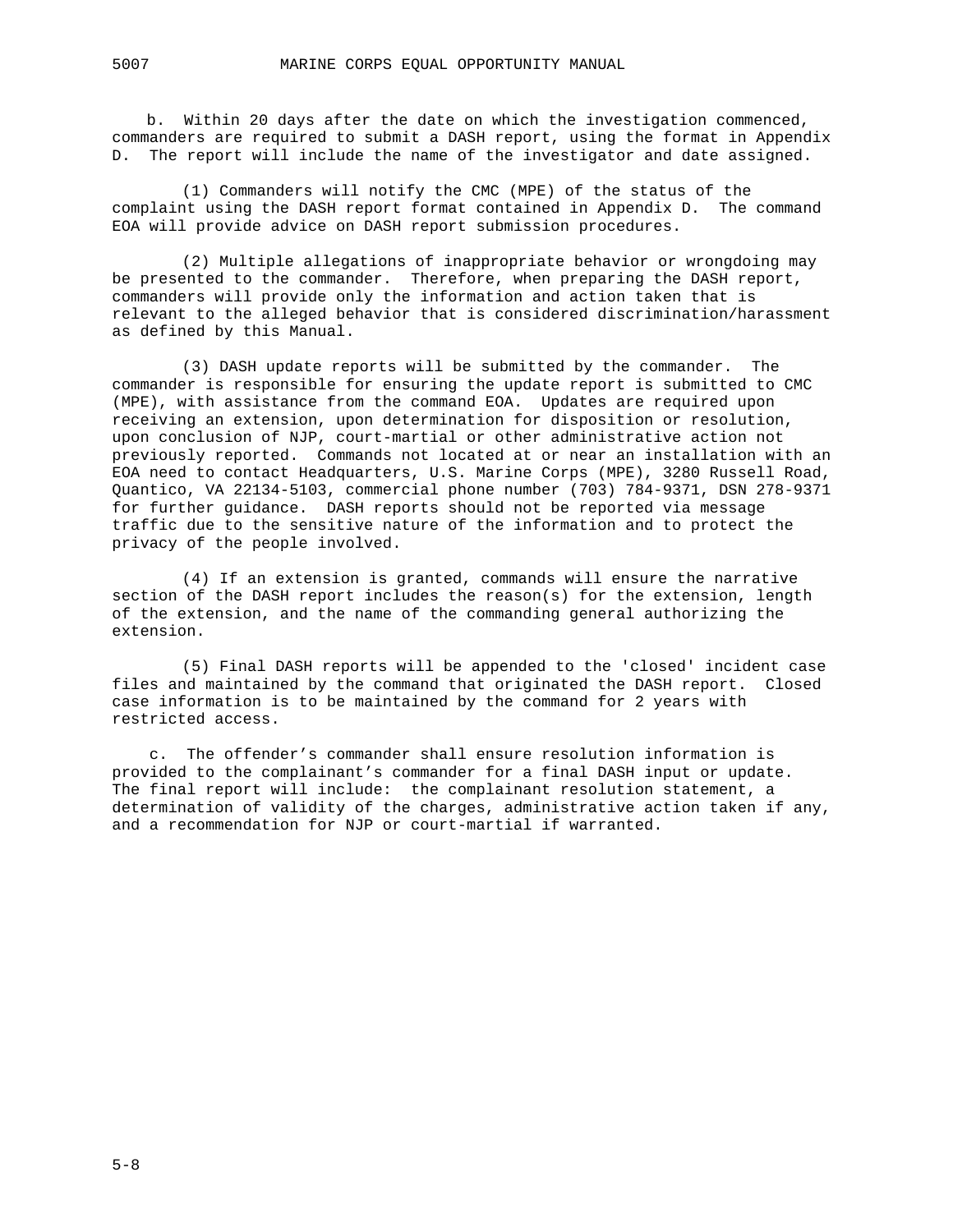b. Within 20 days after the date on which the investigation commenced, commanders are required to submit a DASH report, using the format in Appendix D. The report will include the name of the investigator and date assigned.

(1) Commanders will notify the CMC (MPE) of the status of the complaint using the DASH report format contained in Appendix D. The command EOA will provide advice on DASH report submission procedures.

(2) Multiple allegations of inappropriate behavior or wrongdoing may be presented to the commander. Therefore, when preparing the DASH report, commanders will provide only the information and action taken that is relevant to the alleged behavior that is considered discrimination/harassment as defined by this Manual.

(3) DASH update reports will be submitted by the commander. The commander is responsible for ensuring the update report is submitted to CMC (MPE), with assistance from the command EOA. Updates are required upon receiving an extension, upon determination for disposition or resolution, upon conclusion of NJP, court-martial or other administrative action not previously reported. Commands not located at or near an installation with an EOA need to contact Headquarters, U.S. Marine Corps (MPE), 3280 Russell Road, Quantico, VA 22134-5103, commercial phone number (703) 784-9371, DSN 278-9371 for further guidance. DASH reports should not be reported via message traffic due to the sensitive nature of the information and to protect the privacy of the people involved.

(4) If an extension is granted, commands will ensure the narrative section of the DASH report includes the reason(s) for the extension, length of the extension, and the name of the commanding general authorizing the extension.

(5) Final DASH reports will be appended to the 'closed' incident case files and maintained by the command that originated the DASH report. Closed case information is to be maintained by the command for 2 years with restricted access.

c. The offender's commander shall ensure resolution information is provided to the complainant's commander for a final DASH input or update. The final report will include: the complainant resolution statement, a determination of validity of the charges, administrative action taken if any, and a recommendation for NJP or court-martial if warranted.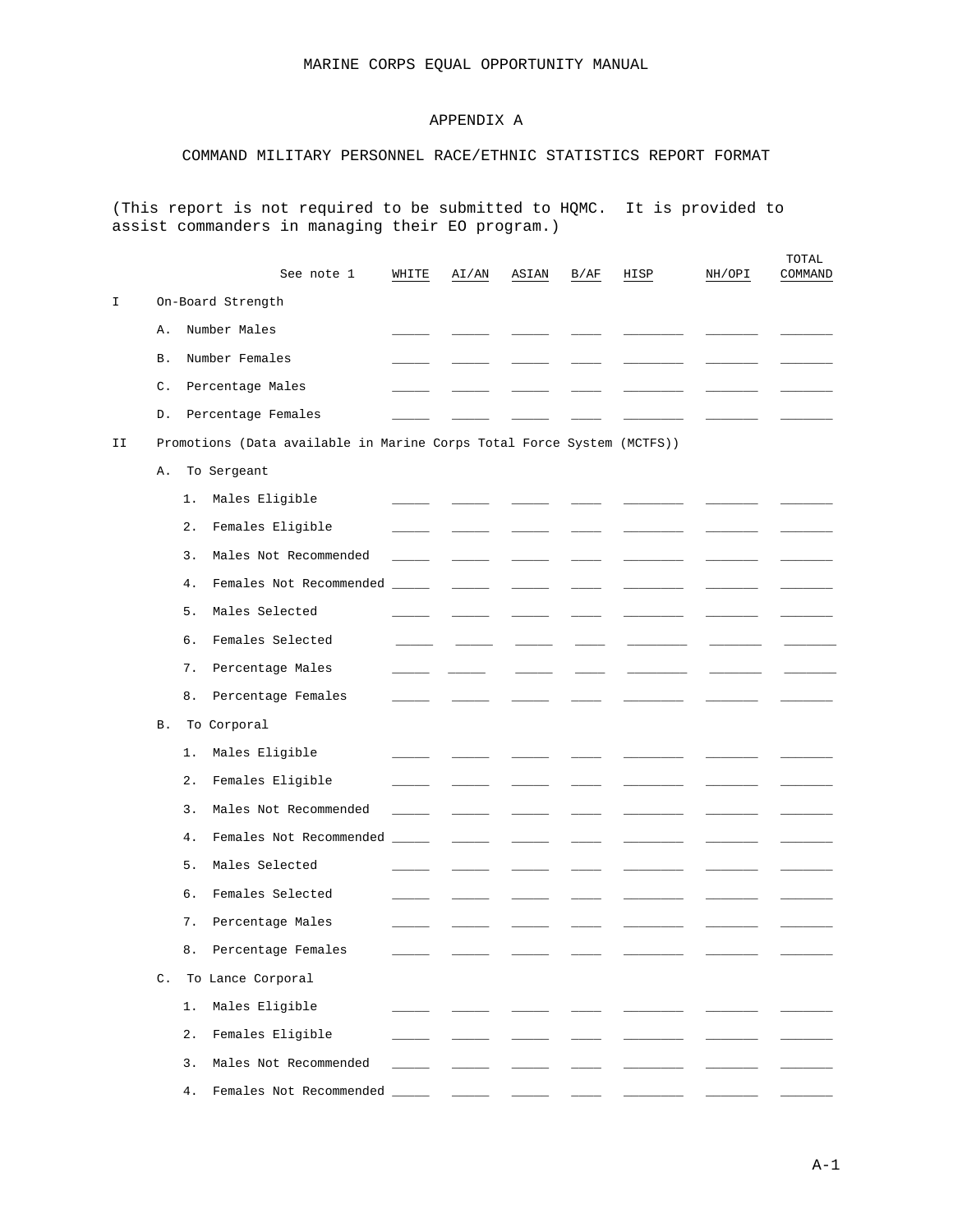## APPENDIX A

## COMMAND MILITARY PERSONNEL RACE/ETHNIC STATISTICS REPORT FORMAT

(This report is not required to be submitted to HQMC. It is provided to assist commanders in managing their EO program.)

|    |    |           | See note 1                                                             | WHITE | AI/AN | ASIAN | B/AF | HISP | NH/OPI | TOTAL<br>COMMAND |
|----|----|-----------|------------------------------------------------------------------------|-------|-------|-------|------|------|--------|------------------|
| I  |    |           | On-Board Strength                                                      |       |       |       |      |      |        |                  |
|    | Α. |           | Number Males                                                           |       |       |       |      |      |        |                  |
|    | Β. |           | Number Females                                                         |       |       |       |      |      |        |                  |
|    | С. |           | Percentage Males                                                       |       |       |       |      |      |        |                  |
|    | D. |           | Percentage Females                                                     |       |       |       |      |      |        |                  |
| II |    |           | Promotions (Data available in Marine Corps Total Force System (MCTFS)) |       |       |       |      |      |        |                  |
|    | Α. |           | To Sergeant                                                            |       |       |       |      |      |        |                  |
|    |    | 1.        | Males Eligible                                                         |       |       |       |      |      |        |                  |
|    |    | $2$ .     | Females Eligible                                                       |       |       |       |      |      |        |                  |
|    |    | 3.        | Males Not Recommended                                                  |       |       |       |      |      |        |                  |
|    |    | 4.        | Females Not Recommended                                                |       |       |       |      |      |        |                  |
|    |    | 5.        | Males Selected                                                         |       |       |       |      |      |        |                  |
|    |    | б.        | Females Selected                                                       |       |       |       |      |      |        |                  |
|    |    | 7.        | Percentage Males                                                       |       |       |       |      |      |        |                  |
|    |    | 8.        | Percentage Females                                                     |       |       |       |      |      |        |                  |
|    | Β. |           | To Corporal                                                            |       |       |       |      |      |        |                  |
|    |    | 1.        | Males Eligible                                                         |       |       |       |      |      |        |                  |
|    |    | $2$ .     | Females Eligible                                                       |       |       |       |      |      |        |                  |
|    |    | 3.        | Males Not Recommended                                                  |       |       |       |      |      |        |                  |
|    |    | 4.        | Females Not Recommended                                                |       |       |       |      |      |        |                  |
|    |    | 5.        | Males Selected                                                         |       |       |       |      |      |        |                  |
|    |    | б.        | Females Selected                                                       |       |       |       |      |      |        |                  |
|    |    | 7.        | Percentage Males                                                       |       |       |       |      |      |        |                  |
|    |    | $\bf 8$ . | Percentage Females                                                     |       |       |       |      |      |        |                  |
|    |    |           | C. To Lance Corporal                                                   |       |       |       |      |      |        |                  |
|    |    | 1.        | Males Eligible                                                         |       |       |       |      |      |        |                  |
|    |    | $2$ .     | Females Eligible                                                       |       |       |       |      |      |        |                  |
|    |    | 3.        | Males Not Recommended                                                  |       |       |       |      |      |        |                  |
|    |    | 4.        | Females Not Recommended _______ ______ ______                          |       |       |       |      |      |        |                  |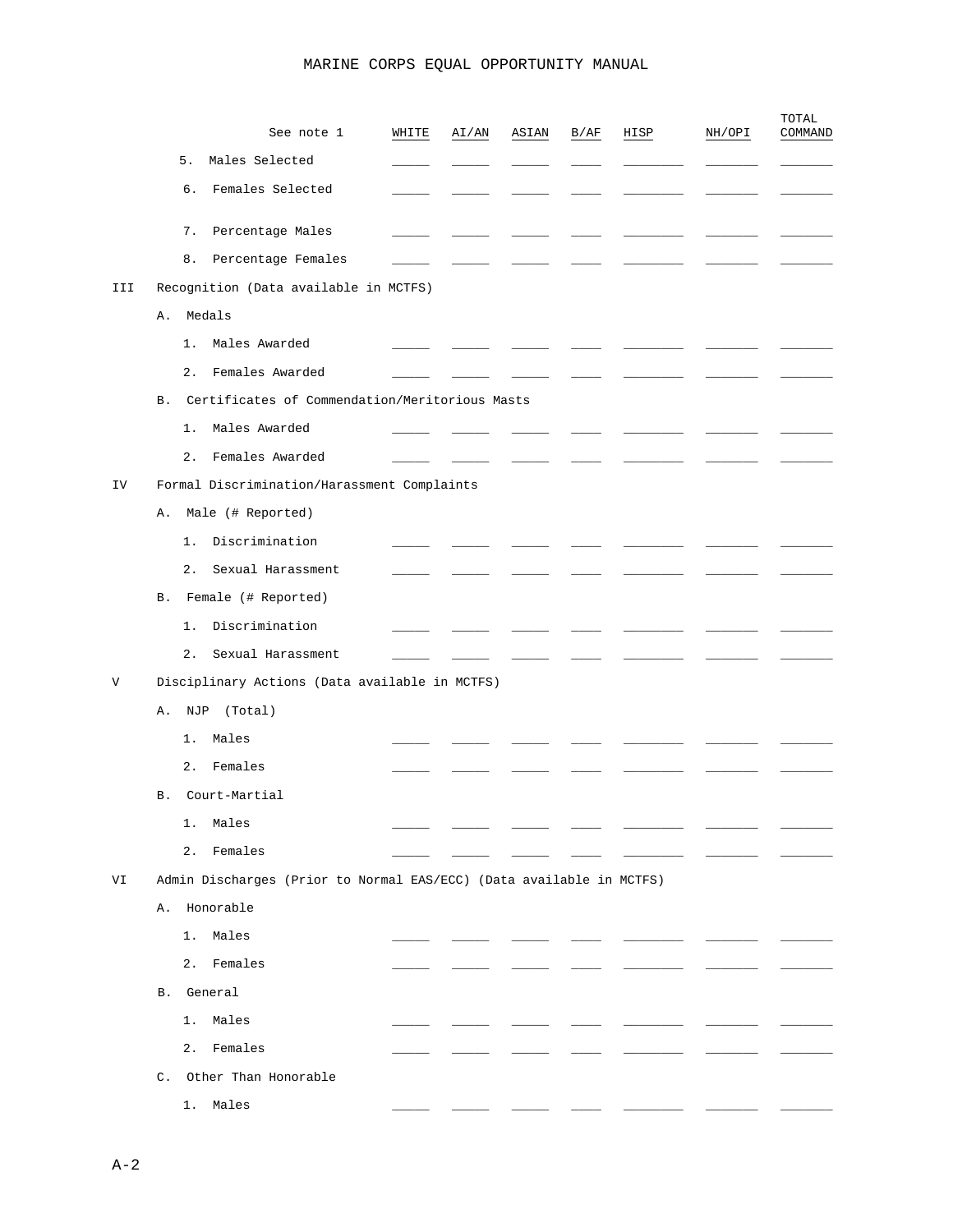|     | See note 1                                                           | WHITE | AI/AN | ASIAN | B/AF | HISP | NH/OPI | TOTAL<br>COMMAND |
|-----|----------------------------------------------------------------------|-------|-------|-------|------|------|--------|------------------|
|     | 5.<br>Males Selected                                                 |       |       |       |      |      |        |                  |
|     | 6.<br>Females Selected                                               |       |       |       |      |      |        |                  |
|     | 7.<br>Percentage Males                                               |       |       |       |      |      |        |                  |
|     | Percentage Females<br>8.                                             |       |       |       |      |      |        |                  |
| III | Recognition (Data available in MCTFS)                                |       |       |       |      |      |        |                  |
|     | Medals<br>Α.                                                         |       |       |       |      |      |        |                  |
|     | Males Awarded<br>1.                                                  |       |       |       |      |      |        |                  |
|     | Females Awarded<br>$2$ .                                             |       |       |       |      |      |        |                  |
|     | Certificates of Commendation/Meritorious Masts<br><b>B</b> .         |       |       |       |      |      |        |                  |
|     | Males Awarded<br>1.                                                  |       |       |       |      |      |        |                  |
|     | Females Awarded<br>2.                                                |       |       |       |      |      |        |                  |
| IV  | Formal Discrimination/Harassment Complaints                          |       |       |       |      |      |        |                  |
|     | Male (# Reported)<br>Α.                                              |       |       |       |      |      |        |                  |
|     | Discrimination<br>1.                                                 |       |       |       |      |      |        |                  |
|     | 2.<br>Sexual Harassment                                              |       |       |       |      |      |        |                  |
|     | Female (# Reported)<br>В.                                            |       |       |       |      |      |        |                  |
|     | Discrimination<br>$1$ .                                              |       |       |       |      |      |        |                  |
|     | 2.<br>Sexual Harassment                                              |       |       |       |      |      |        |                  |
| V   | Disciplinary Actions (Data available in MCTFS)                       |       |       |       |      |      |        |                  |
|     | (Total)<br>Α.<br>NJP                                                 |       |       |       |      |      |        |                  |
|     | Males<br>$1$ .                                                       |       |       |       |      |      |        |                  |
|     | 2.<br>Females                                                        |       |       |       |      |      |        |                  |
|     | Court-Martial<br>В.                                                  |       |       |       |      |      |        |                  |
|     | Males<br>1.                                                          |       |       |       |      |      |        |                  |
|     | 2.<br>Females                                                        |       |       |       |      |      |        |                  |
| VI  | Admin Discharges (Prior to Normal EAS/ECC) (Data available in MCTFS) |       |       |       |      |      |        |                  |
|     | Honorable<br>Α.                                                      |       |       |       |      |      |        |                  |
|     | 1.<br>Males                                                          |       |       |       |      |      |        |                  |
|     | 2.<br>Females                                                        |       |       |       |      |      |        |                  |
|     | General<br>В.                                                        |       |       |       |      |      |        |                  |
|     | $1$ .<br>Males                                                       |       |       |       |      |      |        |                  |
|     | 2.<br>Females                                                        |       |       |       |      |      |        |                  |
|     | C. Other Than Honorable                                              |       |       |       |      |      |        |                  |
|     | 1. Males                                                             |       |       |       |      |      |        |                  |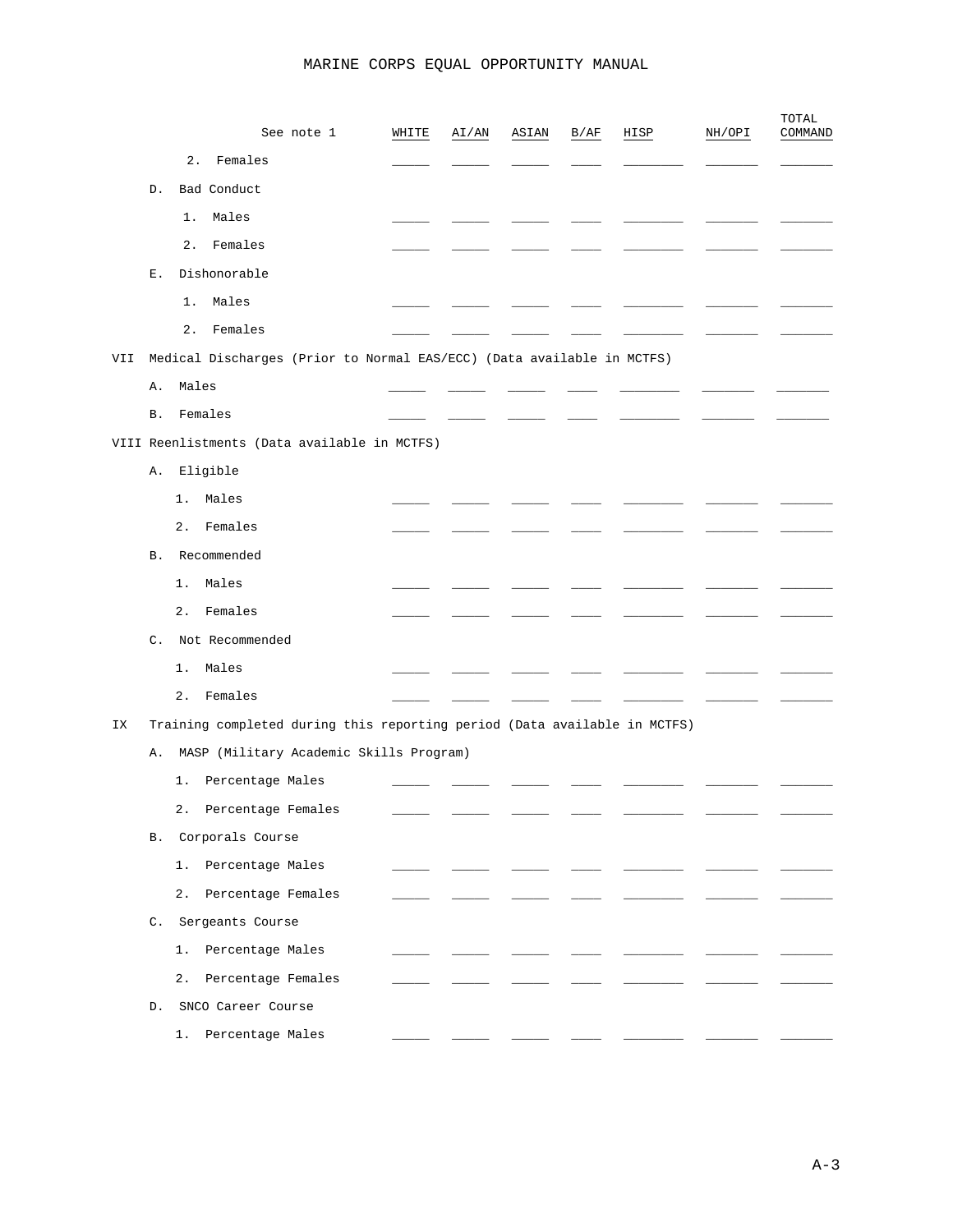|     |                |       | See note 1                                                                | WHITE | AI/AN | ASIAN | B/AF | HISP | NH/OPI | TOTAL<br>COMMAND |
|-----|----------------|-------|---------------------------------------------------------------------------|-------|-------|-------|------|------|--------|------------------|
|     |                | 2.    | Females                                                                   |       |       |       |      |      |        |                  |
|     | D.             |       | Bad Conduct                                                               |       |       |       |      |      |        |                  |
|     |                | 1.    | Males                                                                     |       |       |       |      |      |        |                  |
|     |                | 2.    | Females                                                                   |       |       |       |      |      |        |                  |
|     | Е.             |       | Dishonorable                                                              |       |       |       |      |      |        |                  |
|     |                | $1$ . | Males                                                                     |       |       |       |      |      |        |                  |
|     |                | 2.    | Females                                                                   |       |       |       |      |      |        |                  |
| VII |                |       | Medical Discharges (Prior to Normal EAS/ECC) (Data available in MCTFS)    |       |       |       |      |      |        |                  |
|     | Α.             | Males |                                                                           |       |       |       |      |      |        |                  |
|     | <b>B.</b>      |       | Females                                                                   |       |       |       |      |      |        |                  |
|     |                |       | VIII Reenlistments (Data available in MCTFS)                              |       |       |       |      |      |        |                  |
|     | Α.             |       | Eligible                                                                  |       |       |       |      |      |        |                  |
|     |                | 1.    | Males                                                                     |       |       |       |      |      |        |                  |
|     |                | 2.    | Females                                                                   |       |       |       |      |      |        |                  |
|     | В.             |       | Recommended                                                               |       |       |       |      |      |        |                  |
|     |                | 1.    | Males                                                                     |       |       |       |      |      |        |                  |
|     |                | 2.    | Females                                                                   |       |       |       |      |      |        |                  |
|     | $\mathsf{C}$ . |       | Not Recommended                                                           |       |       |       |      |      |        |                  |
|     |                | 1.    | Males                                                                     |       |       |       |      |      |        |                  |
|     |                | 2.    | Females                                                                   |       |       |       |      |      |        |                  |
| ΙX  |                |       | Training completed during this reporting period (Data available in MCTFS) |       |       |       |      |      |        |                  |
|     | Α.             |       | MASP (Military Academic Skills Program)                                   |       |       |       |      |      |        |                  |
|     |                | 1.    | Percentage Males                                                          |       |       |       |      |      |        |                  |
|     |                | 2.    | Percentage Females                                                        |       |       |       |      |      |        |                  |
|     |                |       | B. Corporals Course                                                       |       |       |       |      |      |        |                  |
|     |                |       | 1. Percentage Males                                                       |       |       |       |      |      |        |                  |
|     |                |       | 2. Percentage Females                                                     |       |       |       |      |      |        |                  |
|     |                |       | C. Sergeants Course                                                       |       |       |       |      |      |        |                  |
|     |                |       | 1. Percentage Males                                                       |       |       |       |      |      |        |                  |
|     |                |       | 2. Percentage Females                                                     |       |       |       |      |      |        |                  |
|     |                |       | D. SNCO Career Course                                                     |       |       |       |      |      |        |                  |
|     |                |       | 1. Percentage Males                                                       |       |       |       |      |      |        |                  |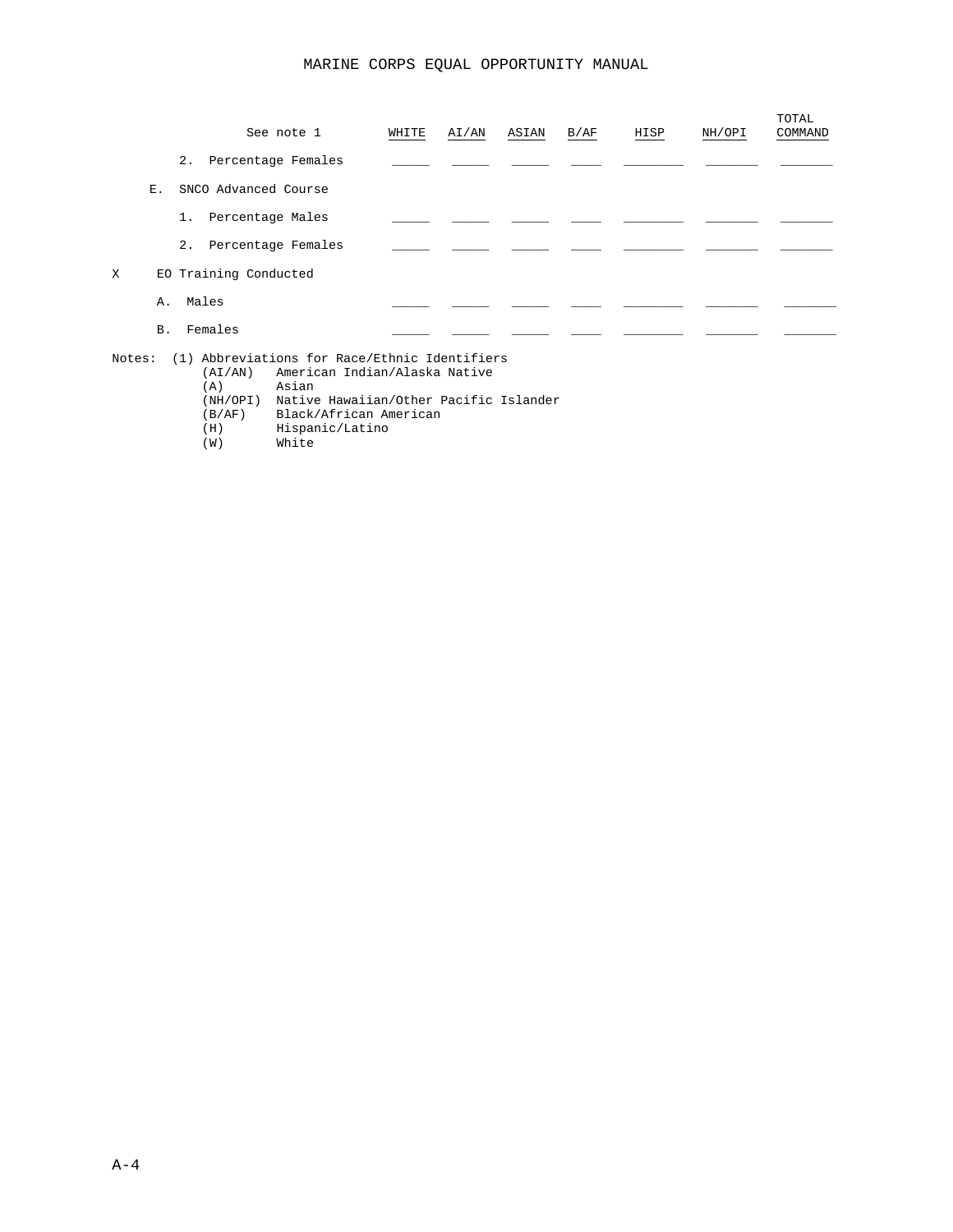|   |           | See note 1            | WHITE | AI/AN                           | ASIAN | B/AF | HISP | NH/OPI | TOTAL<br>COMMAND |
|---|-----------|-----------------------|-------|---------------------------------|-------|------|------|--------|------------------|
|   |           | 2. Percentage Females |       |                                 |       |      |      |        |                  |
|   | Ε.        | SNCO Advanced Course  |       |                                 |       |      |      |        |                  |
|   |           | 1. Percentage Males   |       |                                 |       |      |      |        |                  |
|   |           | 2. Percentage Females |       |                                 |       |      |      |        |                  |
| X |           | EO Training Conducted |       |                                 |       |      |      |        |                  |
|   | Α.        | Males                 |       |                                 |       |      |      |        |                  |
|   | <b>B.</b> | Females               |       |                                 |       |      |      |        |                  |
|   |           |                       |       | the contract of the contract of |       |      |      |        |                  |

Notes: (1) Abbreviations for Race/Ethnic Identifiers (AI/AN) American Indian/Alaska Native (A) Asian

- (NH/OPI) Native Hawaiian/Other Pacific Islander
- (B/AF) Black/African American
- (H) Hispanic/Latino<br>
(W) White
- White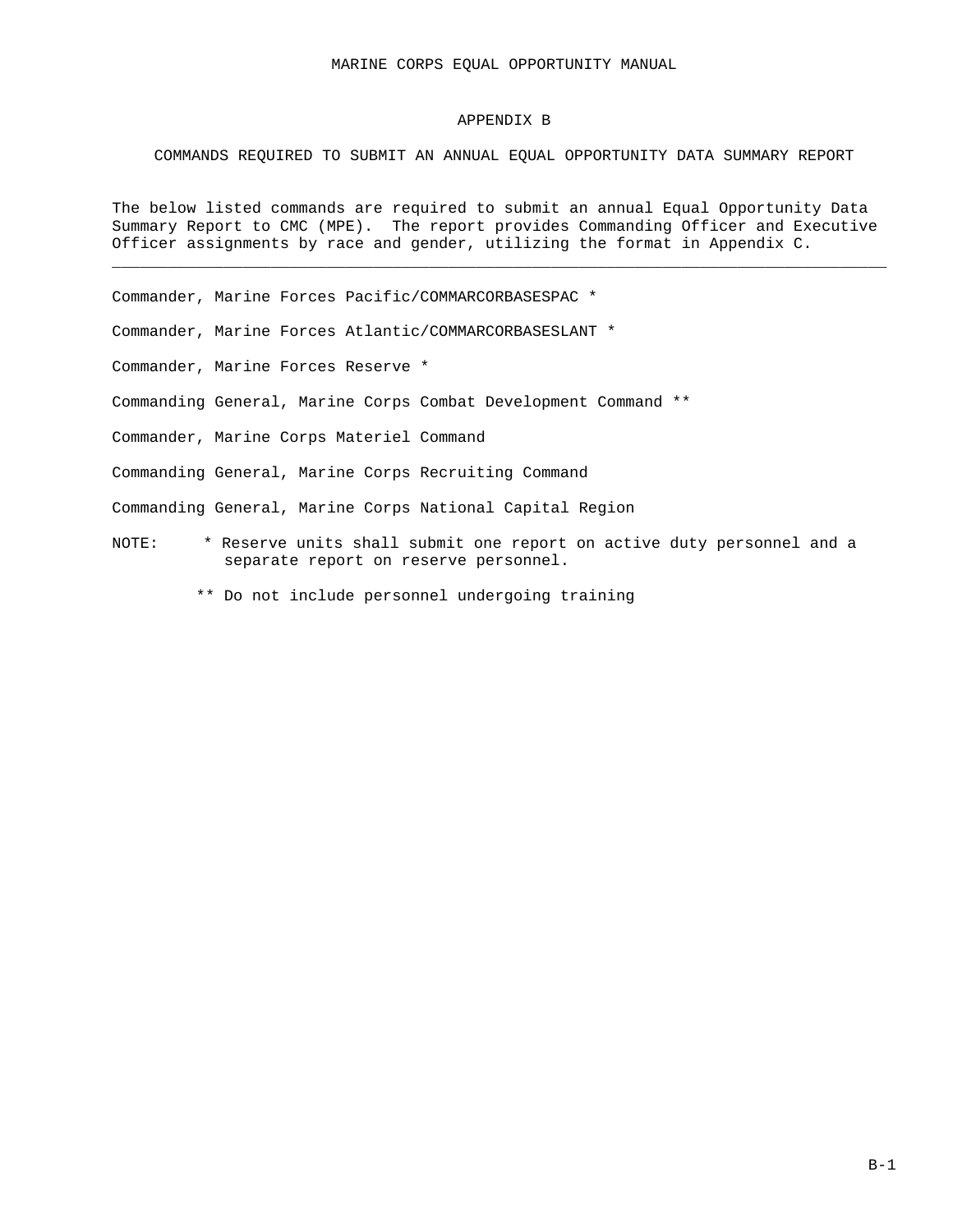### APPENDIX B

## COMMANDS REQUIRED TO SUBMIT AN ANNUAL EQUAL OPPORTUNITY DATA SUMMARY REPORT

The below listed commands are required to submit an annual Equal Opportunity Data Summary Report to CMC (MPE). The report provides Commanding Officer and Executive Officer assignments by race and gender, utilizing the format in Appendix C.

\_\_\_\_\_\_\_\_\_\_\_\_\_\_\_\_\_\_\_\_\_\_\_\_\_\_\_\_\_\_\_\_\_\_\_\_\_\_\_\_\_\_\_\_\_\_\_\_\_\_\_\_\_\_\_\_\_\_\_\_\_\_\_\_\_\_\_\_\_\_\_\_\_\_\_\_\_\_\_\_\_\_\_

Commander, Marine Forces Pacific/COMMARCORBASESPAC \*

Commander, Marine Forces Atlantic/COMMARCORBASESLANT \*

Commander, Marine Forces Reserve \*

Commanding General, Marine Corps Combat Development Command \*\*

Commander, Marine Corps Materiel Command

Commanding General, Marine Corps Recruiting Command

Commanding General, Marine Corps National Capital Region

- NOTE: \* Reserve units shall submit one report on active duty personnel and a separate report on reserve personnel.
	- \*\* Do not include personnel undergoing training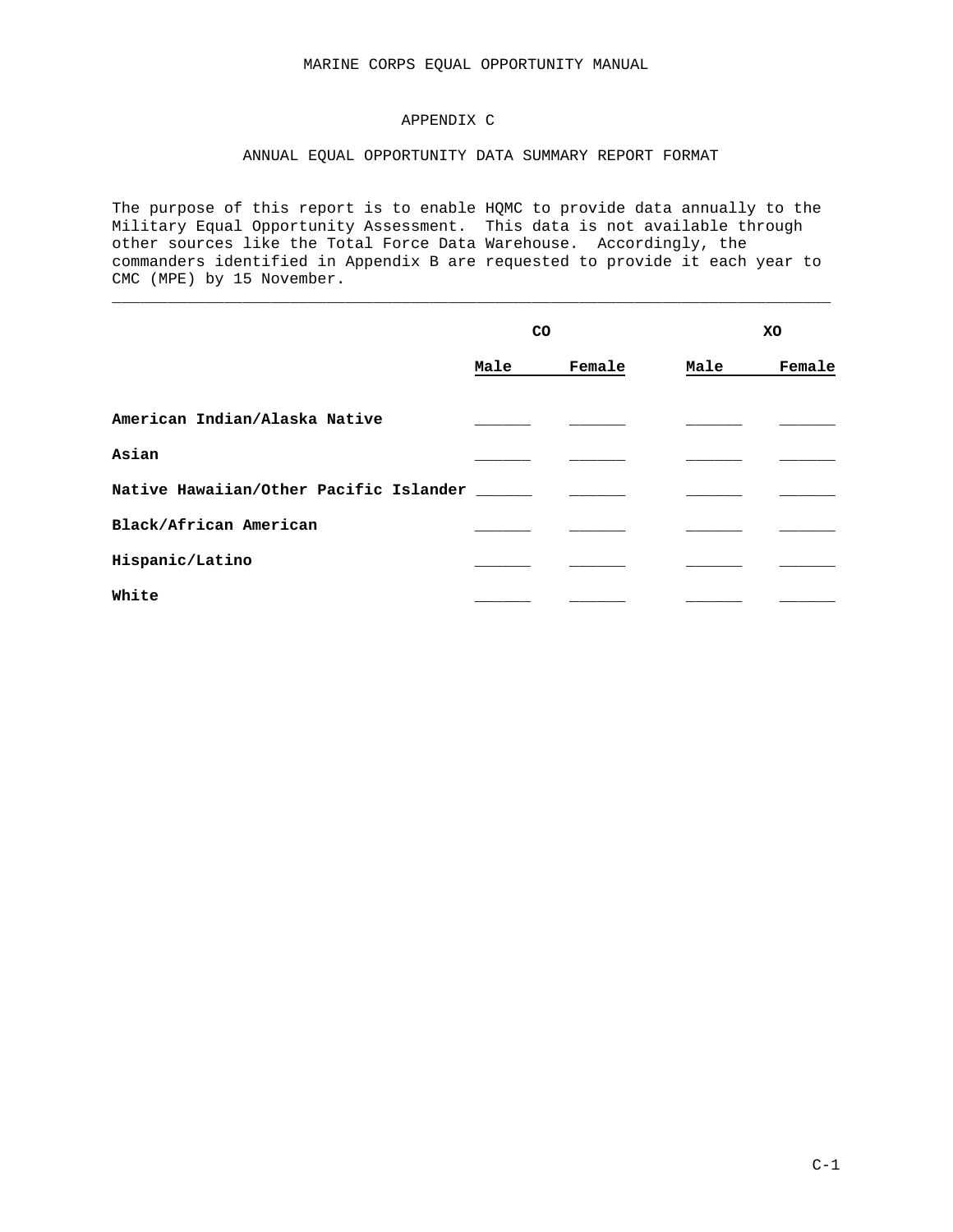## APPENDIX C

## ANNUAL EQUAL OPPORTUNITY DATA SUMMARY REPORT FORMAT

The purpose of this report is to enable HQMC to provide data annually to the Military Equal Opportunity Assessment. This data is not available through other sources like the Total Force Data Warehouse. Accordingly, the commanders identified in Appendix B are requested to provide it each year to CMC (MPE) by 15 November.

\_\_\_\_\_\_\_\_\_\_\_\_\_\_\_\_\_\_\_\_\_\_\_\_\_\_\_\_\_\_\_\_\_\_\_\_\_\_\_\_\_\_\_\_\_\_\_\_\_\_\_\_\_\_\_\_\_\_\_\_\_\_\_\_\_\_\_\_\_\_\_\_\_\_\_\_\_

|                                        | CO   |        | XO   |        |  |
|----------------------------------------|------|--------|------|--------|--|
|                                        | Male | Female | Male | Female |  |
| American Indian/Alaska Native          |      |        |      |        |  |
| Asian                                  |      |        |      |        |  |
| Native Hawaiian/Other Pacific Islander |      |        |      |        |  |
| Black/African American                 |      |        |      |        |  |
| Hispanic/Latino                        |      |        |      |        |  |
| White                                  |      |        |      |        |  |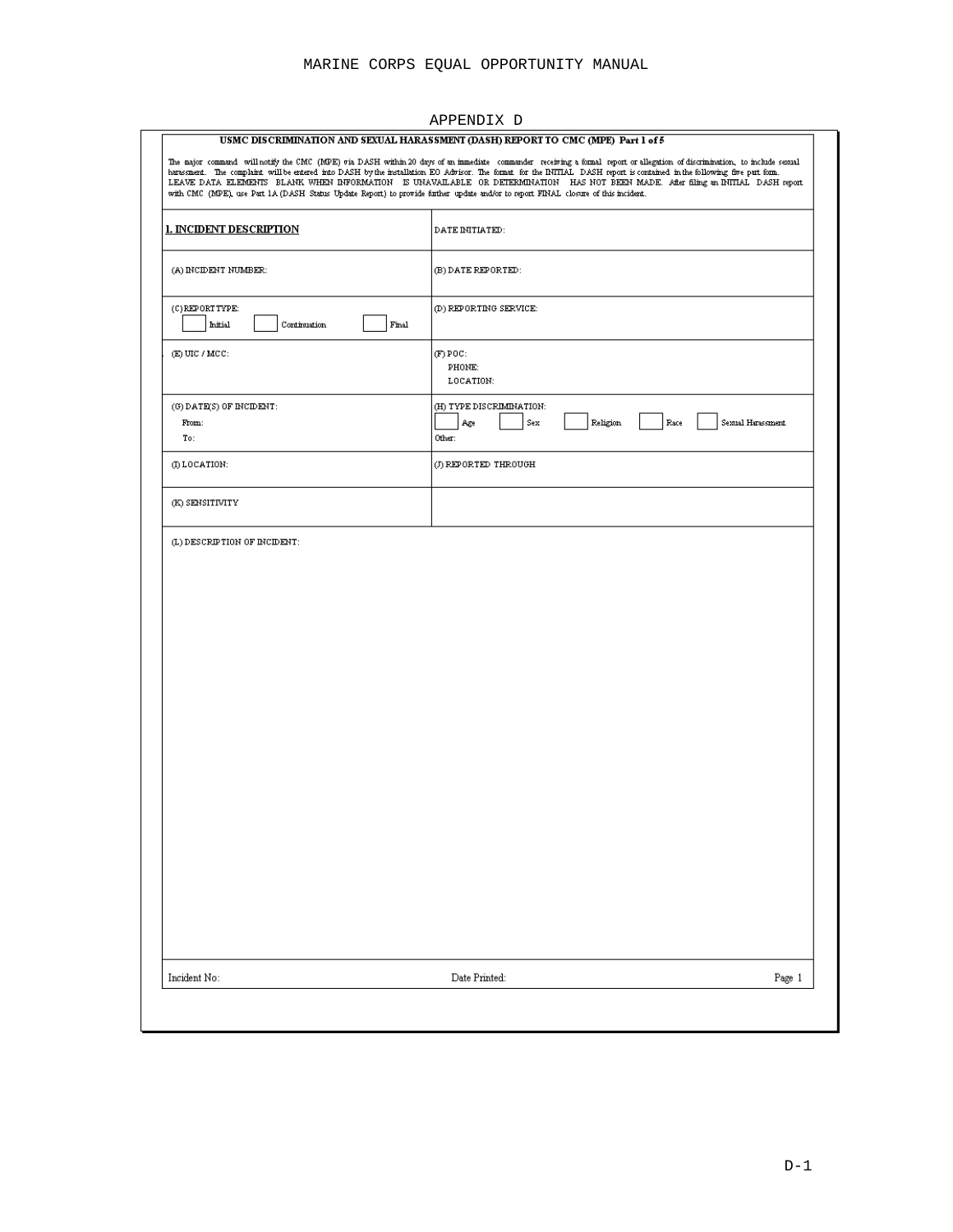| with CMC (MPE), use Part 1A (DASH Status Update Report) to provide further update and/or to report FINAL closure of this incident. | USMC DISCRIMINATION AND SEXUAL HARASSMENT (DASH) REPORT TO CMC (MPE) Part 1 of 5<br>The major command willhotify the CMC (MPE) via DASH within 20 days of an immediate commander receiving a formal report or allegation of discrimination, to include sexual<br>harassment. The complaint will be entered into DASH by the installation EO Advisor. The format for the INITIAL DASH report is contained in the following five part form.<br>LEAVE DATA ELEMENTS BLANK WHEN INFORMATION IS UNAVAILABLE OR DETERMINATION HAS NOT BEEN MADE. After filing an INITIAL DASH report |        |
|------------------------------------------------------------------------------------------------------------------------------------|--------------------------------------------------------------------------------------------------------------------------------------------------------------------------------------------------------------------------------------------------------------------------------------------------------------------------------------------------------------------------------------------------------------------------------------------------------------------------------------------------------------------------------------------------------------------------------|--------|
| <b>I. INCIDENT DESCRIPTION</b>                                                                                                     | DATE INITIATED:                                                                                                                                                                                                                                                                                                                                                                                                                                                                                                                                                                |        |
| (A) INCIDENT NUMBER:                                                                                                               | (B) DATE REPORTED:                                                                                                                                                                                                                                                                                                                                                                                                                                                                                                                                                             |        |
| (C) REPORT TYPE:<br>Initial<br>Continuation<br>Final                                                                               | (D) REPORTING SERVICE:                                                                                                                                                                                                                                                                                                                                                                                                                                                                                                                                                         |        |
| $(E)$ UIC / MCC:                                                                                                                   | $(F)$ POC:<br>PHONE:<br>LOCATION:                                                                                                                                                                                                                                                                                                                                                                                                                                                                                                                                              |        |
| $(0)$ DATE(S) OF INCIDENT:<br>From:<br>To:                                                                                         | (H) TYPE DISCRIMINATION:<br>Sexual Harassment<br>Sex<br>Religion<br>Race<br>Age<br>Other:                                                                                                                                                                                                                                                                                                                                                                                                                                                                                      |        |
| (I) LOCATION:                                                                                                                      | (J) REPORTED THROUGH                                                                                                                                                                                                                                                                                                                                                                                                                                                                                                                                                           |        |
| (K) SENSITIVITY                                                                                                                    |                                                                                                                                                                                                                                                                                                                                                                                                                                                                                                                                                                                |        |
|                                                                                                                                    |                                                                                                                                                                                                                                                                                                                                                                                                                                                                                                                                                                                |        |
| Incident No:                                                                                                                       | Date Printed:                                                                                                                                                                                                                                                                                                                                                                                                                                                                                                                                                                  | Page 1 |

### APPENDIX D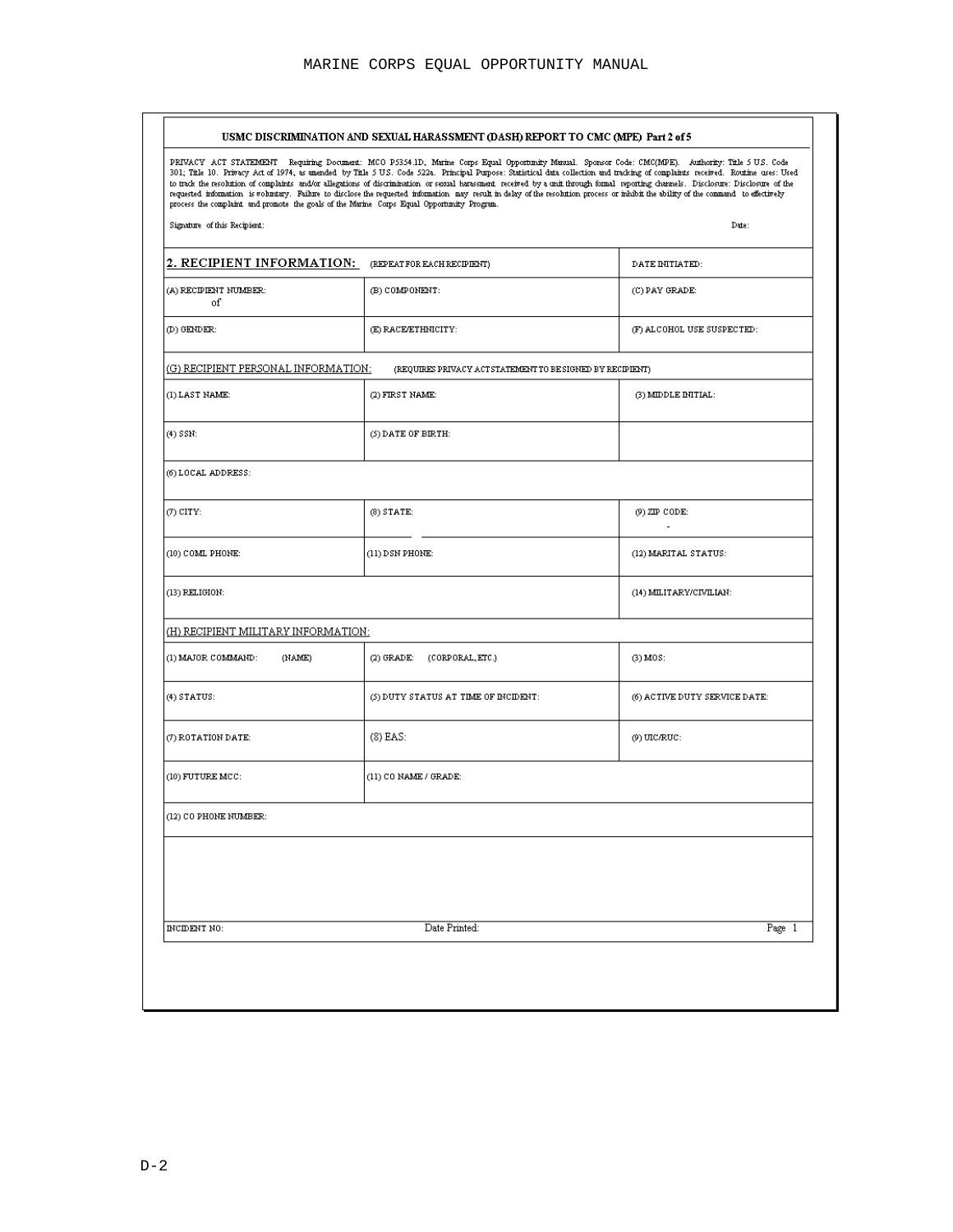|                                                                                            | USMC DISCRIMINATION AND SEXUAL HARASSMENT (DASH) REPORT TO CMC (MPE) Part 2 of 5                                                                                                                                                                                                                                                                                                                                                                                                                                                                                                                                                                                                                                     |                               |
|--------------------------------------------------------------------------------------------|----------------------------------------------------------------------------------------------------------------------------------------------------------------------------------------------------------------------------------------------------------------------------------------------------------------------------------------------------------------------------------------------------------------------------------------------------------------------------------------------------------------------------------------------------------------------------------------------------------------------------------------------------------------------------------------------------------------------|-------------------------------|
| process the complaint and promote the goals of the Marine Corps Equal Opportunity Program. | PRIVACY ACT STATEMENT Requiring Document: MCO P5354.1D, Marine Corps Equal Opportunity Manual. Sponsor Code: CMC(MPE). Authority: Title 5 US. Code<br>301; Title 10. Privacy Act of 1974, as amended by Title 5 U.S. Code 522a. Principal Purpose: Statistical data collection and tracking of complaints received. Routine uses: Used<br>to track the resolution of complaints and/or allegations of discrimination or sexual harasment received by a unit through formal reporting channels. Disclosure: Disclosure of the<br>requested information is voluntary. Failure to disclose the requested information may result in delay of the resolution process or inhibit the ability of the command to effectively |                               |
| Signature of this Recipient:                                                               |                                                                                                                                                                                                                                                                                                                                                                                                                                                                                                                                                                                                                                                                                                                      | Date:                         |
| 2. RECIPIENT INFORMATION: (REPEATFOR EACH RECIPIENT)                                       |                                                                                                                                                                                                                                                                                                                                                                                                                                                                                                                                                                                                                                                                                                                      | DATE INITIATED:               |
| (A) RECIPIENT NUMBER:<br>of                                                                | (B) COMPONENT:                                                                                                                                                                                                                                                                                                                                                                                                                                                                                                                                                                                                                                                                                                       | (C) PAY GRADE:                |
| (D) GENDER:                                                                                | (E) RACE/ETHNICITY:                                                                                                                                                                                                                                                                                                                                                                                                                                                                                                                                                                                                                                                                                                  | (F) ALCOHOL USE SUSPECTED:    |
| <u>(G) RECIPIENT PERSONAL INFORMATION:</u>                                                 | (REQUIRES PRIVACY ACT STATEMENT TO BE SIGNED BY RECIPIENT)                                                                                                                                                                                                                                                                                                                                                                                                                                                                                                                                                                                                                                                           |                               |
| (1) LAST NAME:                                                                             | (2) FIRST NAME:                                                                                                                                                                                                                                                                                                                                                                                                                                                                                                                                                                                                                                                                                                      | (3) MIDDLE INITIAL:           |
| (4) SSN:                                                                                   | $(5)$ DATE OF BIRTH:                                                                                                                                                                                                                                                                                                                                                                                                                                                                                                                                                                                                                                                                                                 |                               |
| (6) LOCAL ADDRESS:                                                                         |                                                                                                                                                                                                                                                                                                                                                                                                                                                                                                                                                                                                                                                                                                                      |                               |
| $(7)$ CITY:                                                                                | $(8)$ STATE:                                                                                                                                                                                                                                                                                                                                                                                                                                                                                                                                                                                                                                                                                                         | (9) ZIP CODE:                 |
| (10) COML PHONE:                                                                           | (11) DSN PHONE:                                                                                                                                                                                                                                                                                                                                                                                                                                                                                                                                                                                                                                                                                                      | (12) MARITAL STATUS:          |
| (13) RELIGION:                                                                             |                                                                                                                                                                                                                                                                                                                                                                                                                                                                                                                                                                                                                                                                                                                      | (14) MILITARY/CIVILIAN:       |
| <u>(H) RECIPIENT MILITARY INFORMATION:</u>                                                 |                                                                                                                                                                                                                                                                                                                                                                                                                                                                                                                                                                                                                                                                                                                      |                               |
| (1) MAJOR COMMAND:<br>(NAME)                                                               | (2) GRADE:<br>(CORPORAL, ETC.)                                                                                                                                                                                                                                                                                                                                                                                                                                                                                                                                                                                                                                                                                       | $(3)$ $MOS$ :                 |
| $(4)$ STATUS:                                                                              | (5) DUTY STATUS AT TIME OF INCIDENT:                                                                                                                                                                                                                                                                                                                                                                                                                                                                                                                                                                                                                                                                                 | (6) ACTIVE DUTY SERVICE DATE: |
| (7) ROTATION DATE:                                                                         | $(8)$ EAS:                                                                                                                                                                                                                                                                                                                                                                                                                                                                                                                                                                                                                                                                                                           | $(9)$ UIC/RUC:                |
| $(10)$ FUTURE MCC:                                                                         | (11) CO NAME / GRADE:                                                                                                                                                                                                                                                                                                                                                                                                                                                                                                                                                                                                                                                                                                |                               |
| (12) CO PHONE NUMBER:                                                                      |                                                                                                                                                                                                                                                                                                                                                                                                                                                                                                                                                                                                                                                                                                                      |                               |
|                                                                                            |                                                                                                                                                                                                                                                                                                                                                                                                                                                                                                                                                                                                                                                                                                                      |                               |
|                                                                                            |                                                                                                                                                                                                                                                                                                                                                                                                                                                                                                                                                                                                                                                                                                                      |                               |
| INCIDENT NO:                                                                               | Date Printed:                                                                                                                                                                                                                                                                                                                                                                                                                                                                                                                                                                                                                                                                                                        | Page 1                        |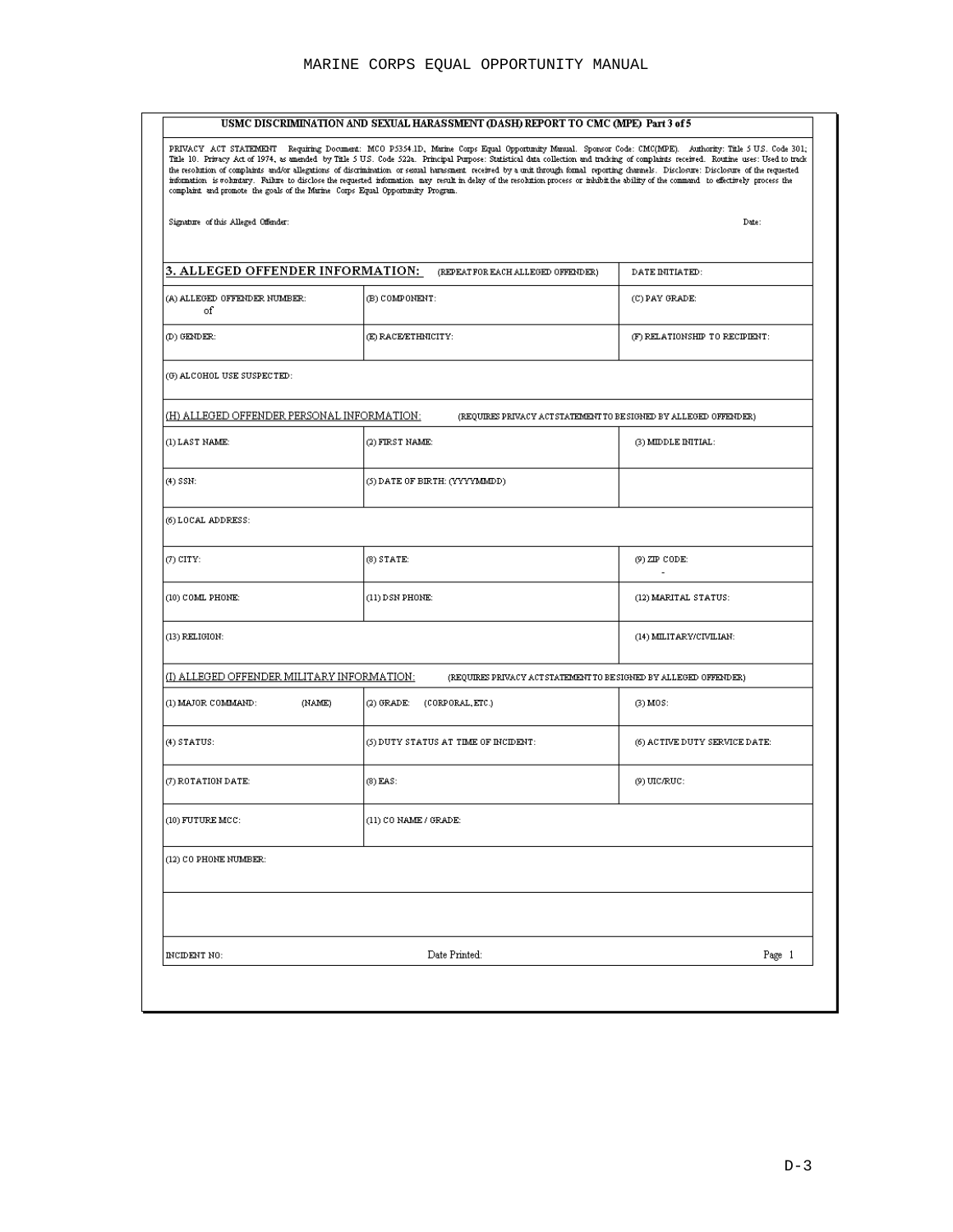|                                                                                | USMC DISCRIMINATION AND SEXUAL HARASSMENT (DASH) REPORT TO CMC (MPE) Part 3 of 5                                                                                                                                                                                                                                                                                                                                                                                                                                                                                                                                                                                                                                                |                                |
|--------------------------------------------------------------------------------|---------------------------------------------------------------------------------------------------------------------------------------------------------------------------------------------------------------------------------------------------------------------------------------------------------------------------------------------------------------------------------------------------------------------------------------------------------------------------------------------------------------------------------------------------------------------------------------------------------------------------------------------------------------------------------------------------------------------------------|--------------------------------|
| complaint and promote the goals of the Marine Corps Equal Opportunity Program. | PRIVACY ACT STATEMENT Requiring Document: MCO P5354.1D, Marine Corps Equal Opportunity Manual. Sponsor Code: CMC(MPE). Authority: Title 5 US. Code 301;<br>Title 10. Privacy Act of 1974, as amended by Title 5 U.S. Code 522a. Principal Purpose: Statistical data collection and tracking of complaints received. Routine uses: Used to track<br>the resolution of complemes and/or allegations of discrimination or secual hardsment received by a unit through formal reporting channels. Disclosure: Disclosure of the requested<br>information is voluntary. Failure to disclose the requested information may result in delay of the resolution process or inhibit the ability of the command to effectively process the |                                |
| Signature of this Alleged Offender:                                            |                                                                                                                                                                                                                                                                                                                                                                                                                                                                                                                                                                                                                                                                                                                                 | Date:                          |
| 3. ALLEGED OFFENDER INFORMATION:                                               | (REPEAT FOR EACH ALLEGED OFFENDER)                                                                                                                                                                                                                                                                                                                                                                                                                                                                                                                                                                                                                                                                                              | DATE INITIATED:                |
| (A) ALLEGED OFFENDER NUMBER:<br>of                                             | (B) COMPONENT:                                                                                                                                                                                                                                                                                                                                                                                                                                                                                                                                                                                                                                                                                                                  | (C) PAY GRADE:                 |
| (D) GENDER:                                                                    | (E) RACE/ETHNICITY:                                                                                                                                                                                                                                                                                                                                                                                                                                                                                                                                                                                                                                                                                                             | (F) RELATIONSHIP TO RECIPIENT: |
| (G) ALCOHOL USE SUSPECTED:                                                     |                                                                                                                                                                                                                                                                                                                                                                                                                                                                                                                                                                                                                                                                                                                                 |                                |
| <u>(H) ALLEGED OFFENDER PERSONAL INFORMATION:</u>                              | (REQUIRES PRIVACY ACT STATEMENT TO BE SIGNED BY ALLEGED OFFENDER)                                                                                                                                                                                                                                                                                                                                                                                                                                                                                                                                                                                                                                                               |                                |
| (1) LAST NAME:                                                                 | (2) FIRST NAME:                                                                                                                                                                                                                                                                                                                                                                                                                                                                                                                                                                                                                                                                                                                 | (3) MIDDLE INITIAL:            |
| (4) SSN:                                                                       | (5) DATE OF BIRTH: (YYYYMMDD)                                                                                                                                                                                                                                                                                                                                                                                                                                                                                                                                                                                                                                                                                                   |                                |
| (6) LOCAL ADDRESS:                                                             |                                                                                                                                                                                                                                                                                                                                                                                                                                                                                                                                                                                                                                                                                                                                 |                                |
| $(7)$ CITY:                                                                    | $(8)$ STATE:                                                                                                                                                                                                                                                                                                                                                                                                                                                                                                                                                                                                                                                                                                                    | (9) ZIP CODE:                  |
| (10) COML PHONE:                                                               | (11) DSN PHONE:                                                                                                                                                                                                                                                                                                                                                                                                                                                                                                                                                                                                                                                                                                                 | (12) MARITAL STATUS:           |
| (13) RELIGION:                                                                 |                                                                                                                                                                                                                                                                                                                                                                                                                                                                                                                                                                                                                                                                                                                                 | (14) MILITARY/CIVILIAN:        |
| <u>(I) ALLEGED OFFENDER MILITARY INFORMATION:</u>                              | (REQUIRES PRIVACY ACT STATEMENT TO BE SIGNED BY ALLEGED OFFENDER)                                                                                                                                                                                                                                                                                                                                                                                                                                                                                                                                                                                                                                                               |                                |
| (1) MAJOR COMMAND:<br>(NAME)                                                   | (2) GRADE:<br>(CORPORAL, ETC.)                                                                                                                                                                                                                                                                                                                                                                                                                                                                                                                                                                                                                                                                                                  | $(3)$ MOS:                     |
| $(4)$ STATUS:                                                                  | (5) DUTY STATUS AT TIME OF INCIDENT:                                                                                                                                                                                                                                                                                                                                                                                                                                                                                                                                                                                                                                                                                            | (6) ACTIVE DUTY SERVICE DATE:  |
| (7) ROTATION DATE:                                                             | (8) EAS:                                                                                                                                                                                                                                                                                                                                                                                                                                                                                                                                                                                                                                                                                                                        | (9) UIC/RUC:                   |
| (10) FUTURE MCC:                                                               | (11) CO NAME / GRADE:                                                                                                                                                                                                                                                                                                                                                                                                                                                                                                                                                                                                                                                                                                           |                                |
| (12) CO PHONE NUMBER:                                                          |                                                                                                                                                                                                                                                                                                                                                                                                                                                                                                                                                                                                                                                                                                                                 |                                |
|                                                                                |                                                                                                                                                                                                                                                                                                                                                                                                                                                                                                                                                                                                                                                                                                                                 |                                |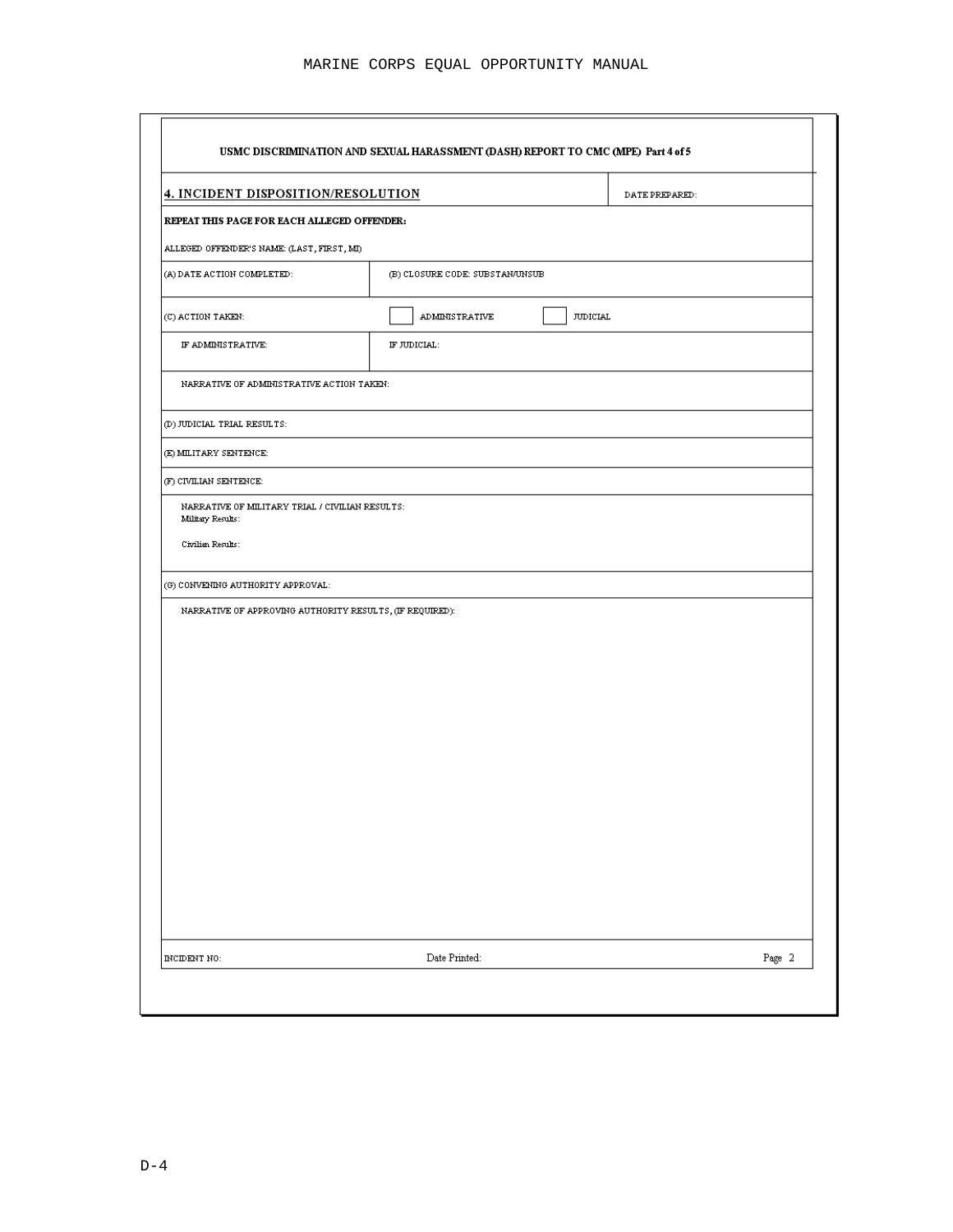| REPEAT THIS PAGE FOR EACH ALLEGED OFFENDER:<br>(B) CLOSURE CODE: SUBSTAN/UNSUB<br><b>ADMINISTRATIVE</b><br>IF JUDICIAL:<br>NARRATIVE OF MILITARY TRIAL / CIVILIAN RESULTS:<br>NARRATIVE OF APPROVING AUTHORITY RESULTS, (IF REQUIRED): | <b>JUDICIAL</b> |  |
|----------------------------------------------------------------------------------------------------------------------------------------------------------------------------------------------------------------------------------------|-----------------|--|
|                                                                                                                                                                                                                                        |                 |  |
|                                                                                                                                                                                                                                        |                 |  |
|                                                                                                                                                                                                                                        |                 |  |
|                                                                                                                                                                                                                                        |                 |  |
|                                                                                                                                                                                                                                        |                 |  |
|                                                                                                                                                                                                                                        |                 |  |
|                                                                                                                                                                                                                                        |                 |  |
|                                                                                                                                                                                                                                        |                 |  |
|                                                                                                                                                                                                                                        |                 |  |
|                                                                                                                                                                                                                                        |                 |  |
|                                                                                                                                                                                                                                        |                 |  |
|                                                                                                                                                                                                                                        |                 |  |
|                                                                                                                                                                                                                                        |                 |  |
|                                                                                                                                                                                                                                        |                 |  |
|                                                                                                                                                                                                                                        |                 |  |
|                                                                                                                                                                                                                                        |                 |  |
|                                                                                                                                                                                                                                        |                 |  |
|                                                                                                                                                                                                                                        |                 |  |
|                                                                                                                                                                                                                                        |                 |  |
|                                                                                                                                                                                                                                        |                 |  |
|                                                                                                                                                                                                                                        |                 |  |
|                                                                                                                                                                                                                                        |                 |  |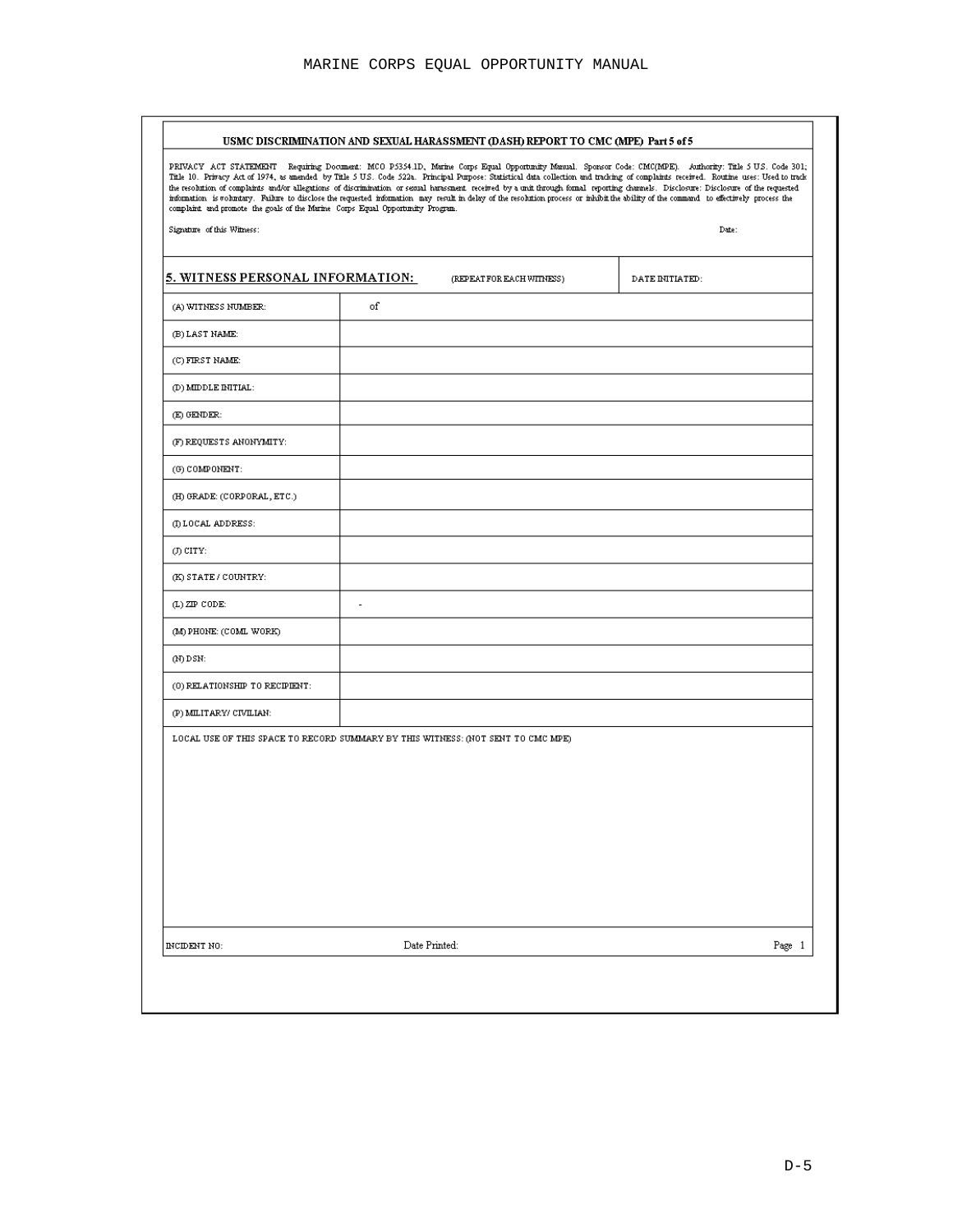| complaint and promote the goals of the Marine Corps Equal Opportunity Program.<br>Signature of this Witness: | information is voluntary. Failure to disclose the requested information may result in delay of the resolution process or inhibit the ability of the command to effectively process the | Date:           |
|--------------------------------------------------------------------------------------------------------------|----------------------------------------------------------------------------------------------------------------------------------------------------------------------------------------|-----------------|
| 5. WITNESS PERSONAL INFORMATION:                                                                             | (REPEAT FOR EACH WITHESS)                                                                                                                                                              | DATE INITIATED: |
| (A) WITNESS NUMBER:                                                                                          | of                                                                                                                                                                                     |                 |
| (B) LAST NAME:                                                                                               |                                                                                                                                                                                        |                 |
| (C) FIRST NAME:                                                                                              |                                                                                                                                                                                        |                 |
| (D) MIDDLE INITIAL:                                                                                          |                                                                                                                                                                                        |                 |
| (E) GENDER:                                                                                                  |                                                                                                                                                                                        |                 |
| (F) REQUESTS ANONYMITY:                                                                                      |                                                                                                                                                                                        |                 |
| (G) COMPONENT:                                                                                               |                                                                                                                                                                                        |                 |
| (H) GRADE: (CORPORAL, ETC.)                                                                                  |                                                                                                                                                                                        |                 |
| (I) LOCAL ADDRESS:                                                                                           |                                                                                                                                                                                        |                 |
| (J) CITY:                                                                                                    |                                                                                                                                                                                        |                 |
| (K) STATE / COUNTRY:                                                                                         |                                                                                                                                                                                        |                 |
| $(L)$ ZIP CODE:                                                                                              | ٠                                                                                                                                                                                      |                 |
| (M) PHONE: (COML WORK)                                                                                       |                                                                                                                                                                                        |                 |
| (N) DSN:                                                                                                     |                                                                                                                                                                                        |                 |
| (0) RELATIONSHIP TO RECIPIENT:                                                                               |                                                                                                                                                                                        |                 |
| (P) MILITARY/ CIVILIAN:                                                                                      |                                                                                                                                                                                        |                 |
|                                                                                                              | LOCAL USE OF THIS SPACE TO RECORD SUMMARY BY THIS WITNESS: (NOT SENT TO CMC MPE)                                                                                                       |                 |
|                                                                                                              |                                                                                                                                                                                        |                 |
|                                                                                                              |                                                                                                                                                                                        |                 |
|                                                                                                              |                                                                                                                                                                                        |                 |
|                                                                                                              |                                                                                                                                                                                        |                 |
|                                                                                                              |                                                                                                                                                                                        |                 |
|                                                                                                              |                                                                                                                                                                                        |                 |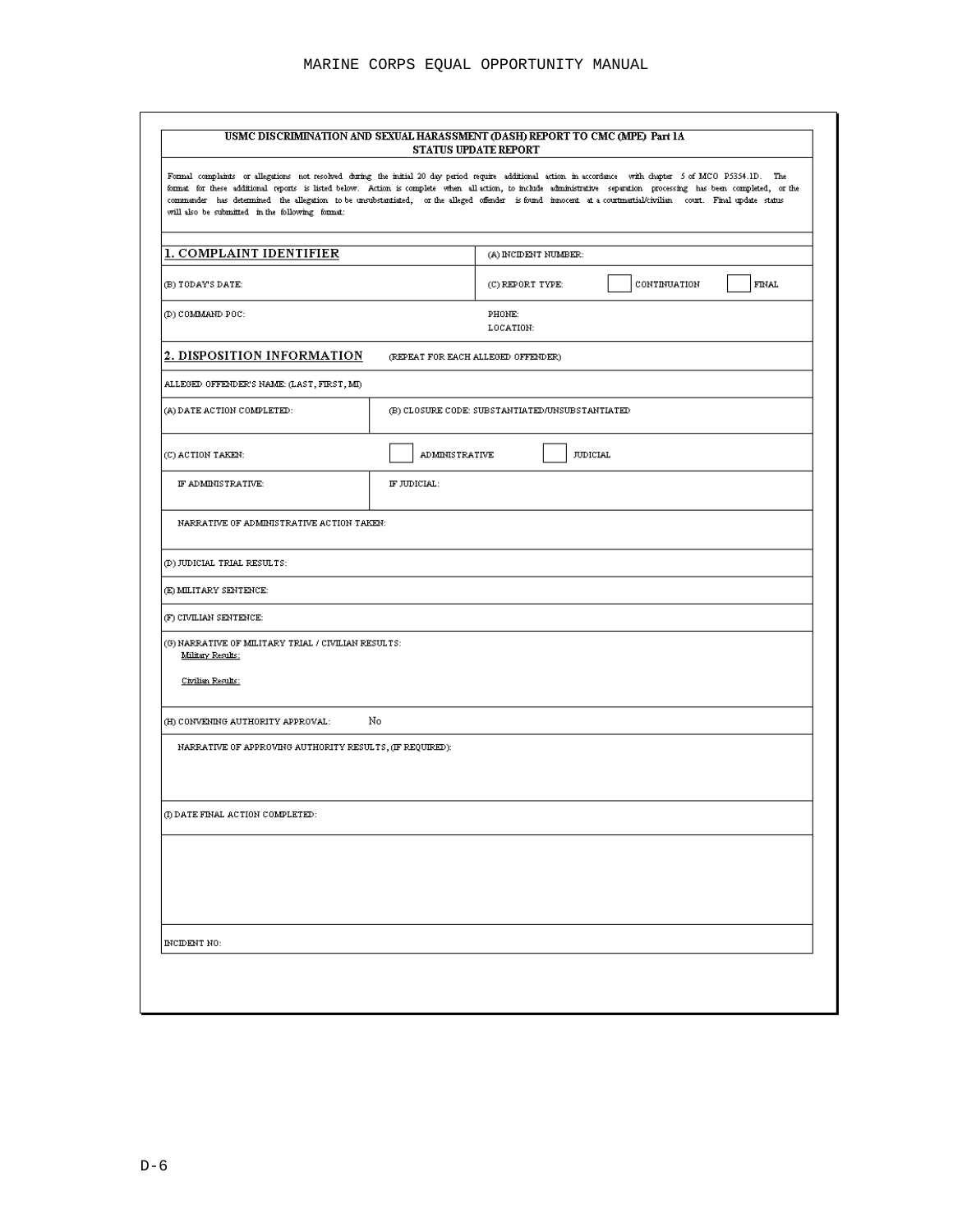| Formal complaints or allegations not resolved during the initial 20 day period require additional action in accordance with chapter 5 of MCO P5354.1D. The<br>format for these additional reports is listed below. Action is complete when all-action, to include administrative separation processing has been completed, or the<br>commander has determined the allegation to be unsubstantiated, or the alleged offender is found innocent at a courtmartial/civilian court. Final update status<br>will also be submitted in the following format: |                       |                                                 |              |              |
|--------------------------------------------------------------------------------------------------------------------------------------------------------------------------------------------------------------------------------------------------------------------------------------------------------------------------------------------------------------------------------------------------------------------------------------------------------------------------------------------------------------------------------------------------------|-----------------------|-------------------------------------------------|--------------|--------------|
| 1. COMPLAINT IDENTIFIER                                                                                                                                                                                                                                                                                                                                                                                                                                                                                                                                |                       | (A) INCIDENT NUMBER:                            |              |              |
| (B) TODAY'S DATE:                                                                                                                                                                                                                                                                                                                                                                                                                                                                                                                                      |                       | (C) REPORT TYPE:                                | CONTINUATION | <b>FINAL</b> |
| (D) COMMAND POC:                                                                                                                                                                                                                                                                                                                                                                                                                                                                                                                                       |                       | PHONE:<br>LOCATION:                             |              |              |
| 2. DISPOSITION INFORMATION                                                                                                                                                                                                                                                                                                                                                                                                                                                                                                                             |                       | (REPEAT FOR EACH ALLEGED OFFENDER)              |              |              |
| ALLEGED OFFENDER'S NAME: (LAST, FIRST, MI)                                                                                                                                                                                                                                                                                                                                                                                                                                                                                                             |                       |                                                 |              |              |
| (A) DATE ACTION COMPLETED:                                                                                                                                                                                                                                                                                                                                                                                                                                                                                                                             |                       | (B) CLOSURE CODE: SUBSTANTIATED/UNSUBSTANTIATED |              |              |
| (C) ACTION TAKEN:                                                                                                                                                                                                                                                                                                                                                                                                                                                                                                                                      | <b>ADMINISTRATIVE</b> | <b>JUDICIAL</b>                                 |              |              |
| IF ADMINISTRATIVE:                                                                                                                                                                                                                                                                                                                                                                                                                                                                                                                                     | IF JUDICIAL:          |                                                 |              |              |
| NARRATIVE OF ADMINISTRATIVE ACTION TAKEN:                                                                                                                                                                                                                                                                                                                                                                                                                                                                                                              |                       |                                                 |              |              |
| (D) JUDICIAL TRIAL RESULTS:                                                                                                                                                                                                                                                                                                                                                                                                                                                                                                                            |                       |                                                 |              |              |
| (E) MILITARY SENTENCE:                                                                                                                                                                                                                                                                                                                                                                                                                                                                                                                                 |                       |                                                 |              |              |
| (F) CIVILIAN SENTENCE:                                                                                                                                                                                                                                                                                                                                                                                                                                                                                                                                 |                       |                                                 |              |              |
| (G) NARRATIVE OF MILITARY TRIAL / CIVILIAN RESULTS:<br>Military Results:                                                                                                                                                                                                                                                                                                                                                                                                                                                                               |                       |                                                 |              |              |
| Civilian Results:                                                                                                                                                                                                                                                                                                                                                                                                                                                                                                                                      |                       |                                                 |              |              |
| (H) CONVENING AUTHORITY APPROVAL:                                                                                                                                                                                                                                                                                                                                                                                                                                                                                                                      | No                    |                                                 |              |              |
| NARRATIVE OF APPROVING AUTHORITY RESULTS, (IF REQUIRED):                                                                                                                                                                                                                                                                                                                                                                                                                                                                                               |                       |                                                 |              |              |
|                                                                                                                                                                                                                                                                                                                                                                                                                                                                                                                                                        |                       |                                                 |              |              |
| (I) DATE FINAL ACTION COMPLETED:                                                                                                                                                                                                                                                                                                                                                                                                                                                                                                                       |                       |                                                 |              |              |
|                                                                                                                                                                                                                                                                                                                                                                                                                                                                                                                                                        |                       |                                                 |              |              |
|                                                                                                                                                                                                                                                                                                                                                                                                                                                                                                                                                        |                       |                                                 |              |              |
|                                                                                                                                                                                                                                                                                                                                                                                                                                                                                                                                                        |                       |                                                 |              |              |
|                                                                                                                                                                                                                                                                                                                                                                                                                                                                                                                                                        |                       |                                                 |              |              |
| INCIDENT NO:                                                                                                                                                                                                                                                                                                                                                                                                                                                                                                                                           |                       |                                                 |              |              |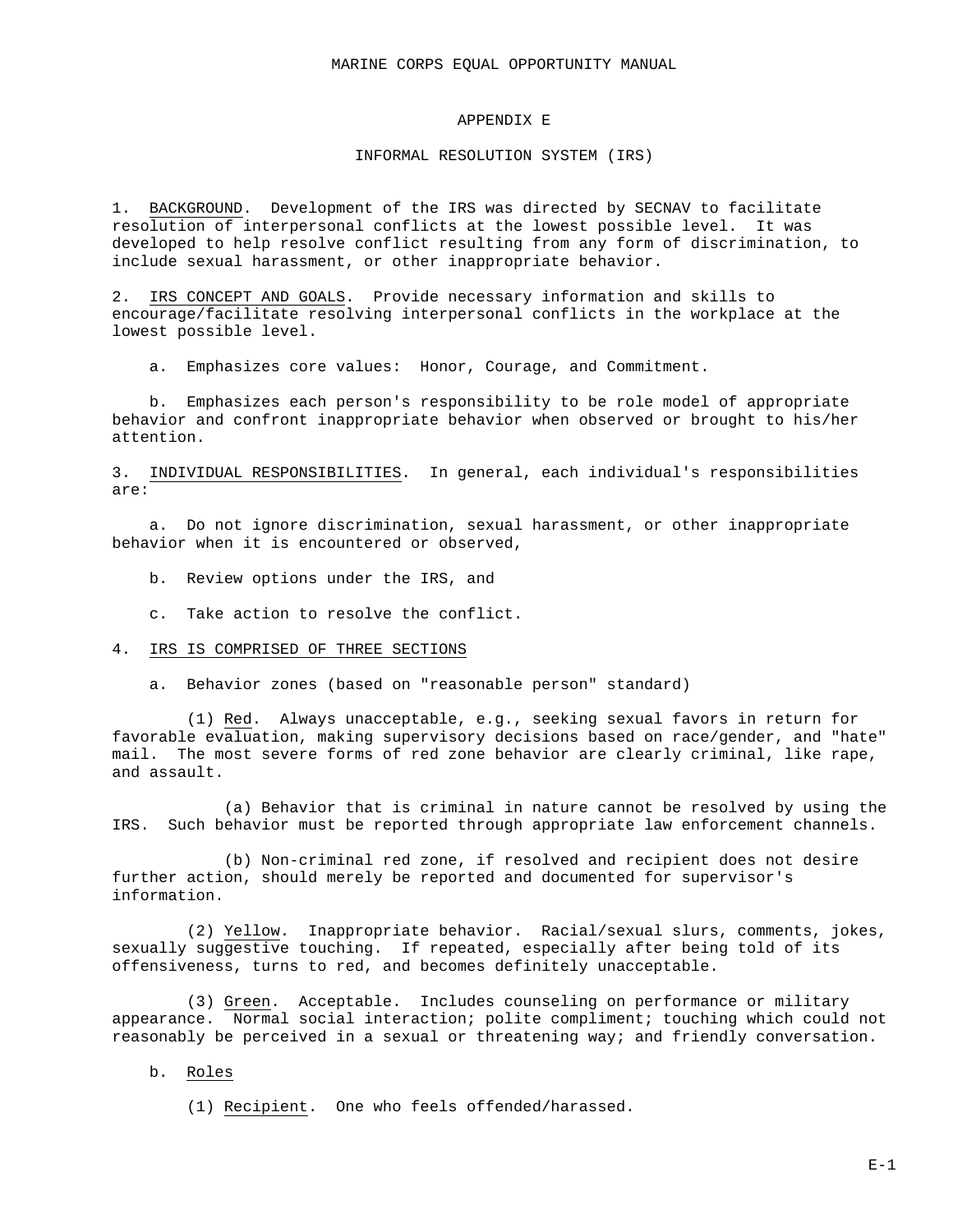### APPENDIX E

### INFORMAL RESOLUTION SYSTEM (IRS)

1. BACKGROUND. Development of the IRS was directed by SECNAV to facilitate resolution of interpersonal conflicts at the lowest possible level. It was developed to help resolve conflict resulting from any form of discrimination, to include sexual harassment, or other inappropriate behavior.

2. IRS CONCEPT AND GOALS. Provide necessary information and skills to encourage/facilitate resolving interpersonal conflicts in the workplace at the lowest possible level.

a. Emphasizes core values: Honor, Courage, and Commitment.

b. Emphasizes each person's responsibility to be role model of appropriate behavior and confront inappropriate behavior when observed or brought to his/her attention.

3. INDIVIDUAL RESPONSIBILITIES. In general, each individual's responsibilities are:

a. Do not ignore discrimination, sexual harassment, or other inappropriate behavior when it is encountered or observed,

- b. Review options under the IRS, and
- c. Take action to resolve the conflict.

#### 4. IRS IS COMPRISED OF THREE SECTIONS

a. Behavior zones (based on "reasonable person" standard)

(1) Red. Always unacceptable, e.g., seeking sexual favors in return for favorable evaluation, making supervisory decisions based on race/gender, and "hate" mail. The most severe forms of red zone behavior are clearly criminal, like rape, and assault.

(a) Behavior that is criminal in nature cannot be resolved by using the IRS. Such behavior must be reported through appropriate law enforcement channels.

(b) Non-criminal red zone, if resolved and recipient does not desire further action, should merely be reported and documented for supervisor's information.

(2) Yellow. Inappropriate behavior. Racial/sexual slurs, comments, jokes, sexually suggestive touching. If repeated, especially after being told of its offensiveness, turns to red, and becomes definitely unacceptable.

(3) Green. Acceptable. Includes counseling on performance or military appearance. Normal social interaction; polite compliment; touching which could not reasonably be perceived in a sexual or threatening way; and friendly conversation.

b. Roles

(1) Recipient. One who feels offended/harassed.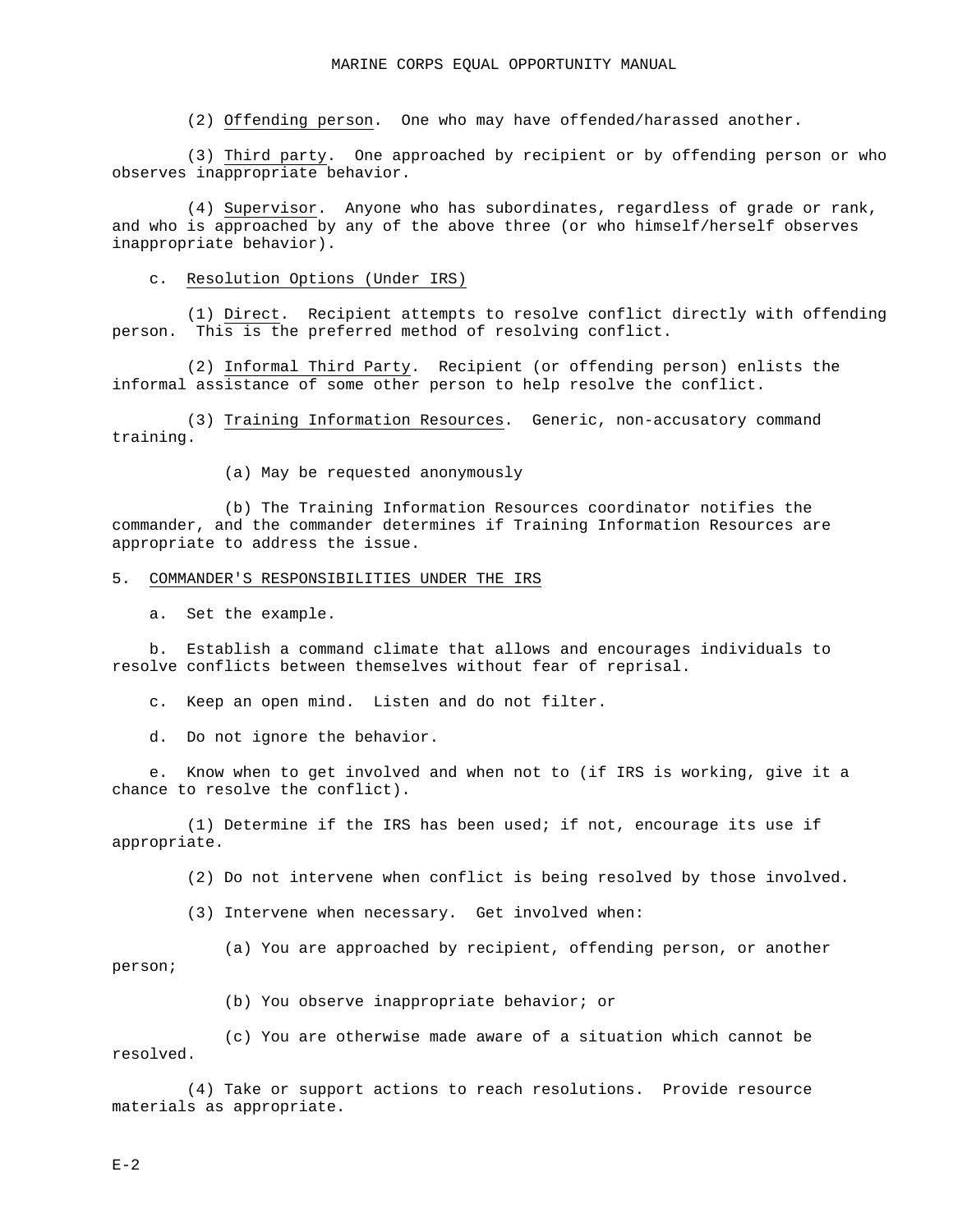(2) Offending person. One who may have offended/harassed another.

(3) Third party. One approached by recipient or by offending person or who observes inappropriate behavior.

(4) Supervisor. Anyone who has subordinates, regardless of grade or rank, and who is approached by any of the above three (or who himself/herself observes inappropriate behavior).

#### c. Resolution Options (Under IRS)

(1) Direct. Recipient attempts to resolve conflict directly with offending person. This is the preferred method of resolving conflict.

(2) Informal Third Party. Recipient (or offending person) enlists the informal assistance of some other person to help resolve the conflict.

(3) Training Information Resources. Generic, non-accusatory command training.

(a) May be requested anonymously

(b) The Training Information Resources coordinator notifies the commander, and the commander determines if Training Information Resources are appropriate to address the issue.

#### 5. COMMANDER'S RESPONSIBILITIES UNDER THE IRS

a. Set the example.

b. Establish a command climate that allows and encourages individuals to resolve conflicts between themselves without fear of reprisal.

c. Keep an open mind. Listen and do not filter.

d. Do not ignore the behavior.

e. Know when to get involved and when not to (if IRS is working, give it a chance to resolve the conflict).

(1) Determine if the IRS has been used; if not, encourage its use if appropriate.

(2) Do not intervene when conflict is being resolved by those involved.

(3) Intervene when necessary. Get involved when:

(a) You are approached by recipient, offending person, or another person;

(b) You observe inappropriate behavior; or

(c) You are otherwise made aware of a situation which cannot be resolved.

(4) Take or support actions to reach resolutions. Provide resource materials as appropriate.

 $E-2$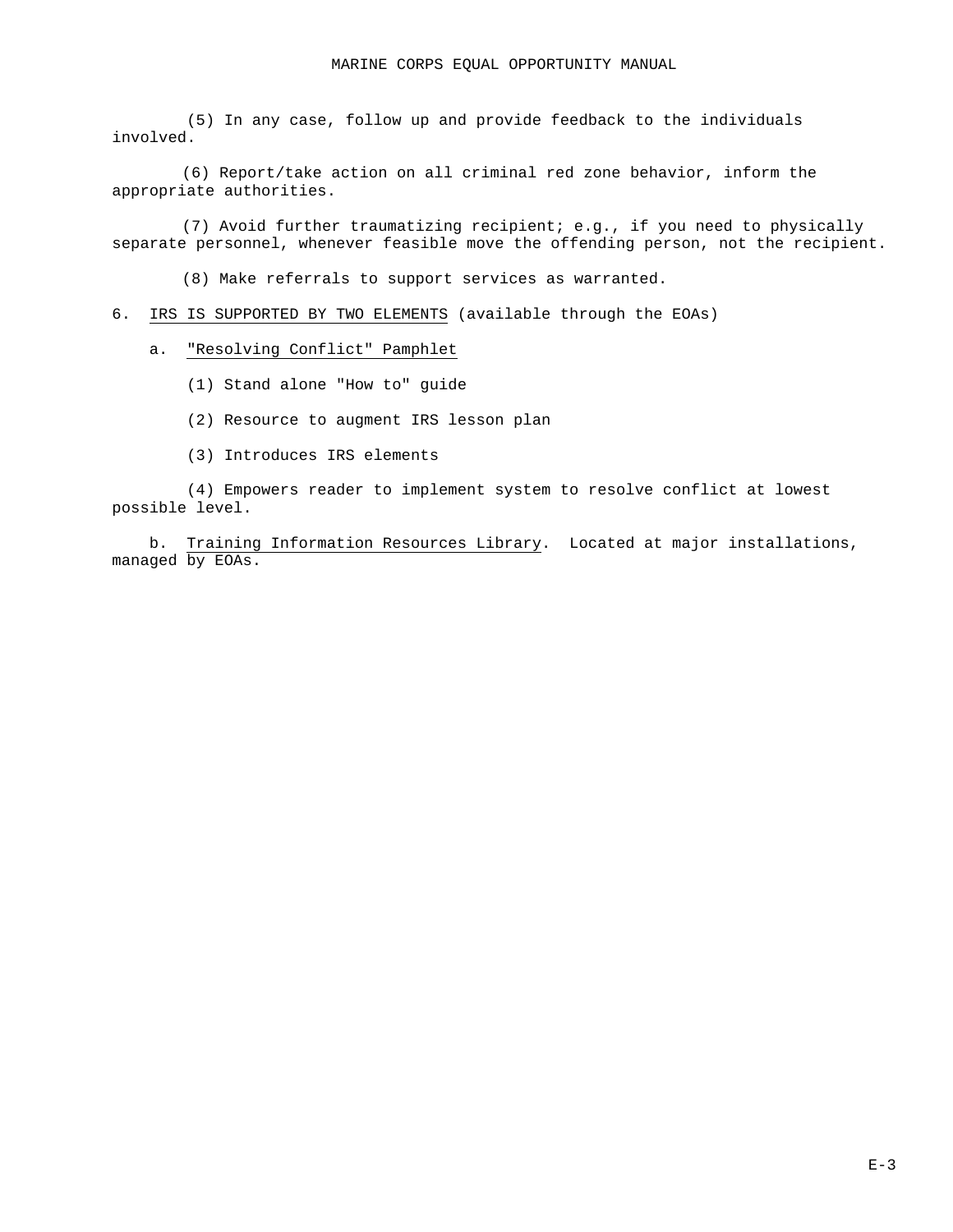(5) In any case, follow up and provide feedback to the individuals involved.

(6) Report/take action on all criminal red zone behavior, inform the appropriate authorities.

(7) Avoid further traumatizing recipient; e.g., if you need to physically separate personnel, whenever feasible move the offending person, not the recipient.

(8) Make referrals to support services as warranted.

6. IRS IS SUPPORTED BY TWO ELEMENTS (available through the EOAs)

a. "Resolving Conflict" Pamphlet

- (1) Stand alone "How to" guide
- (2) Resource to augment IRS lesson plan
- (3) Introduces IRS elements

(4) Empowers reader to implement system to resolve conflict at lowest possible level.

b. Training Information Resources Library. Located at major installations, managed by EOAs.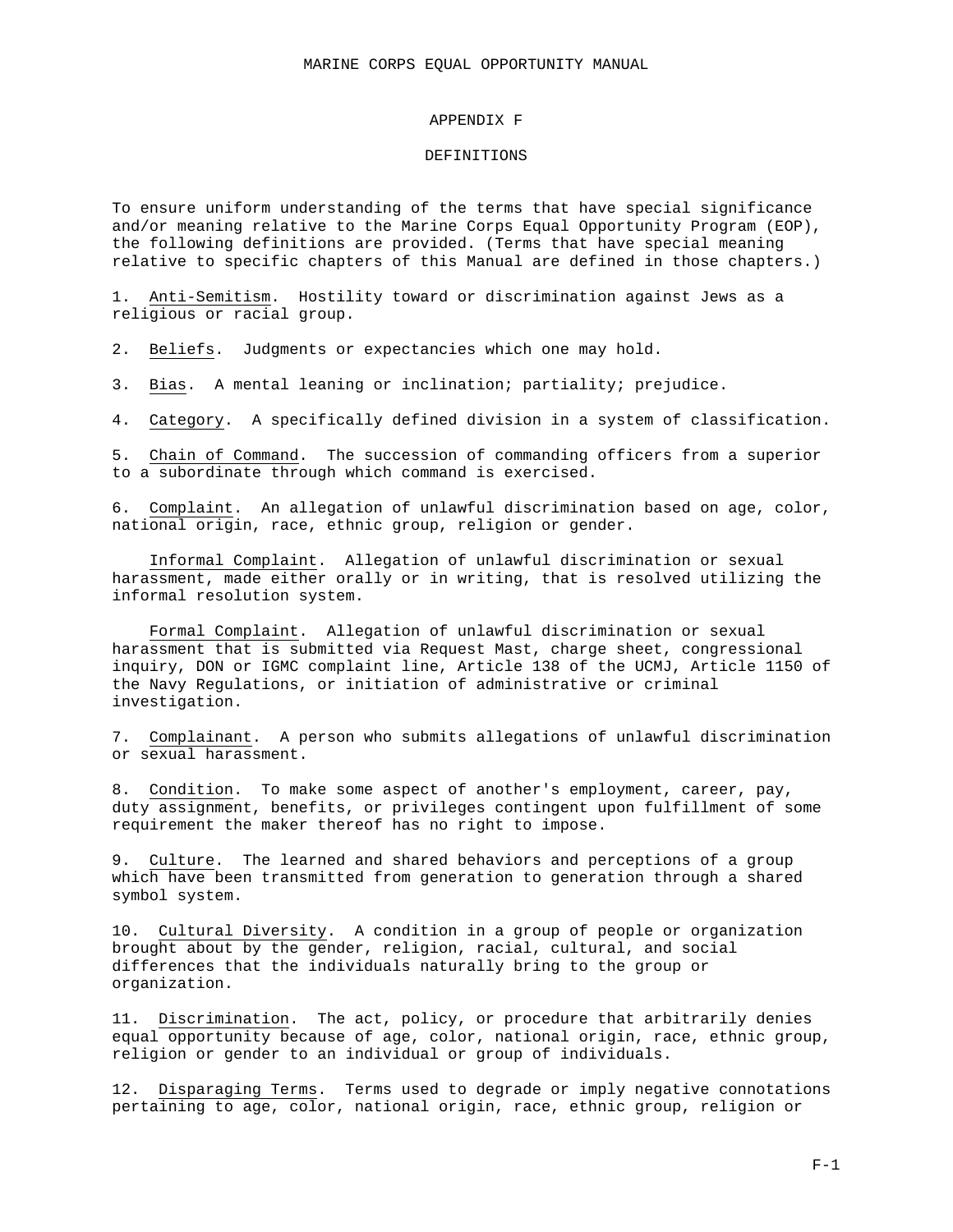### APPENDIX F

#### DEFINITIONS

To ensure uniform understanding of the terms that have special significance and/or meaning relative to the Marine Corps Equal Opportunity Program (EOP), the following definitions are provided. (Terms that have special meaning relative to specific chapters of this Manual are defined in those chapters.)

1. Anti-Semitism. Hostility toward or discrimination against Jews as a religious or racial group.

2. Beliefs. Judgments or expectancies which one may hold.

3. Bias. A mental leaning or inclination; partiality; prejudice.

4. Category. A specifically defined division in a system of classification.

5. Chain of Command. The succession of commanding officers from a superior to a subordinate through which command is exercised.

6. Complaint. An allegation of unlawful discrimination based on age, color, national origin, race, ethnic group, religion or gender.

Informal Complaint. Allegation of unlawful discrimination or sexual harassment, made either orally or in writing, that is resolved utilizing the informal resolution system.

Formal Complaint. Allegation of unlawful discrimination or sexual harassment that is submitted via Request Mast, charge sheet, congressional inquiry, DON or IGMC complaint line, Article 138 of the UCMJ, Article 1150 of the Navy Regulations, or initiation of administrative or criminal investigation.

7. Complainant. A person who submits allegations of unlawful discrimination or sexual harassment.

8. Condition. To make some aspect of another's employment, career, pay, duty assignment, benefits, or privileges contingent upon fulfillment of some requirement the maker thereof has no right to impose.

9. Culture. The learned and shared behaviors and perceptions of a group which have been transmitted from generation to generation through a shared symbol system.

10. Cultural Diversity. A condition in a group of people or organization brought about by the gender, religion, racial, cultural, and social differences that the individuals naturally bring to the group or organization.

11. Discrimination. The act, policy, or procedure that arbitrarily denies equal opportunity because of age, color, national origin, race, ethnic group, religion or gender to an individual or group of individuals.

12. Disparaging Terms. Terms used to degrade or imply negative connotations pertaining to age, color, national origin, race, ethnic group, religion or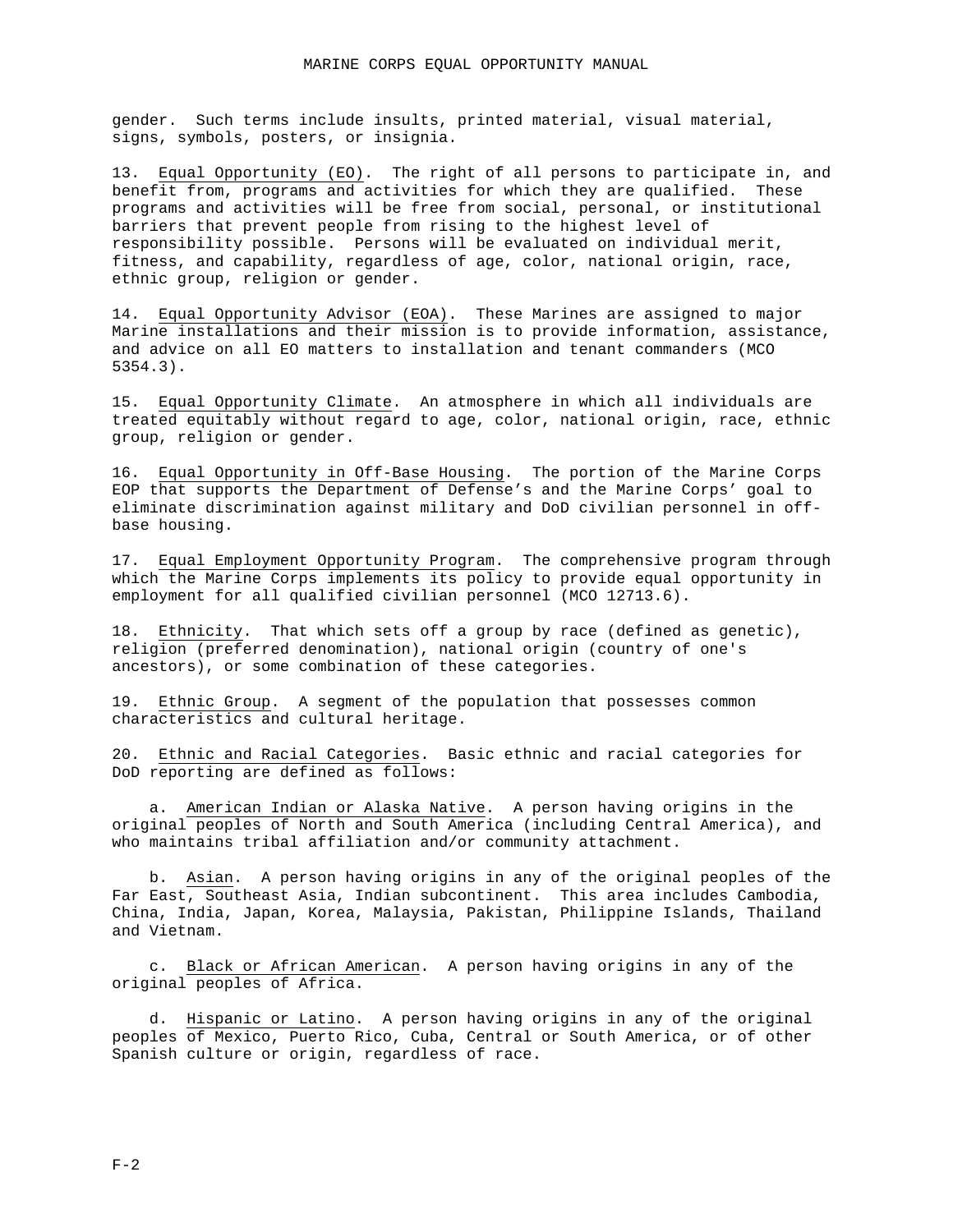gender. Such terms include insults, printed material, visual material, signs, symbols, posters, or insignia.

13. Equal Opportunity (EO). The right of all persons to participate in, and benefit from, programs and activities for which they are qualified. These programs and activities will be free from social, personal, or institutional barriers that prevent people from rising to the highest level of responsibility possible. Persons will be evaluated on individual merit, fitness, and capability, regardless of age, color, national origin, race, ethnic group, religion or gender.

14. Equal Opportunity Advisor (EOA). These Marines are assigned to major Marine installations and their mission is to provide information, assistance, and advice on all EO matters to installation and tenant commanders (MCO 5354.3).

15. Equal Opportunity Climate. An atmosphere in which all individuals are treated equitably without regard to age, color, national origin, race, ethnic group, religion or gender.

16. Equal Opportunity in Off-Base Housing. The portion of the Marine Corps EOP that supports the Department of Defense's and the Marine Corps' goal to eliminate discrimination against military and DoD civilian personnel in offbase housing.

17. Equal Employment Opportunity Program. The comprehensive program through which the Marine Corps implements its policy to provide equal opportunity in employment for all qualified civilian personnel (MCO 12713.6).

18. Ethnicity. That which sets off a group by race (defined as genetic), religion (preferred denomination), national origin (country of one's ancestors), or some combination of these categories.

19. Ethnic Group. A segment of the population that possesses common characteristics and cultural heritage.

20. Ethnic and Racial Categories. Basic ethnic and racial categories for DoD reporting are defined as follows:

a. American Indian or Alaska Native. A person having origins in the original peoples of North and South America (including Central America), and who maintains tribal affiliation and/or community attachment.

b. Asian. A person having origins in any of the original peoples of the Far East, Southeast Asia, Indian subcontinent. This area includes Cambodia, China, India, Japan, Korea, Malaysia, Pakistan, Philippine Islands, Thailand and Vietnam.

c. Black or African American. A person having origins in any of the original peoples of Africa.

d. Hispanic or Latino. A person having origins in any of the original peoples of Mexico, Puerto Rico, Cuba, Central or South America, or of other Spanish culture or origin, regardless of race.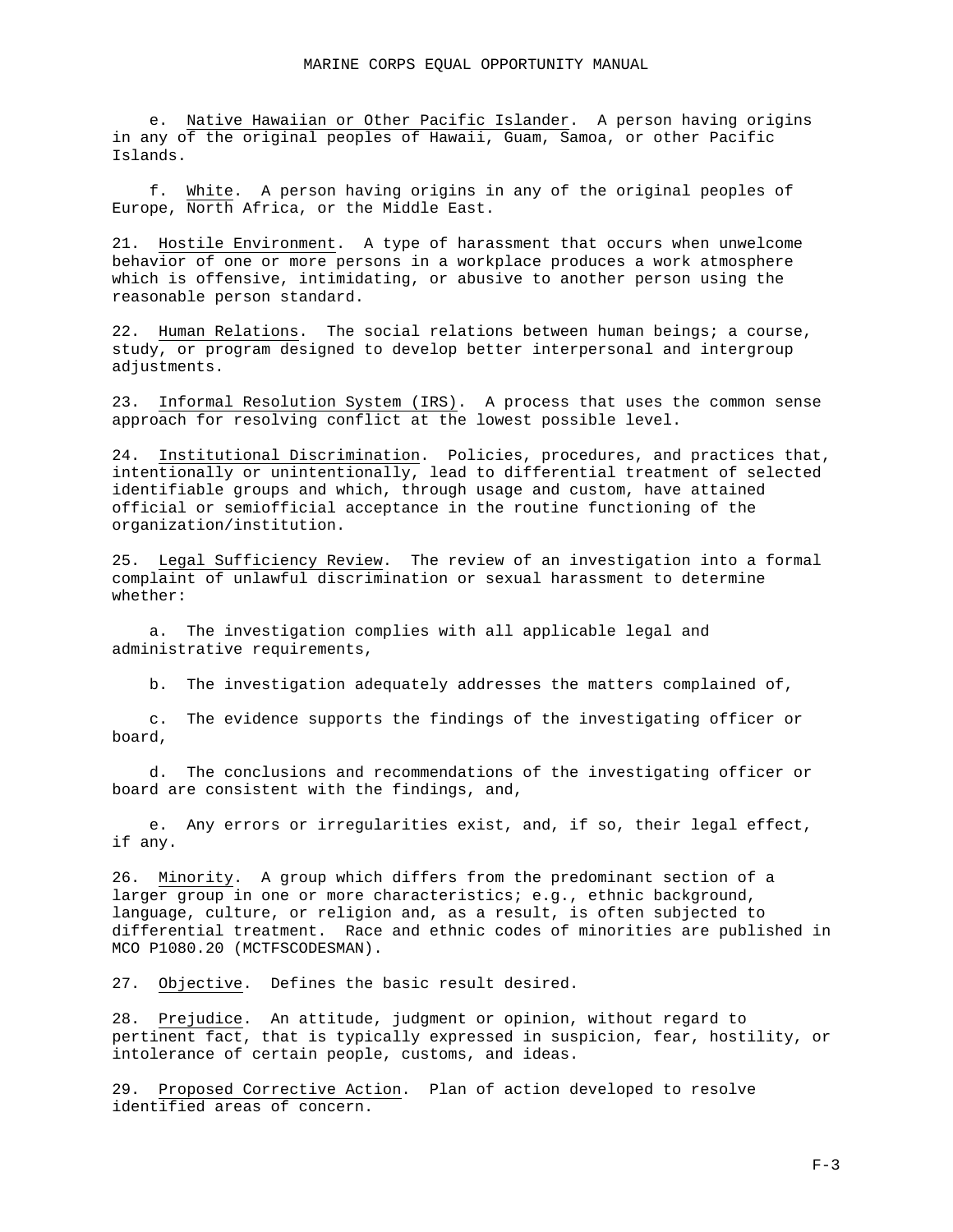e. Native Hawaiian or Other Pacific Islander. A person having origins in any of the original peoples of Hawaii, Guam, Samoa, or other Pacific Islands.

f. White. A person having origins in any of the original peoples of Europe, North Africa, or the Middle East.

21. Hostile Environment. A type of harassment that occurs when unwelcome behavior of one or more persons in a workplace produces a work atmosphere which is offensive, intimidating, or abusive to another person using the reasonable person standard.

22. Human Relations. The social relations between human beings; a course, study, or program designed to develop better interpersonal and intergroup adjustments.

23. Informal Resolution System (IRS). A process that uses the common sense approach for resolving conflict at the lowest possible level.

24. Institutional Discrimination. Policies, procedures, and practices that, intentionally or unintentionally, lead to differential treatment of selected identifiable groups and which, through usage and custom, have attained official or semiofficial acceptance in the routine functioning of the organization/institution.

25. Legal Sufficiency Review. The review of an investigation into a formal complaint of unlawful discrimination or sexual harassment to determine whether:

a. The investigation complies with all applicable legal and administrative requirements,

b. The investigation adequately addresses the matters complained of,

c. The evidence supports the findings of the investigating officer or board,

d. The conclusions and recommendations of the investigating officer or board are consistent with the findings, and,

e. Any errors or irregularities exist, and, if so, their legal effect, if any.

26. Minority. A group which differs from the predominant section of a larger group in one or more characteristics; e.g., ethnic background, language, culture, or religion and, as a result, is often subjected to differential treatment. Race and ethnic codes of minorities are published in MCO P1080.20 (MCTFSCODESMAN).

27. Objective. Defines the basic result desired.

28. Prejudice. An attitude, judgment or opinion, without regard to pertinent fact, that is typically expressed in suspicion, fear, hostility, or intolerance of certain people, customs, and ideas.

29. Proposed Corrective Action. Plan of action developed to resolve identified areas of concern.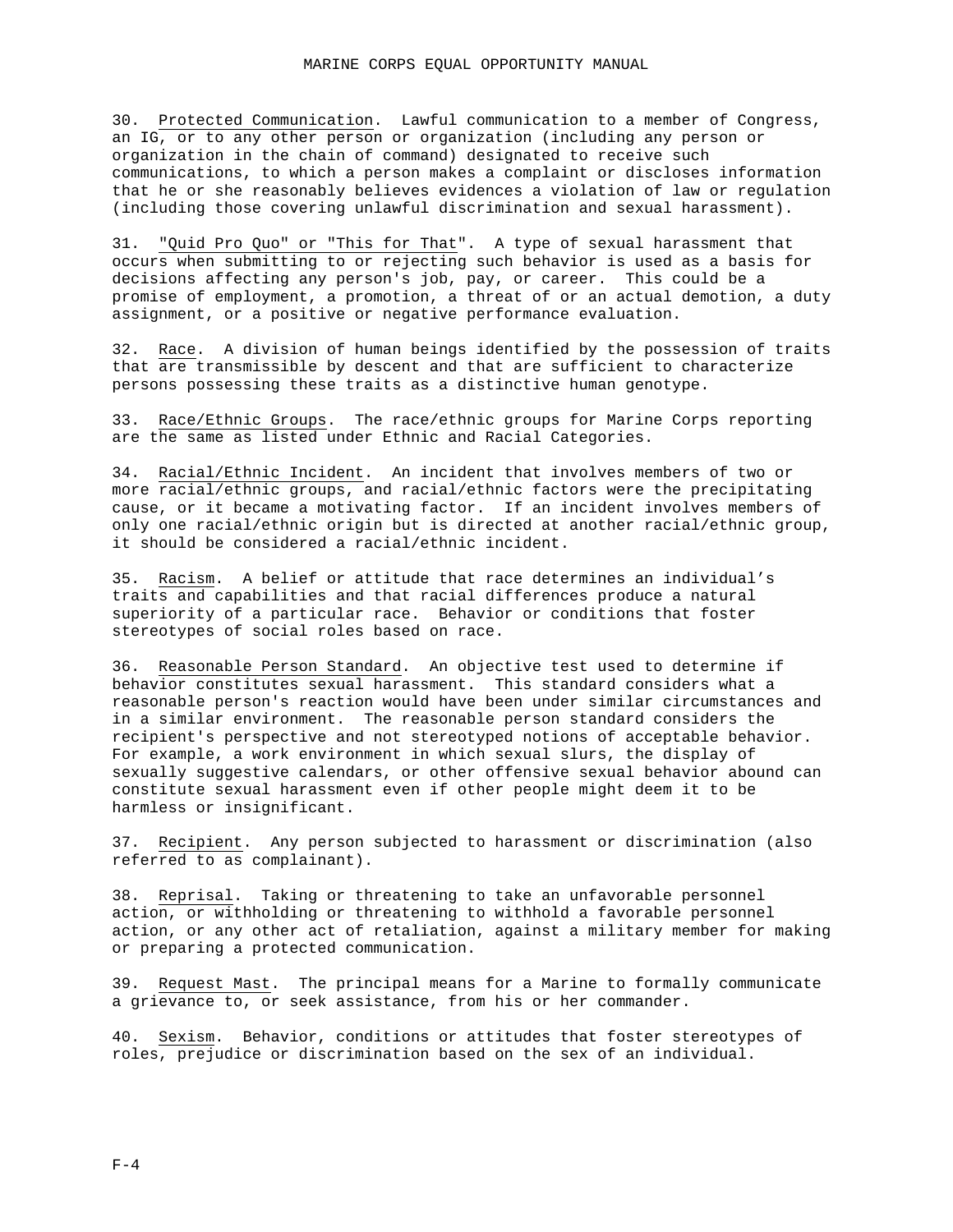30. Protected Communication. Lawful communication to a member of Congress, an IG, or to any other person or organization (including any person or organization in the chain of command) designated to receive such communications, to which a person makes a complaint or discloses information that he or she reasonably believes evidences a violation of law or regulation (including those covering unlawful discrimination and sexual harassment).

31. "Quid Pro Quo" or "This for That". A type of sexual harassment that occurs when submitting to or rejecting such behavior is used as a basis for decisions affecting any person's job, pay, or career. This could be a promise of employment, a promotion, a threat of or an actual demotion, a duty assignment, or a positive or negative performance evaluation.

32. Race. A division of human beings identified by the possession of traits that are transmissible by descent and that are sufficient to characterize persons possessing these traits as a distinctive human genotype.

33. Race/Ethnic Groups. The race/ethnic groups for Marine Corps reporting are the same as listed under Ethnic and Racial Categories.

34. Racial/Ethnic Incident. An incident that involves members of two or more racial/ethnic groups, and racial/ethnic factors were the precipitating cause, or it became a motivating factor. If an incident involves members of only one racial/ethnic origin but is directed at another racial/ethnic group, it should be considered a racial/ethnic incident.

35. Racism. A belief or attitude that race determines an individual's traits and capabilities and that racial differences produce a natural superiority of a particular race. Behavior or conditions that foster stereotypes of social roles based on race.

36. Reasonable Person Standard. An objective test used to determine if behavior constitutes sexual harassment. This standard considers what a reasonable person's reaction would have been under similar circumstances and in a similar environment. The reasonable person standard considers the recipient's perspective and not stereotyped notions of acceptable behavior. For example, a work environment in which sexual slurs, the display of sexually suggestive calendars, or other offensive sexual behavior abound can constitute sexual harassment even if other people might deem it to be harmless or insignificant.

37. Recipient. Any person subjected to harassment or discrimination (also referred to as complainant).

38. Reprisal. Taking or threatening to take an unfavorable personnel action, or withholding or threatening to withhold a favorable personnel action, or any other act of retaliation, against a military member for making or preparing a protected communication.

39. Request Mast. The principal means for a Marine to formally communicate a grievance to, or seek assistance, from his or her commander.

40. Sexism. Behavior, conditions or attitudes that foster stereotypes of roles, prejudice or discrimination based on the sex of an individual.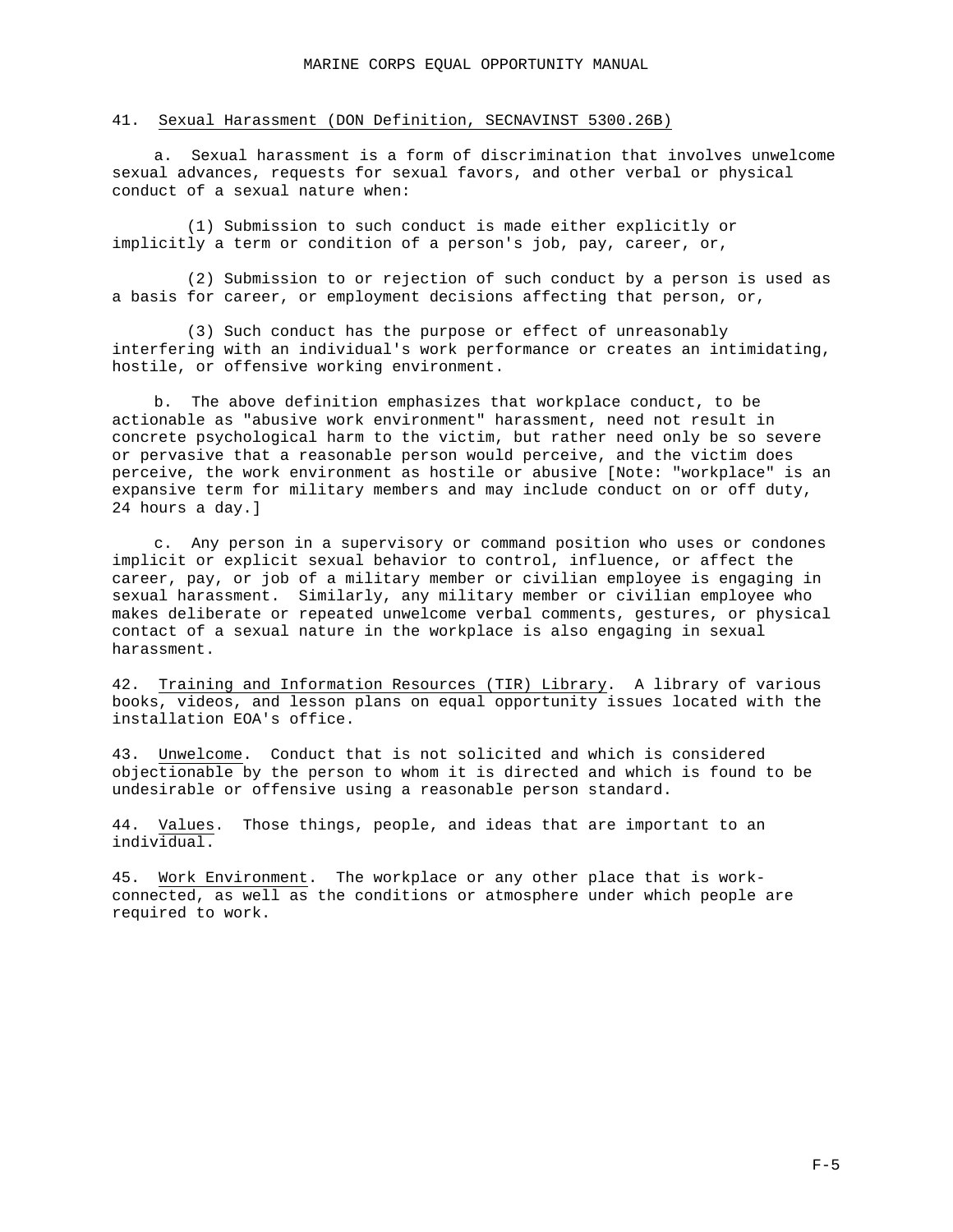## 41. Sexual Harassment (DON Definition, SECNAVINST 5300.26B)

a. Sexual harassment is a form of discrimination that involves unwelcome sexual advances, requests for sexual favors, and other verbal or physical conduct of a sexual nature when:

(1) Submission to such conduct is made either explicitly or implicitly a term or condition of a person's job, pay, career, or,

(2) Submission to or rejection of such conduct by a person is used as a basis for career, or employment decisions affecting that person, or,

(3) Such conduct has the purpose or effect of unreasonably interfering with an individual's work performance or creates an intimidating, hostile, or offensive working environment.

b. The above definition emphasizes that workplace conduct, to be actionable as "abusive work environment" harassment, need not result in concrete psychological harm to the victim, but rather need only be so severe or pervasive that a reasonable person would perceive, and the victim does perceive, the work environment as hostile or abusive [Note: "workplace" is an expansive term for military members and may include conduct on or off duty, 24 hours a day.]

c. Any person in a supervisory or command position who uses or condones implicit or explicit sexual behavior to control, influence, or affect the career, pay, or job of a military member or civilian employee is engaging in sexual harassment. Similarly, any military member or civilian employee who makes deliberate or repeated unwelcome verbal comments, gestures, or physical contact of a sexual nature in the workplace is also engaging in sexual harassment.

42. Training and Information Resources (TIR) Library. A library of various books, videos, and lesson plans on equal opportunity issues located with the installation EOA's office.

43. Unwelcome. Conduct that is not solicited and which is considered objectionable by the person to whom it is directed and which is found to be undesirable or offensive using a reasonable person standard.

44. Values. Those things, people, and ideas that are important to an individual.

45. Work Environment. The workplace or any other place that is workconnected, as well as the conditions or atmosphere under which people are required to work.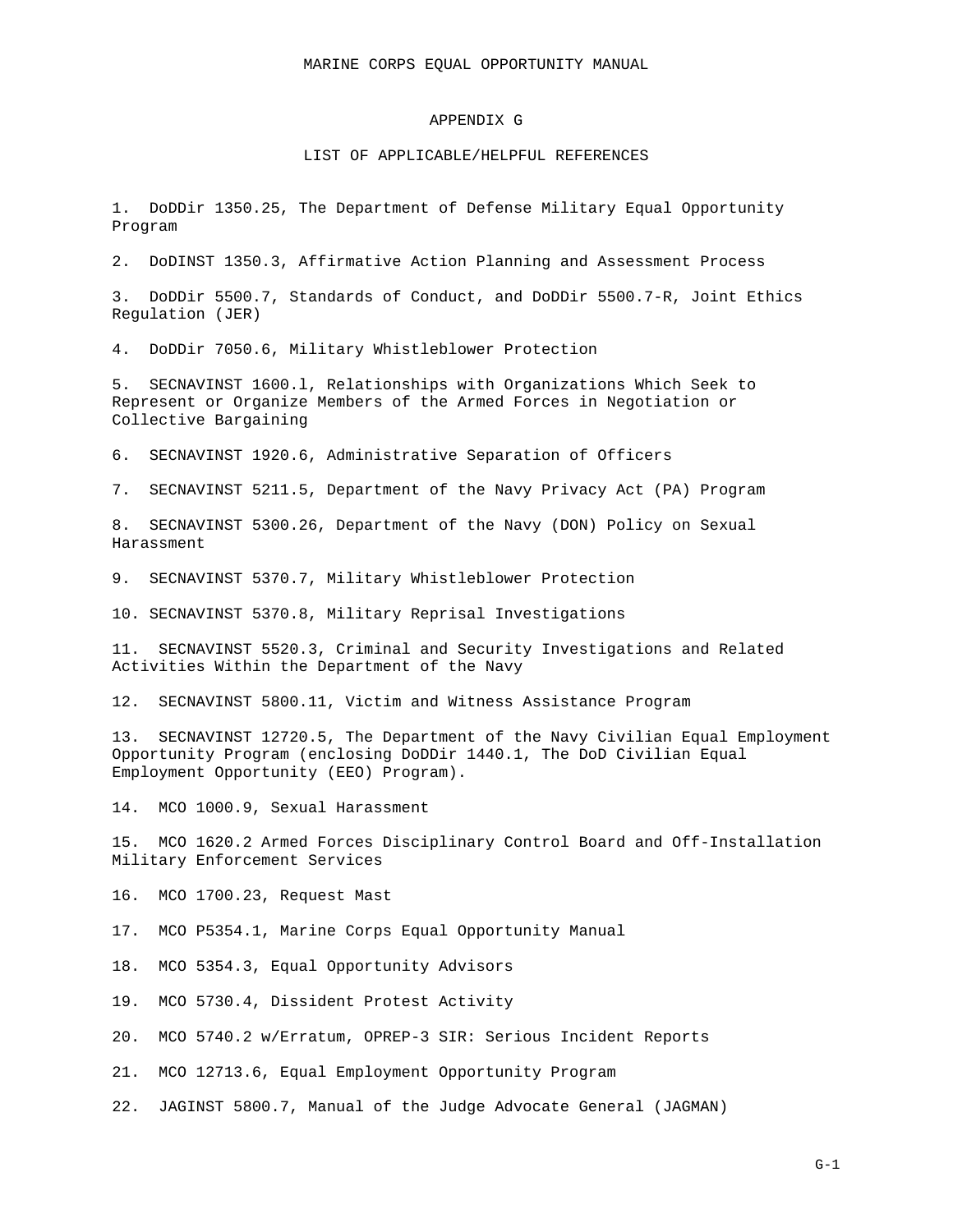### APPENDIX G

#### LIST OF APPLICABLE/HELPFUL REFERENCES

1. DoDDir 1350.25, The Department of Defense Military Equal Opportunity Program

2. DoDINST 1350.3, Affirmative Action Planning and Assessment Process

3. DoDDir 5500.7, Standards of Conduct, and DoDDir 5500.7-R, Joint Ethics Regulation (JER)

4. DoDDir 7050.6, Military Whistleblower Protection

5. SECNAVINST 1600.l, Relationships with Organizations Which Seek to Represent or Organize Members of the Armed Forces in Negotiation or Collective Bargaining

6. SECNAVINST 1920.6, Administrative Separation of Officers

7. SECNAVINST 5211.5, Department of the Navy Privacy Act (PA) Program

8. SECNAVINST 5300.26, Department of the Navy (DON) Policy on Sexual Harassment

9. SECNAVINST 5370.7, Military Whistleblower Protection

10. SECNAVINST 5370.8, Military Reprisal Investigations

11. SECNAVINST 5520.3, Criminal and Security Investigations and Related Activities Within the Department of the Navy

12. SECNAVINST 5800.11, Victim and Witness Assistance Program

13. SECNAVINST 12720.5, The Department of the Navy Civilian Equal Employment Opportunity Program (enclosing DoDDir 1440.1, The DoD Civilian Equal Employment Opportunity (EEO) Program).

14. MCO 1000.9, Sexual Harassment

15. MCO 1620.2 Armed Forces Disciplinary Control Board and Off-Installation Military Enforcement Services

16. MCO 1700.23, Request Mast

17. MCO P5354.1, Marine Corps Equal Opportunity Manual

18. MCO 5354.3, Equal Opportunity Advisors

19. MCO 5730.4, Dissident Protest Activity

20. MCO 5740.2 w/Erratum, OPREP-3 SIR: Serious Incident Reports

21. MCO 12713.6, Equal Employment Opportunity Program

22. JAGINST 5800.7, Manual of the Judge Advocate General (JAGMAN)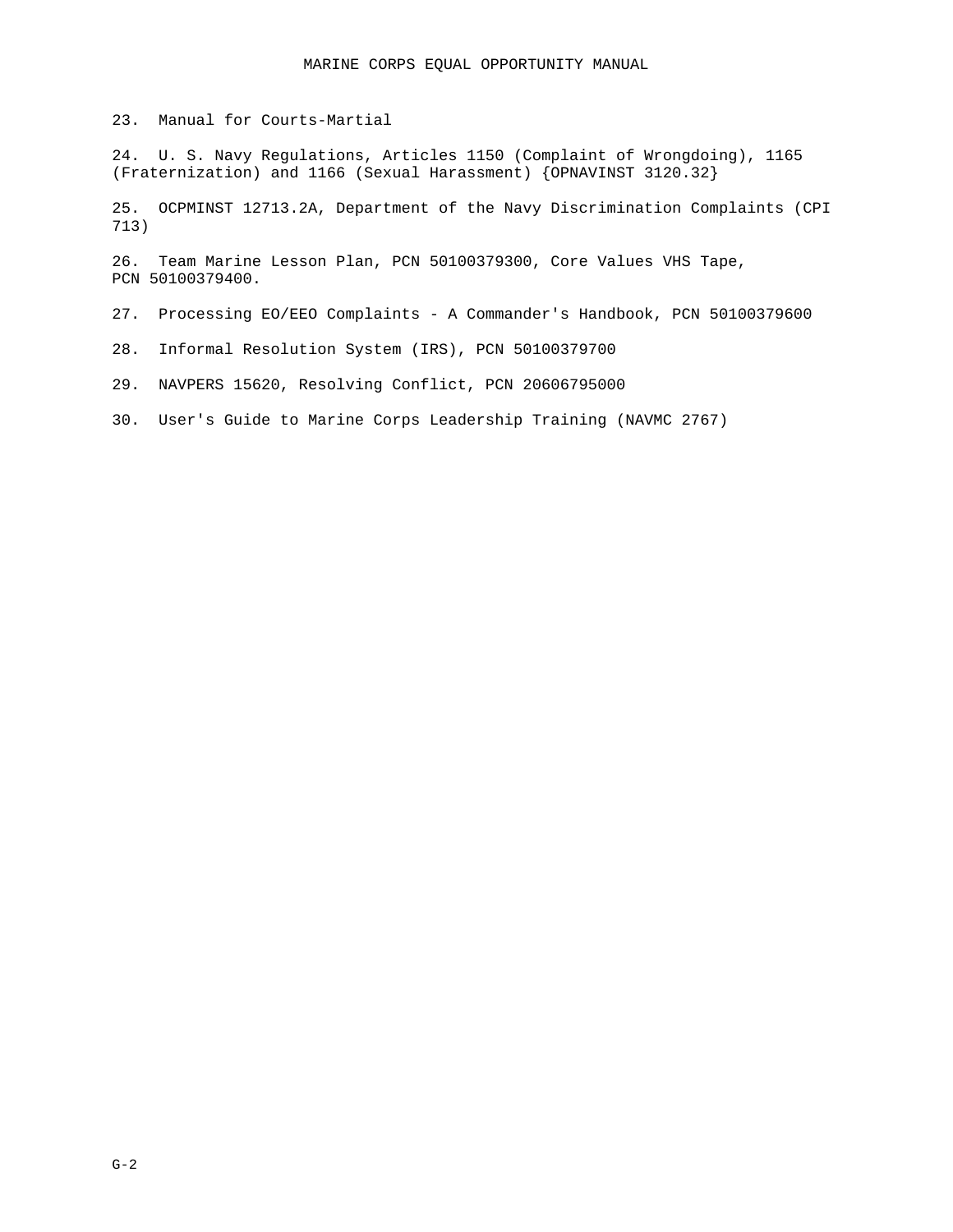23. Manual for Courts-Martial

24. U. S. Navy Regulations, Articles 1150 (Complaint of Wrongdoing), 1165 (Fraternization) and 1166 (Sexual Harassment) {OPNAVINST 3120.32}

25. OCPMINST 12713.2A, Department of the Navy Discrimination Complaints (CPI 713)

26. Team Marine Lesson Plan, PCN 50100379300, Core Values VHS Tape, PCN 50100379400.

27. Processing EO/EEO Complaints - A Commander's Handbook, PCN 50100379600

28. Informal Resolution System (IRS), PCN 50100379700

29. NAVPERS 15620, Resolving Conflict, PCN 20606795000

30. User's Guide to Marine Corps Leadership Training (NAVMC 2767)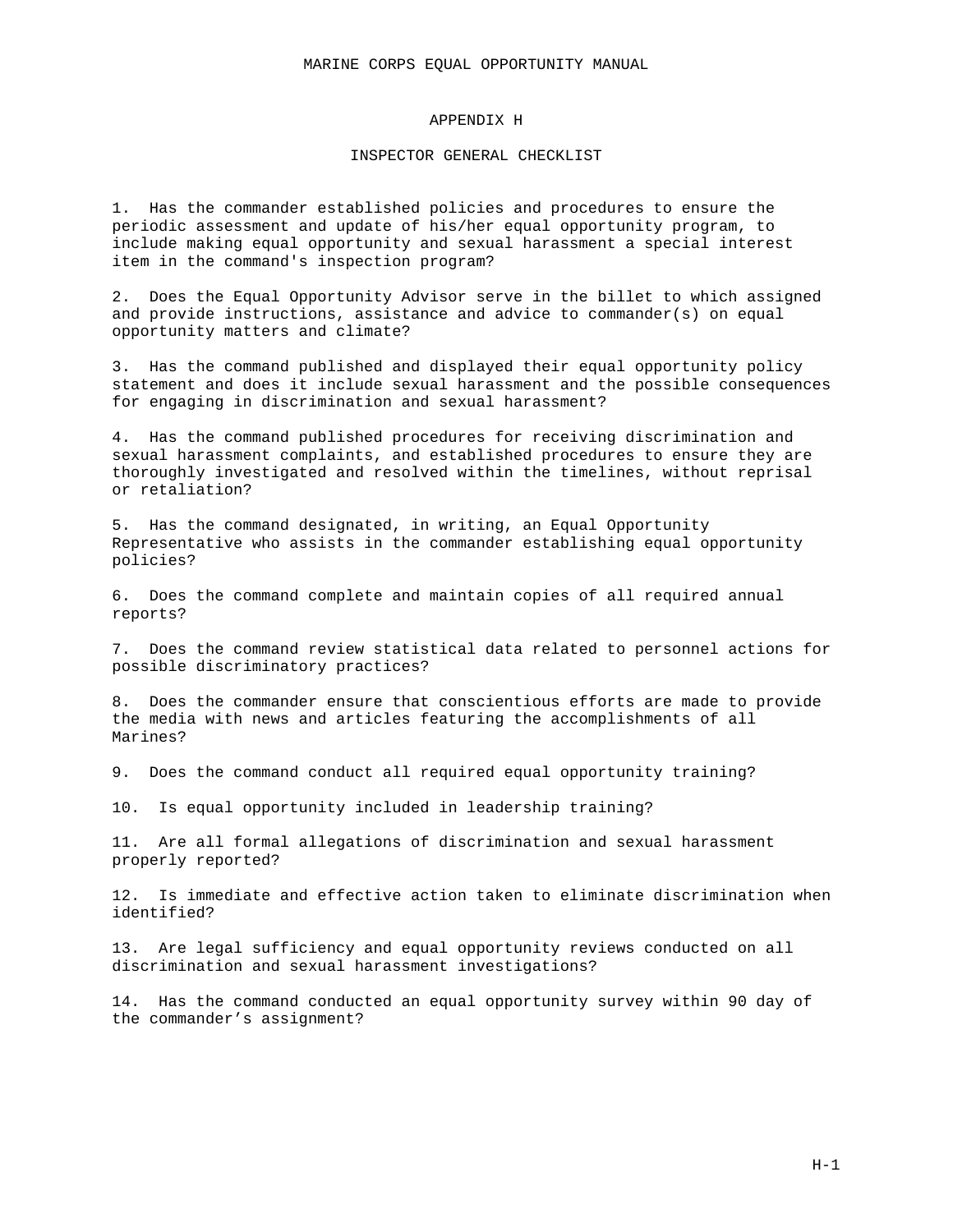### APPENDIX H

### INSPECTOR GENERAL CHECKLIST

1. Has the commander established policies and procedures to ensure the periodic assessment and update of his/her equal opportunity program, to include making equal opportunity and sexual harassment a special interest item in the command's inspection program?

2. Does the Equal Opportunity Advisor serve in the billet to which assigned and provide instructions, assistance and advice to commander(s) on equal opportunity matters and climate?

3. Has the command published and displayed their equal opportunity policy statement and does it include sexual harassment and the possible consequences for engaging in discrimination and sexual harassment?

4. Has the command published procedures for receiving discrimination and sexual harassment complaints, and established procedures to ensure they are thoroughly investigated and resolved within the timelines, without reprisal or retaliation?

5. Has the command designated, in writing, an Equal Opportunity Representative who assists in the commander establishing equal opportunity policies?

6. Does the command complete and maintain copies of all required annual reports?

7. Does the command review statistical data related to personnel actions for possible discriminatory practices?

8. Does the commander ensure that conscientious efforts are made to provide the media with news and articles featuring the accomplishments of all Marines?

9. Does the command conduct all required equal opportunity training?

10. Is equal opportunity included in leadership training?

11. Are all formal allegations of discrimination and sexual harassment properly reported?

12. Is immediate and effective action taken to eliminate discrimination when identified?

13. Are legal sufficiency and equal opportunity reviews conducted on all discrimination and sexual harassment investigations?

14. Has the command conducted an equal opportunity survey within 90 day of the commander's assignment?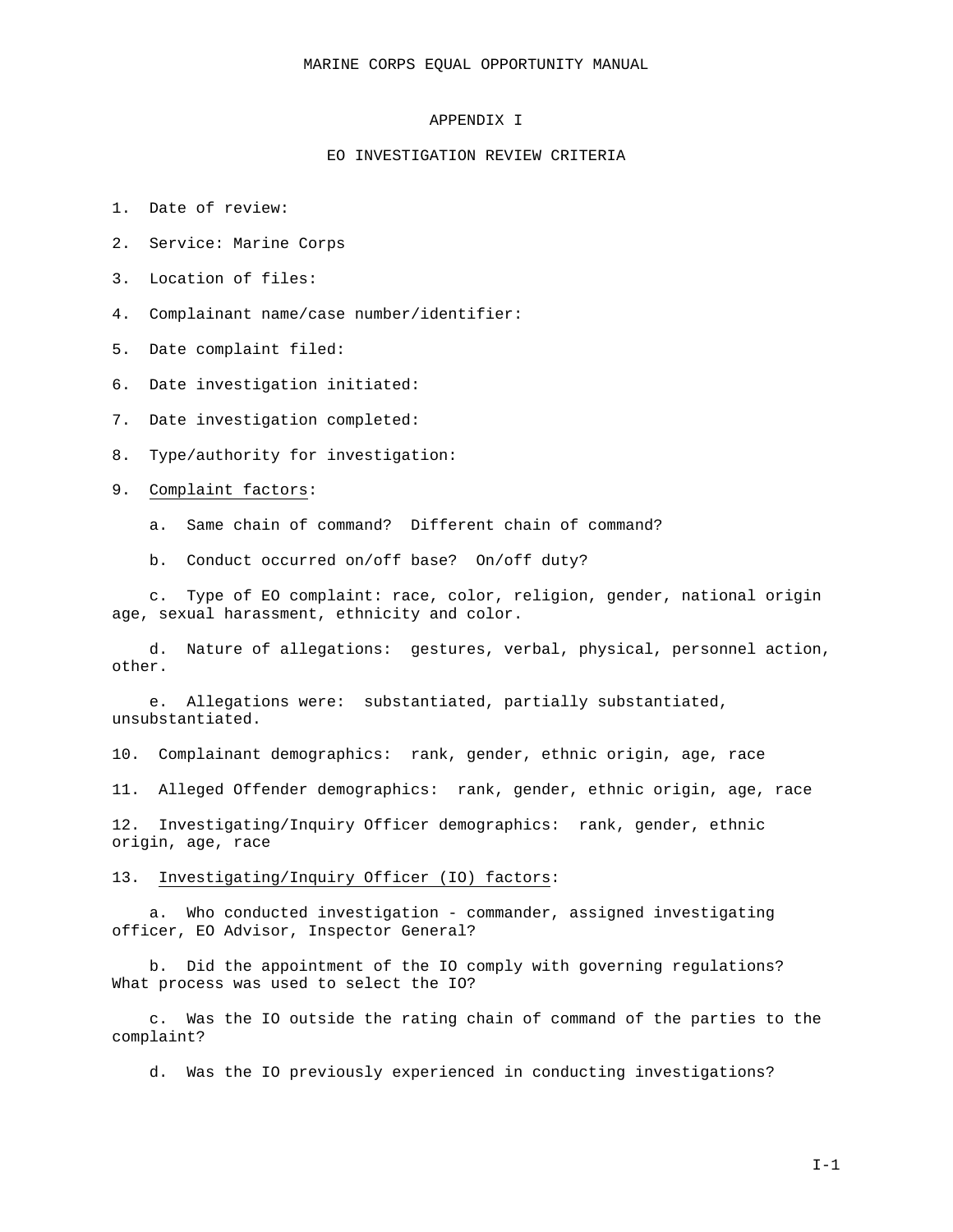### APPENDIX I

#### EO INVESTIGATION REVIEW CRITERIA

- 1. Date of review:
- 2. Service: Marine Corps
- 3. Location of files:
- 4. Complainant name/case number/identifier:
- 5. Date complaint filed:
- 6. Date investigation initiated:
- 7. Date investigation completed:
- 8. Type/authority for investigation:
- 9. Complaint factors:
	- a. Same chain of command? Different chain of command?
	- b. Conduct occurred on/off base? On/off duty?

c. Type of EO complaint: race, color, religion, gender, national origin age, sexual harassment, ethnicity and color.

d. Nature of allegations: gestures, verbal, physical, personnel action, other.

e. Allegations were: substantiated, partially substantiated, unsubstantiated.

10. Complainant demographics: rank, gender, ethnic origin, age, race

11. Alleged Offender demographics: rank, gender, ethnic origin, age, race

12. Investigating/Inquiry Officer demographics: rank, gender, ethnic origin, age, race

#### 13. Investigating/Inquiry Officer (IO) factors:

a. Who conducted investigation - commander, assigned investigating officer, EO Advisor, Inspector General?

b. Did the appointment of the IO comply with governing regulations? What process was used to select the IO?

c. Was the IO outside the rating chain of command of the parties to the complaint?

d. Was the IO previously experienced in conducting investigations?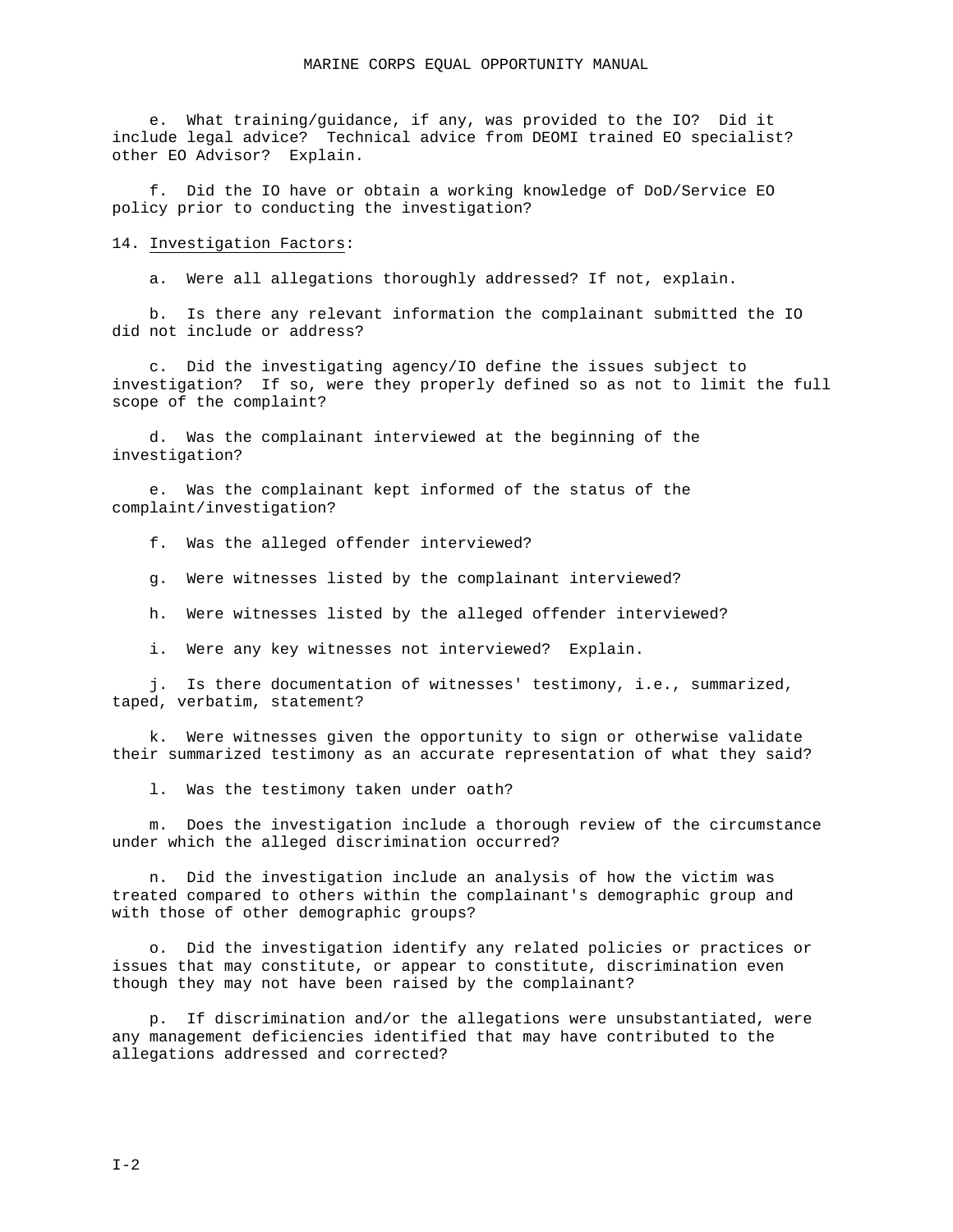e. What training/guidance, if any, was provided to the IO? Did it include legal advice? Technical advice from DEOMI trained EO specialist? other EO Advisor? Explain.

f. Did the IO have or obtain a working knowledge of DoD/Service EO policy prior to conducting the investigation?

#### 14. Investigation Factors:

a. Were all allegations thoroughly addressed? If not, explain.

b. Is there any relevant information the complainant submitted the IO did not include or address?

c. Did the investigating agency/IO define the issues subject to investigation? If so, were they properly defined so as not to limit the full scope of the complaint?

d. Was the complainant interviewed at the beginning of the investigation?

e. Was the complainant kept informed of the status of the complaint/investigation?

f. Was the alleged offender interviewed?

g. Were witnesses listed by the complainant interviewed?

h. Were witnesses listed by the alleged offender interviewed?

i. Were any key witnesses not interviewed? Explain.

j. Is there documentation of witnesses' testimony, i.e., summarized, taped, verbatim, statement?

k. Were witnesses given the opportunity to sign or otherwise validate their summarized testimony as an accurate representation of what they said?

l. Was the testimony taken under oath?

m. Does the investigation include a thorough review of the circumstance under which the alleged discrimination occurred?

n. Did the investigation include an analysis of how the victim was treated compared to others within the complainant's demographic group and with those of other demographic groups?

o. Did the investigation identify any related policies or practices or issues that may constitute, or appear to constitute, discrimination even though they may not have been raised by the complainant?

p. If discrimination and/or the allegations were unsubstantiated, were any management deficiencies identified that may have contributed to the allegations addressed and corrected?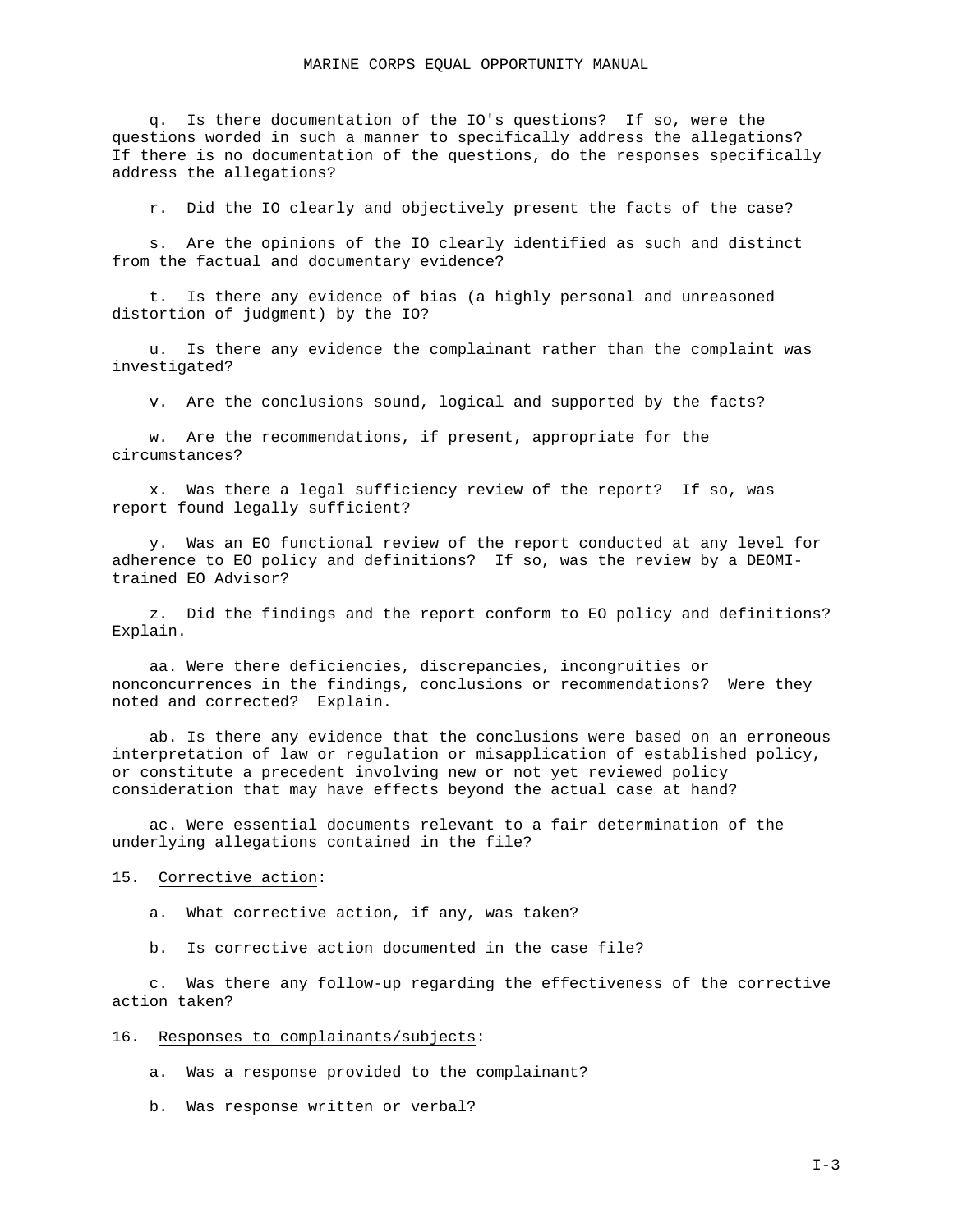q. Is there documentation of the IO's questions? If so, were the questions worded in such a manner to specifically address the allegations? If there is no documentation of the questions, do the responses specifically address the allegations?

r. Did the IO clearly and objectively present the facts of the case?

s. Are the opinions of the IO clearly identified as such and distinct from the factual and documentary evidence?

t. Is there any evidence of bias (a highly personal and unreasoned distortion of judgment) by the IO?

u. Is there any evidence the complainant rather than the complaint was investigated?

v. Are the conclusions sound, logical and supported by the facts?

w. Are the recommendations, if present, appropriate for the circumstances?

x. Was there a legal sufficiency review of the report? If so, was report found legally sufficient?

y. Was an EO functional review of the report conducted at any level for adherence to EO policy and definitions? If so, was the review by a DEOMItrained EO Advisor?

z. Did the findings and the report conform to EO policy and definitions? Explain.

aa. Were there deficiencies, discrepancies, incongruities or nonconcurrences in the findings, conclusions or recommendations? Were they noted and corrected? Explain.

ab. Is there any evidence that the conclusions were based on an erroneous interpretation of law or regulation or misapplication of established policy, or constitute a precedent involving new or not yet reviewed policy consideration that may have effects beyond the actual case at hand?

ac. Were essential documents relevant to a fair determination of the underlying allegations contained in the file?

#### 15. Corrective action:

a. What corrective action, if any, was taken?

b. Is corrective action documented in the case file?

c. Was there any follow-up regarding the effectiveness of the corrective action taken?

#### 16. Responses to complainants/subjects:

a. Was a response provided to the complainant?

b. Was response written or verbal?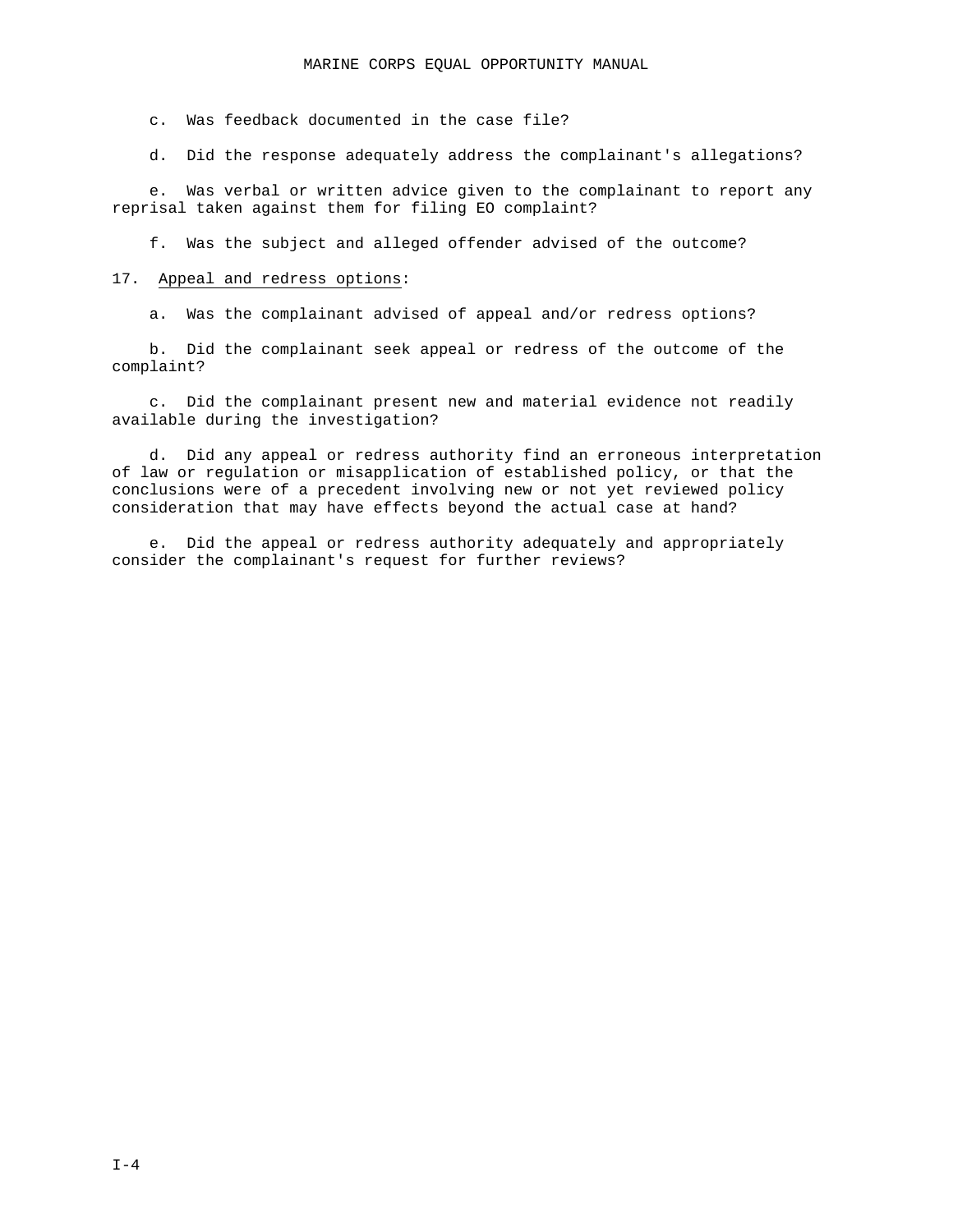c. Was feedback documented in the case file?

d. Did the response adequately address the complainant's allegations?

e. Was verbal or written advice given to the complainant to report any reprisal taken against them for filing EO complaint?

f. Was the subject and alleged offender advised of the outcome?

#### 17. Appeal and redress options:

a. Was the complainant advised of appeal and/or redress options?

b. Did the complainant seek appeal or redress of the outcome of the complaint?

c. Did the complainant present new and material evidence not readily available during the investigation?

d. Did any appeal or redress authority find an erroneous interpretation of law or regulation or misapplication of established policy, or that the conclusions were of a precedent involving new or not yet reviewed policy consideration that may have effects beyond the actual case at hand?

e. Did the appeal or redress authority adequately and appropriately consider the complainant's request for further reviews?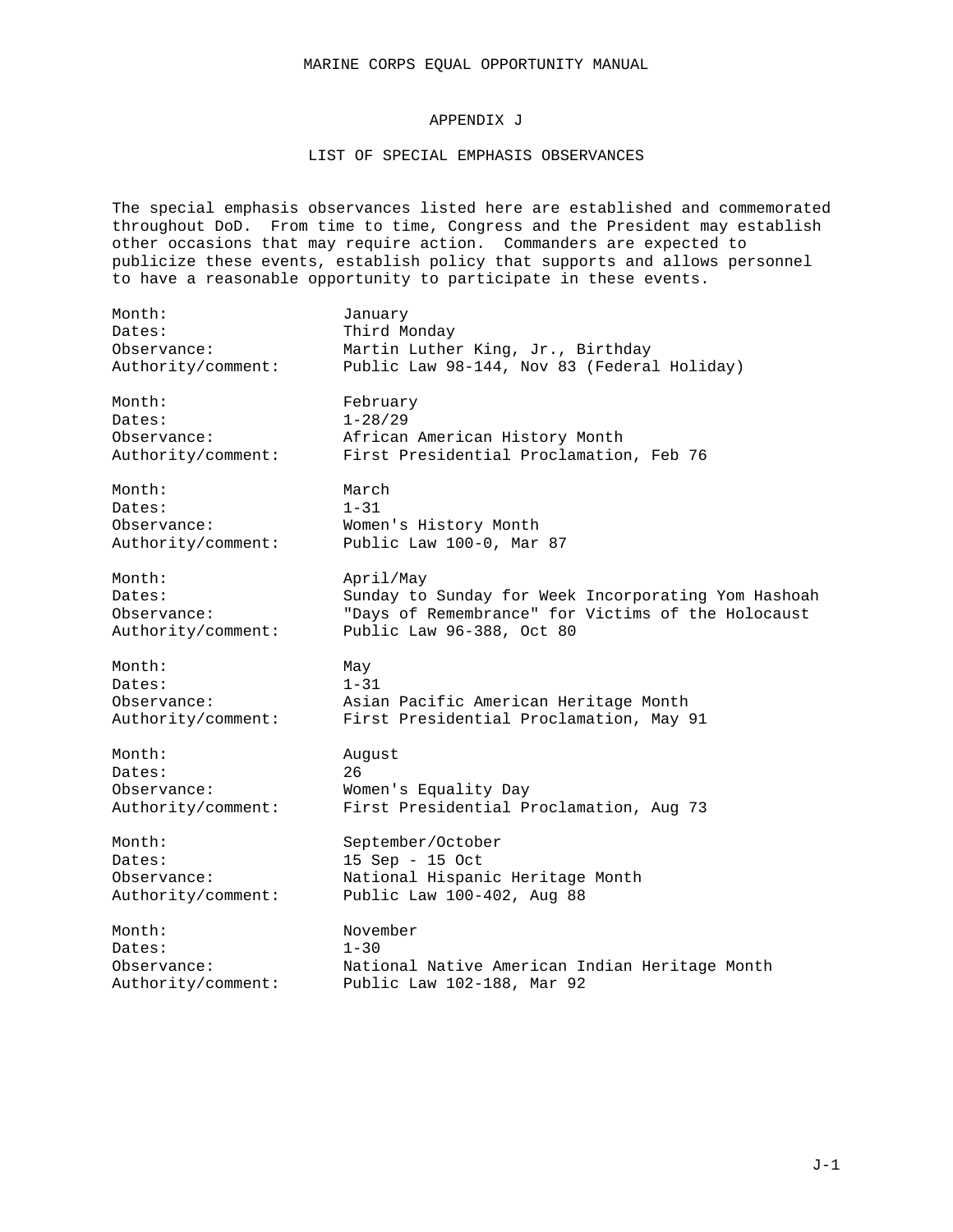## APPENDIX J

## LIST OF SPECIAL EMPHASIS OBSERVANCES

The special emphasis observances listed here are established and commemorated throughout DoD. From time to time, Congress and the President may establish other occasions that may require action. Commanders are expected to publicize these events, establish policy that supports and allows personnel to have a reasonable opportunity to participate in these events.

| Month:             | January                                             |
|--------------------|-----------------------------------------------------|
| Dates:             | Third Monday                                        |
| Observance:        | Martin Luther King, Jr., Birthday                   |
| Authority/comment: | Public Law 98-144, Nov 83 (Federal Holiday)         |
| Month:             | February                                            |
| Dates:             | $1 - 28/29$                                         |
| Observance:        | African American History Month                      |
| Authority/comment: | First Presidential Proclamation, Feb 76             |
| Month:             | March                                               |
| Dates:             | $1 - 31$                                            |
| Observance:        | Women's History Month                               |
| Authority/comment: | Public Law 100-0, Mar 87                            |
| Month:             | April/May                                           |
| Dates:             | Sunday to Sunday for Week Incorporating Yom Hashoah |
| Observance:        | "Days of Remembrance" for Victims of the Holocaust  |
| Authority/comment: | Public Law 96-388, Oct 80                           |
| Month:             | May                                                 |
| Dates:             | $1 - 31$                                            |
| Observance:        | Asian Pacific American Heritage Month               |
| Authority/comment: | First Presidential Proclamation, May 91             |
| Month:             | August                                              |
| Dates:             | 26                                                  |
| Observance:        | Women's Equality Day                                |
| Authority/comment: | First Presidential Proclamation, Aug 73             |
| Month:             | September/October                                   |
| Dates:             | $15$ Sep - 15 Oct                                   |
| Observance:        | National Hispanic Heritage Month                    |
| Authority/comment: | Public Law 100-402, Aug 88                          |
| Month:             | November                                            |
| Dates:             | $1 - 30$                                            |
| Observance:        | National Native American Indian Heritage Month      |
| Authority/comment: | Public Law 102-188, Mar 92                          |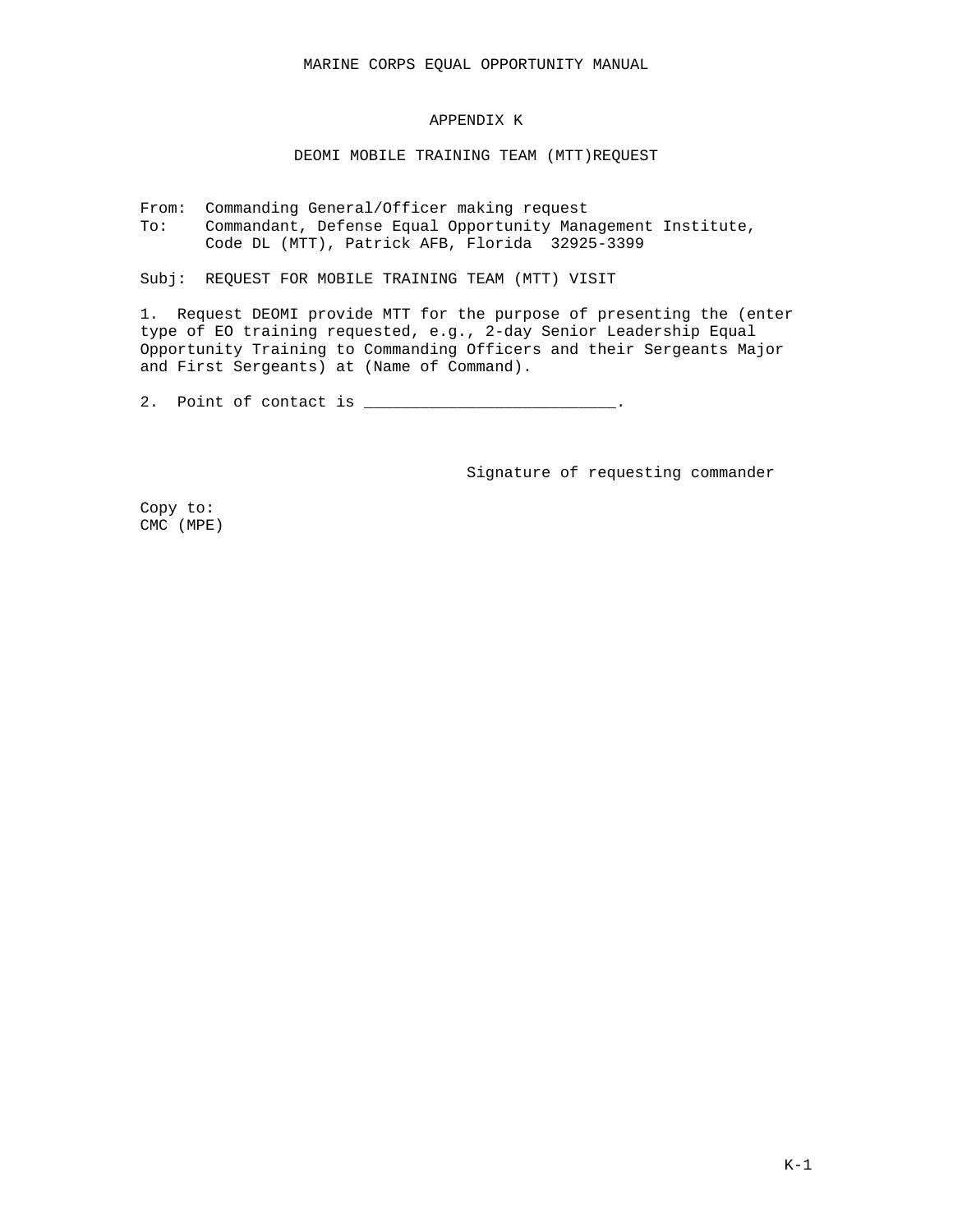### APPENDIX K

### DEOMI MOBILE TRAINING TEAM (MTT)REQUEST

From: Commanding General/Officer making request To: Commandant, Defense Equal Opportunity Management Institute, Code DL (MTT), Patrick AFB, Florida 32925-3399

Subj: REQUEST FOR MOBILE TRAINING TEAM (MTT) VISIT

1. Request DEOMI provide MTT for the purpose of presenting the (enter type of EO training requested, e.g., 2-day Senior Leadership Equal Opportunity Training to Commanding Officers and their Sergeants Major and First Sergeants) at (Name of Command).

2. Point of contact is \_\_\_\_\_\_\_\_\_\_\_\_\_\_\_\_\_\_\_\_\_\_\_\_\_.

Signature of requesting commander

Copy to: CMC (MPE)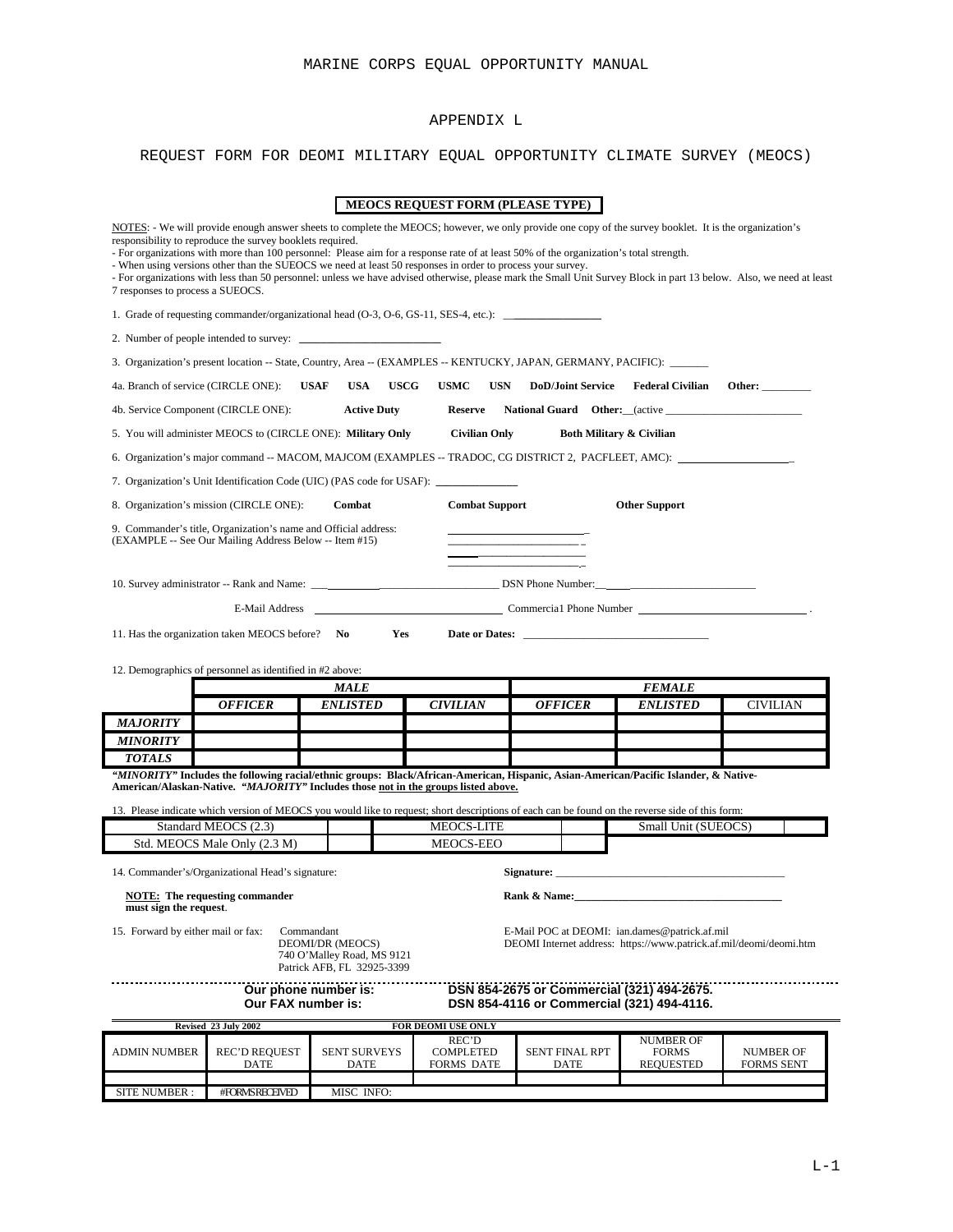## APPENDIX L

# REQUEST FORM FOR DEOMI MILITARY EQUAL OPPORTUNITY CLIMATE SURVEY (MEOCS)

|                                                          |                                                                                                                                                                                                                                                                                                                                                                                                                                                                                                                                                                                                                                                    |                                                                                            | <b>MEOCS REQUEST FORM (PLEASE TYPE)</b>        |                                                                                                                     |                                               |                         |
|----------------------------------------------------------|----------------------------------------------------------------------------------------------------------------------------------------------------------------------------------------------------------------------------------------------------------------------------------------------------------------------------------------------------------------------------------------------------------------------------------------------------------------------------------------------------------------------------------------------------------------------------------------------------------------------------------------------------|--------------------------------------------------------------------------------------------|------------------------------------------------|---------------------------------------------------------------------------------------------------------------------|-----------------------------------------------|-------------------------|
| 7 responses to process a SUEOCS.                         | NOTES: - We will provide enough answer sheets to complete the MEOCS; however, we only provide one copy of the survey booklet. It is the organization's<br>responsibility to reproduce the survey booklets required.<br>- For organizations with more than 100 personnel: Please aim for a response rate of at least 50% of the organization's total strength.<br>- When using versions other than the SUEOCS we need at least 50 responses in order to process your survey.<br>- For organizations with less than 50 personnel: unless we have advised otherwise, please mark the Small Unit Survey Block in part 13 below. Also, we need at least |                                                                                            |                                                |                                                                                                                     |                                               |                         |
|                                                          | 1. Grade of requesting commander/organizational head (O-3, O-6, GS-11, SES-4, etc.):                                                                                                                                                                                                                                                                                                                                                                                                                                                                                                                                                               |                                                                                            |                                                |                                                                                                                     |                                               |                         |
|                                                          |                                                                                                                                                                                                                                                                                                                                                                                                                                                                                                                                                                                                                                                    |                                                                                            |                                                |                                                                                                                     |                                               |                         |
|                                                          | 3. Organization's present location -- State, Country, Area -- (EXAMPLES -- KENTUCKY, JAPAN, GERMANY, PACIFIC): ______                                                                                                                                                                                                                                                                                                                                                                                                                                                                                                                              |                                                                                            |                                                |                                                                                                                     |                                               |                         |
| 4a. Branch of service (CIRCLE ONE):                      |                                                                                                                                                                                                                                                                                                                                                                                                                                                                                                                                                                                                                                                    | <b>USAF</b><br><b>USA</b><br><b>USCG</b>                                                   | <b>USMC</b><br><b>USN</b>                      | <b>DoD/Joint Service</b>                                                                                            | <b>Federal Civilian</b>                       | Other:                  |
|                                                          | 4b. Service Component (CIRCLE ONE):                                                                                                                                                                                                                                                                                                                                                                                                                                                                                                                                                                                                                | <b>Active Duty</b>                                                                         |                                                |                                                                                                                     |                                               |                         |
|                                                          | 5. You will administer MEOCS to (CIRCLE ONE): Military Only Civilian Only                                                                                                                                                                                                                                                                                                                                                                                                                                                                                                                                                                          |                                                                                            |                                                |                                                                                                                     | <b>Both Military &amp; Civilian</b>           |                         |
|                                                          | 6. Organization's major command -- MACOM, MAJCOM (EXAMPLES -- TRADOC, CG DISTRICT 2, PACFLEET, AMC):                                                                                                                                                                                                                                                                                                                                                                                                                                                                                                                                               |                                                                                            |                                                |                                                                                                                     |                                               |                         |
|                                                          | 7. Organization's Unit Identification Code (UIC) (PAS code for USAF): ___________                                                                                                                                                                                                                                                                                                                                                                                                                                                                                                                                                                  |                                                                                            |                                                |                                                                                                                     |                                               |                         |
|                                                          | 8. Organization's mission (CIRCLE ONE):                                                                                                                                                                                                                                                                                                                                                                                                                                                                                                                                                                                                            | Combat                                                                                     | <b>Combat Support</b>                          |                                                                                                                     | <b>Other Support</b>                          |                         |
|                                                          | 9. Commander's title, Organization's name and Official address:<br>(EXAMPLE -- See Our Mailing Address Below -- Item #15)                                                                                                                                                                                                                                                                                                                                                                                                                                                                                                                          |                                                                                            |                                                |                                                                                                                     |                                               |                         |
|                                                          |                                                                                                                                                                                                                                                                                                                                                                                                                                                                                                                                                                                                                                                    |                                                                                            |                                                |                                                                                                                     |                                               |                         |
|                                                          |                                                                                                                                                                                                                                                                                                                                                                                                                                                                                                                                                                                                                                                    |                                                                                            |                                                | E-Mail Address Commercial Phone Number 1999. Commercial Phone Number 1999.                                          |                                               |                         |
| 12. Demographics of personnel as identified in #2 above: |                                                                                                                                                                                                                                                                                                                                                                                                                                                                                                                                                                                                                                                    |                                                                                            |                                                |                                                                                                                     |                                               |                         |
|                                                          |                                                                                                                                                                                                                                                                                                                                                                                                                                                                                                                                                                                                                                                    |                                                                                            |                                                |                                                                                                                     |                                               |                         |
|                                                          |                                                                                                                                                                                                                                                                                                                                                                                                                                                                                                                                                                                                                                                    | <b>MALE</b>                                                                                |                                                |                                                                                                                     | <i><b>FEMALE</b></i>                          |                         |
| <b>MAJORITY</b>                                          | <b>OFFICER</b>                                                                                                                                                                                                                                                                                                                                                                                                                                                                                                                                                                                                                                     | <b>ENLISTED</b>                                                                            | <b>CIVILIAN</b>                                | <b>OFFICER</b>                                                                                                      | <b>ENLISTED</b>                               | <b>CIVILIAN</b>         |
| <b>MINORITY</b>                                          |                                                                                                                                                                                                                                                                                                                                                                                                                                                                                                                                                                                                                                                    |                                                                                            |                                                |                                                                                                                     |                                               |                         |
| <b>TOTALS</b>                                            |                                                                                                                                                                                                                                                                                                                                                                                                                                                                                                                                                                                                                                                    |                                                                                            |                                                |                                                                                                                     |                                               |                         |
|                                                          | "MINORITY" Includes the following racial/ethnic groups: Black/African-American, Hispanic, Asian-American/Pacific Islander, & Native-<br>American/Alaskan-Native. "MAJORITY" Includes those not in the groups listed above.                                                                                                                                                                                                                                                                                                                                                                                                                         |                                                                                            |                                                |                                                                                                                     |                                               |                         |
|                                                          | 13. Please indicate which version of MEOCS you would like to request; short descriptions of each can be found on the reverse side of this form:                                                                                                                                                                                                                                                                                                                                                                                                                                                                                                    |                                                                                            |                                                |                                                                                                                     |                                               |                         |
|                                                          | Standard MEOCS (2.3)                                                                                                                                                                                                                                                                                                                                                                                                                                                                                                                                                                                                                               |                                                                                            | <b>MEOCS-LITE</b>                              |                                                                                                                     | Small Unit (SUEOCS)                           |                         |
|                                                          | Std. MEOCS Male Only (2.3 M)<br>14. Commander's/Organizational Head's signature:                                                                                                                                                                                                                                                                                                                                                                                                                                                                                                                                                                   |                                                                                            | MEOCS-EEO                                      |                                                                                                                     |                                               |                         |
| must sign the request.                                   | <b>NOTE:</b> The requesting commander                                                                                                                                                                                                                                                                                                                                                                                                                                                                                                                                                                                                              |                                                                                            |                                                | Rank & Name:                                                                                                        |                                               |                         |
| 15. Forward by either mail or fax:                       |                                                                                                                                                                                                                                                                                                                                                                                                                                                                                                                                                                                                                                                    | Commandant<br>DEOMI/DR (MEOCS)<br>740 O'Malley Road, MS 9121<br>Patrick AFB, FL 32925-3399 |                                                | E-Mail POC at DEOMI: ian.dames@patrick.af.mil<br>DEOMI Internet address: https://www.patrick.af.mil/deomi/deomi.htm |                                               |                         |
|                                                          | Our FAX number is:                                                                                                                                                                                                                                                                                                                                                                                                                                                                                                                                                                                                                                 | Our phone number is:                                                                       |                                                | DSN 854-2675 or Commercial (321) 494-2675.<br>DSN 854-4116 or Commercial (321) 494-4116.                            |                                               |                         |
|                                                          | Revised 23 July 2002                                                                                                                                                                                                                                                                                                                                                                                                                                                                                                                                                                                                                               |                                                                                            | FOR DEOMI USE ONLY                             |                                                                                                                     |                                               |                         |
| <b>ADMIN NUMBER</b>                                      | <b>REC'D REQUEST</b><br><b>DATE</b>                                                                                                                                                                                                                                                                                                                                                                                                                                                                                                                                                                                                                | <b>SENT SURVEYS</b><br>DATE                                                                | REC'D<br><b>COMPLETED</b><br><b>FORMS DATE</b> | <b>SENT FINAL RPT</b><br>DATE                                                                                       | <b>NUMBER OF</b><br>FORMS<br><b>REQUESTED</b> | NUMBER OF<br>FORMS SENT |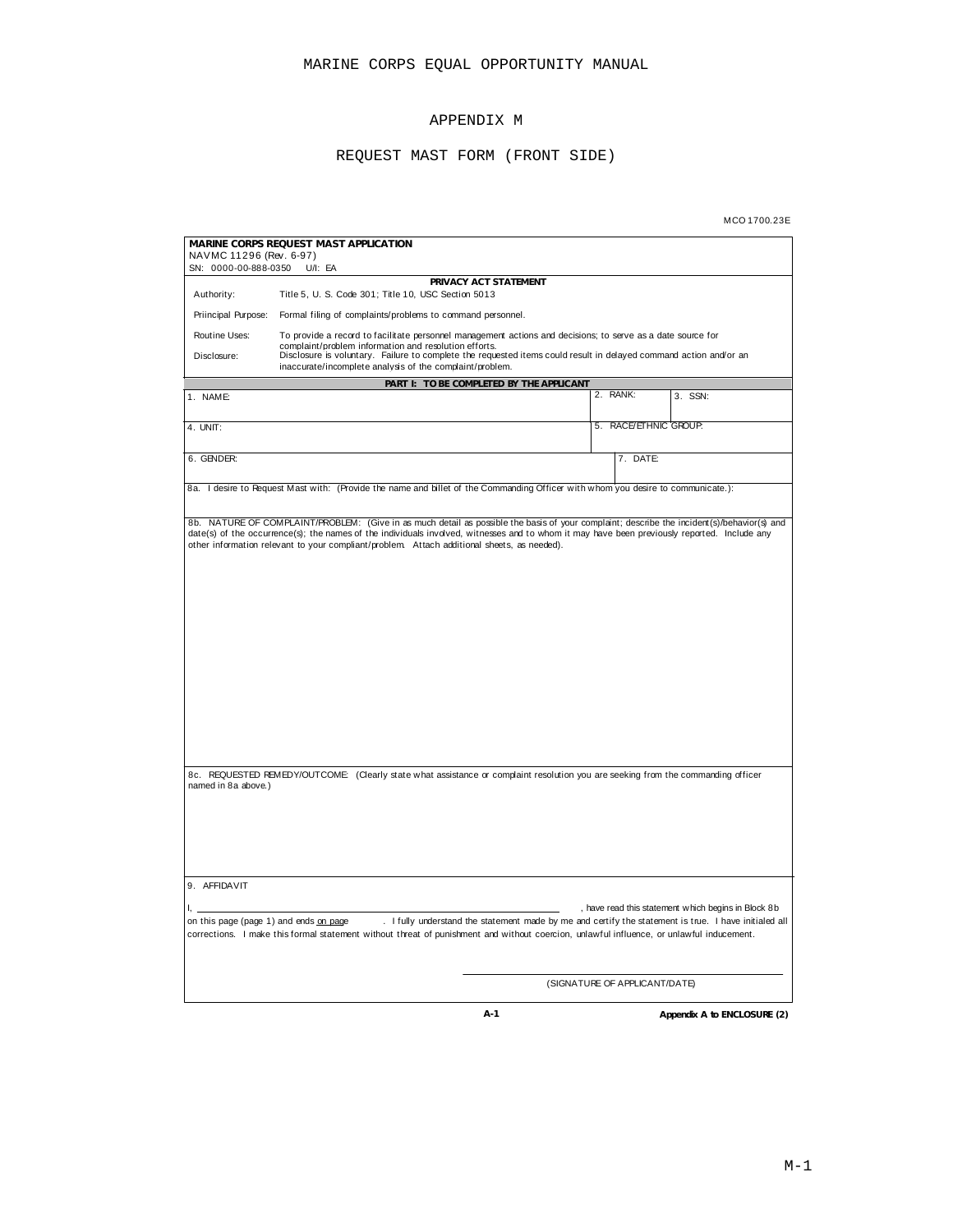## APPENDIX M

## REQUEST MAST FORM (FRONT SIDE)

| MCO 1700.23E |  |  |
|--------------|--|--|
|              |  |  |

|                                                 | MARINE CORPS REQUEST MAST APPLICATION                                                                                                                                                                                                             |          |                       |                                                     |
|-------------------------------------------------|---------------------------------------------------------------------------------------------------------------------------------------------------------------------------------------------------------------------------------------------------|----------|-----------------------|-----------------------------------------------------|
| NAVMC 11296 (Rev. 6-97)<br>SN: 0000-00-888-0350 | $U/I$ : EA                                                                                                                                                                                                                                        |          |                       |                                                     |
|                                                 | PRIVACY ACT STATEMENT                                                                                                                                                                                                                             |          |                       |                                                     |
| Authority:                                      | Title 5, U. S. Code 301; Title 10, USC Section 5013                                                                                                                                                                                               |          |                       |                                                     |
| Priincipal Purpose:                             | Formal filing of complaints/problems to command personnel.                                                                                                                                                                                        |          |                       |                                                     |
| Routine Uses:                                   | To provide a record to facilitate personnel management actions and decisions; to serve as a date source for<br>complaint/problem information and resolution efforts.                                                                              |          |                       |                                                     |
| Disclosure:                                     | Disclosure is voluntary. Failure to complete the requested items could result in delayed command action and/or an<br>inaccurate/incomplete analysis of the complaint/problem.                                                                     |          |                       |                                                     |
|                                                 | PART I: TO BE COMPLETED BY THE APPLICANT                                                                                                                                                                                                          |          |                       |                                                     |
| 1. NAME:                                        |                                                                                                                                                                                                                                                   | 2. RANK: |                       | 3. SSN:                                             |
|                                                 |                                                                                                                                                                                                                                                   |          |                       |                                                     |
| 4. UNIT:                                        |                                                                                                                                                                                                                                                   |          | 5. RACE/ETHNIC GROUP. |                                                     |
| 6. GENDER:                                      |                                                                                                                                                                                                                                                   |          | 7. DATE:              |                                                     |
|                                                 |                                                                                                                                                                                                                                                   |          |                       |                                                     |
|                                                 | 8a. I desire to Request Mast with: (Provide the name and billet of the Commanding Officer with whom you desire to communicate.):                                                                                                                  |          |                       |                                                     |
|                                                 | 8b. NATURE OF COMPLAINT/PROBLEM: (Give in as much detail as possible the basis of your complaint; describe the incident(s)/behavior(s) and                                                                                                        |          |                       |                                                     |
|                                                 | date(s) of the occurrence(s); the names of the individuals involved, witnesses and to whom it may have been previously reported. Include any<br>other information relevant to your compliant/problem. Attach additional sheets, as needed).       |          |                       |                                                     |
|                                                 |                                                                                                                                                                                                                                                   |          |                       |                                                     |
|                                                 |                                                                                                                                                                                                                                                   |          |                       |                                                     |
|                                                 |                                                                                                                                                                                                                                                   |          |                       |                                                     |
|                                                 |                                                                                                                                                                                                                                                   |          |                       |                                                     |
|                                                 |                                                                                                                                                                                                                                                   |          |                       |                                                     |
|                                                 |                                                                                                                                                                                                                                                   |          |                       |                                                     |
|                                                 |                                                                                                                                                                                                                                                   |          |                       |                                                     |
|                                                 |                                                                                                                                                                                                                                                   |          |                       |                                                     |
|                                                 |                                                                                                                                                                                                                                                   |          |                       |                                                     |
|                                                 |                                                                                                                                                                                                                                                   |          |                       |                                                     |
|                                                 |                                                                                                                                                                                                                                                   |          |                       |                                                     |
|                                                 |                                                                                                                                                                                                                                                   |          |                       |                                                     |
|                                                 |                                                                                                                                                                                                                                                   |          |                       |                                                     |
|                                                 |                                                                                                                                                                                                                                                   |          |                       |                                                     |
| named in 8a above.)                             | 8c. REQUESTED REMEDY/OUTCOME: (Clearly state what assistance or complaint resolution you are seeking from the commanding officer                                                                                                                  |          |                       |                                                     |
|                                                 |                                                                                                                                                                                                                                                   |          |                       |                                                     |
|                                                 |                                                                                                                                                                                                                                                   |          |                       |                                                     |
|                                                 |                                                                                                                                                                                                                                                   |          |                       |                                                     |
|                                                 |                                                                                                                                                                                                                                                   |          |                       |                                                     |
|                                                 |                                                                                                                                                                                                                                                   |          |                       |                                                     |
| 9. AFFIDAVIT                                    |                                                                                                                                                                                                                                                   |          |                       |                                                     |
|                                                 |                                                                                                                                                                                                                                                   |          |                       |                                                     |
| ı.                                              |                                                                                                                                                                                                                                                   |          |                       | , have read this statement which begins in Block 8b |
| on this page (page 1) and ends on page          | . I fully understand the statement made by me and certify the statement is true. I have initialed all<br>corrections. I make this formal statement without threat of punishment and without coercion, unlawful influence, or unlawful inducement. |          |                       |                                                     |
|                                                 |                                                                                                                                                                                                                                                   |          |                       |                                                     |
|                                                 |                                                                                                                                                                                                                                                   |          |                       |                                                     |
|                                                 |                                                                                                                                                                                                                                                   |          |                       |                                                     |
|                                                 | (SIGNATURE OF APPLICANT/DATE)                                                                                                                                                                                                                     |          |                       |                                                     |
|                                                 | A-1                                                                                                                                                                                                                                               |          |                       | Appendix A to ENCLOSURE (2)                         |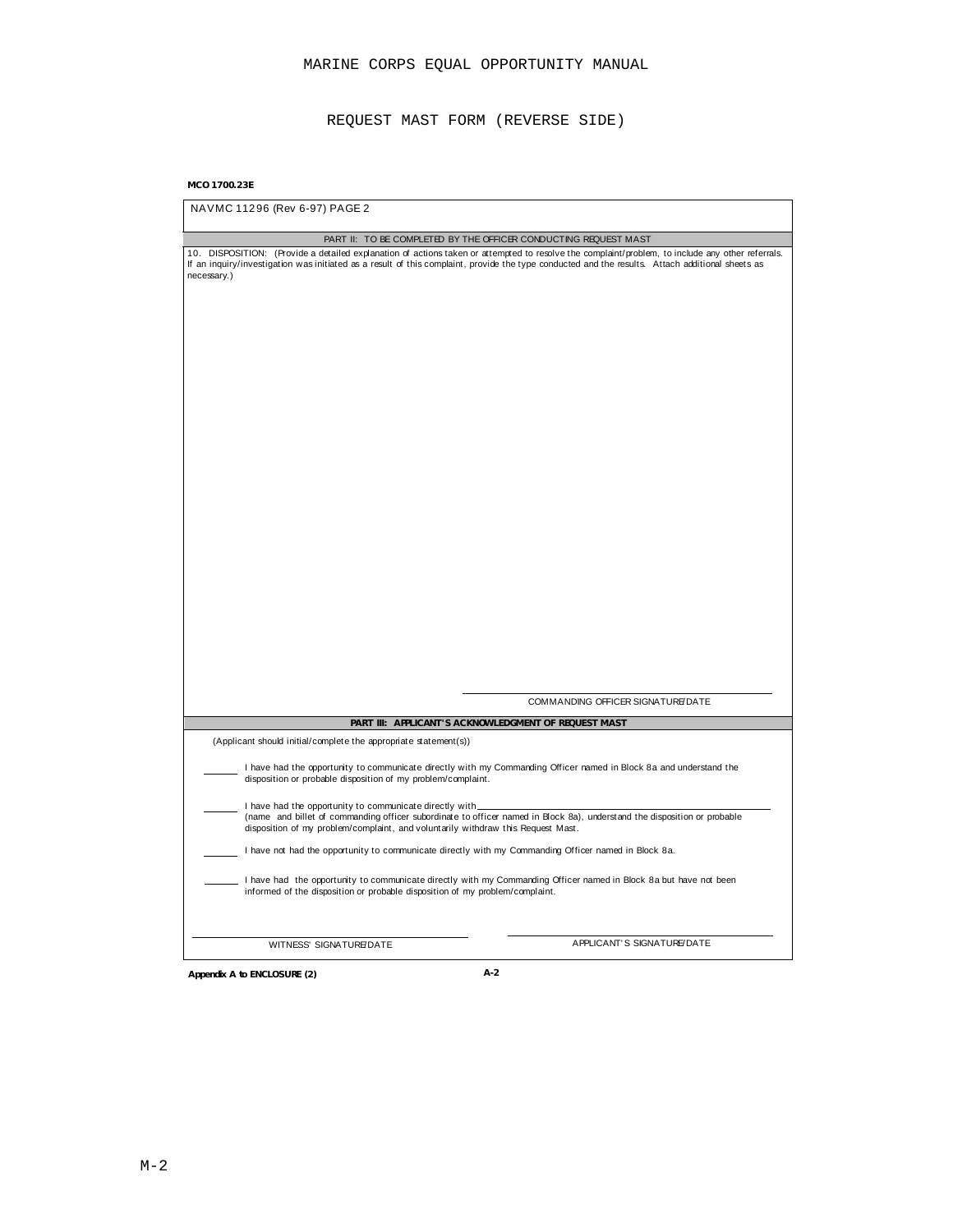REQUEST MAST FORM (REVERSE SIDE)

## **MCO 1700.23E**

| NAVMC 11296 (Rev 6-97) PAGE 2                                                                                                                                                                                                                                                                                       |  |
|---------------------------------------------------------------------------------------------------------------------------------------------------------------------------------------------------------------------------------------------------------------------------------------------------------------------|--|
| PART II: TO BE COMPLETED BY THE OFFICER CONDUCTING REQUEST MAST                                                                                                                                                                                                                                                     |  |
| 10. DISPOSITION: (Provide a detailed explanation of actions taken or attempted to resolve the complaint/problem, to include any other referrals.<br>If an inquiry/investigation was initiated as a result of this complaint, provide the type conducted and the results. Attach additional sheets as<br>necessary.) |  |
|                                                                                                                                                                                                                                                                                                                     |  |
|                                                                                                                                                                                                                                                                                                                     |  |
|                                                                                                                                                                                                                                                                                                                     |  |
|                                                                                                                                                                                                                                                                                                                     |  |
|                                                                                                                                                                                                                                                                                                                     |  |
|                                                                                                                                                                                                                                                                                                                     |  |
|                                                                                                                                                                                                                                                                                                                     |  |
|                                                                                                                                                                                                                                                                                                                     |  |
|                                                                                                                                                                                                                                                                                                                     |  |
|                                                                                                                                                                                                                                                                                                                     |  |
|                                                                                                                                                                                                                                                                                                                     |  |
| COMMANDING OFFICER SIGNATURE/DATE                                                                                                                                                                                                                                                                                   |  |
| PART III: AFPLICANT'S ACKNOWLEDGMENT OF REQUEST MAST                                                                                                                                                                                                                                                                |  |
| (Applicant should initial/complete the appropriate statement(s))                                                                                                                                                                                                                                                    |  |
| I have had the opportunity to communicate directly with my Commanding Officer named in Block 8a and understand the<br>disposition or probable disposition of my problem/complaint.                                                                                                                                  |  |
| I have had the opportunity to communicate directly with_<br>(name and billet of commanding officer subordinate to officer named in Block 8a), understand the disposition or probable<br>disposition of my problem/complaint, and voluntarily withdraw this Request Mast.                                            |  |
| I have not had the opportunity to communicate directly with my Commanding Officer named in Block 8a.                                                                                                                                                                                                                |  |
| I have had the opportunity to communicate directly with my Commanding Officer named in Block 8a but have not been<br>informed of the disposition or probable disposition of my problem/complaint.                                                                                                                   |  |
| APPLICANT'S SIGNATURE/DATE<br>WITNESS' SIGNATURE/DATE                                                                                                                                                                                                                                                               |  |

**Appendix A to ENCLOSURE (2) A-2**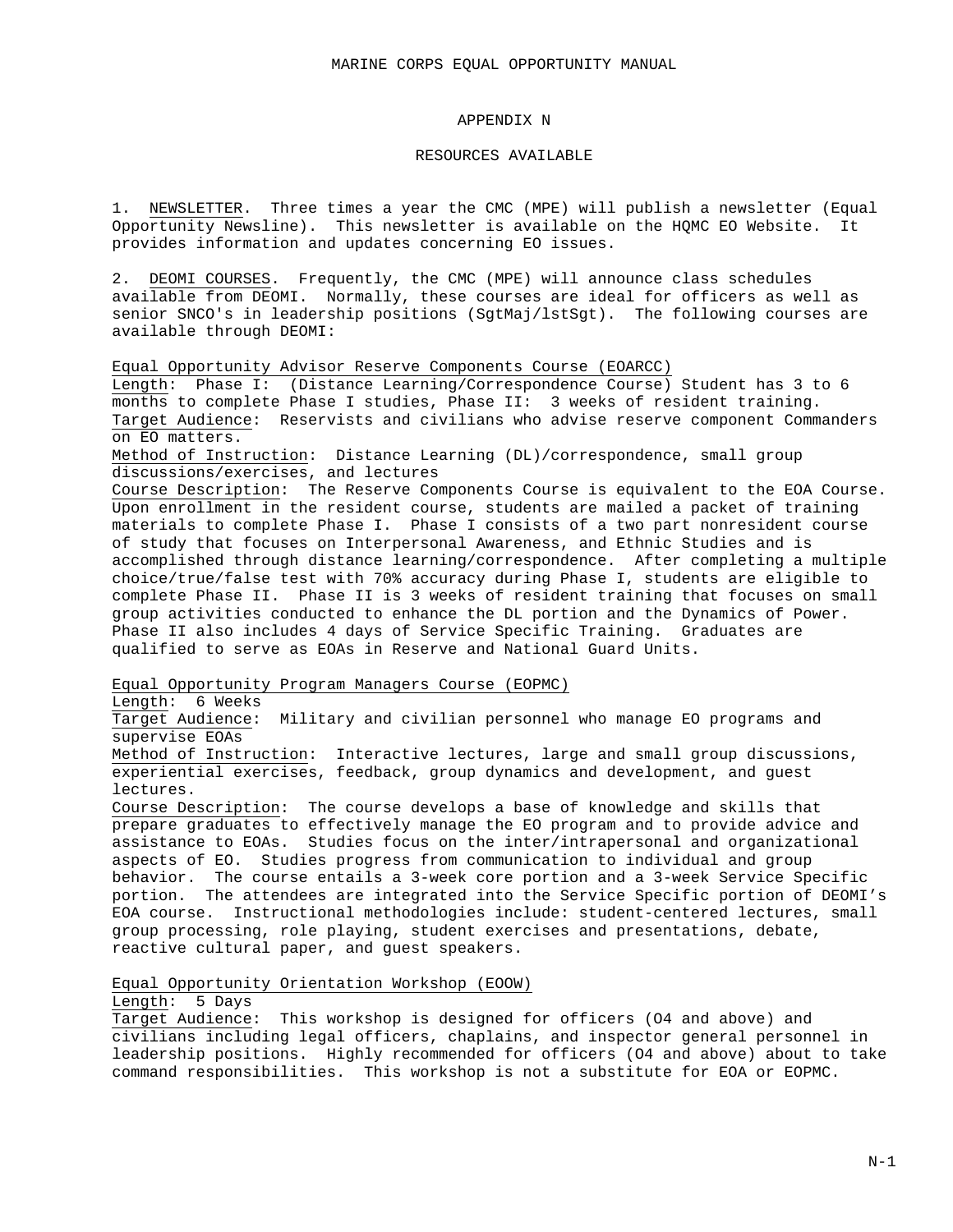# APPENDIX N

#### RESOURCES AVAILABLE

1. NEWSLETTER. Three times a year the CMC (MPE) will publish a newsletter (Equal Opportunity Newsline). This newsletter is available on the HQMC EO Website. It provides information and updates concerning EO issues.

2. DEOMI COURSES. Frequently, the CMC (MPE) will announce class schedules available from DEOMI. Normally, these courses are ideal for officers as well as senior SNCO's in leadership positions (SgtMaj/lstSgt). The following courses are available through DEOMI:

Equal Opportunity Advisor Reserve Components Course (EOARCC) Length: Phase I: (Distance Learning/Correspondence Course) Student has 3 to 6 months to complete Phase I studies, Phase II: 3 weeks of resident training. Target Audience: Reservists and civilians who advise reserve component Commanders on EO matters.

Method of Instruction: Distance Learning (DL)/correspondence, small group discussions/exercises, and lectures

Course Description: The Reserve Components Course is equivalent to the EOA Course. Upon enrollment in the resident course, students are mailed a packet of training materials to complete Phase I. Phase I consists of a two part nonresident course of study that focuses on Interpersonal Awareness, and Ethnic Studies and is accomplished through distance learning/correspondence. After completing a multiple choice/true/false test with 70% accuracy during Phase I, students are eligible to complete Phase II. Phase II is 3 weeks of resident training that focuses on small group activities conducted to enhance the DL portion and the Dynamics of Power. Phase II also includes 4 days of Service Specific Training. Graduates are qualified to serve as EOAs in Reserve and National Guard Units.

Equal Opportunity Program Managers Course (EOPMC)

Length: 6 Weeks

Target Audience: Military and civilian personnel who manage EO programs and supervise EOAs

Method of Instruction: Interactive lectures, large and small group discussions, experiential exercises, feedback, group dynamics and development, and guest lectures.

Course Description: The course develops a base of knowledge and skills that prepare graduates to effectively manage the EO program and to provide advice and assistance to EOAs. Studies focus on the inter/intrapersonal and organizational aspects of EO. Studies progress from communication to individual and group behavior. The course entails a 3-week core portion and a 3-week Service Specific portion. The attendees are integrated into the Service Specific portion of DEOMI's EOA course. Instructional methodologies include: student-centered lectures, small group processing, role playing, student exercises and presentations, debate, reactive cultural paper, and guest speakers.

Equal Opportunity Orientation Workshop (EOOW)

Length: 5 Days

Target Audience: This workshop is designed for officers (O4 and above) and civilians including legal officers, chaplains, and inspector general personnel in leadership positions. Highly recommended for officers (O4 and above) about to take command responsibilities. This workshop is not a substitute for EOA or EOPMC.